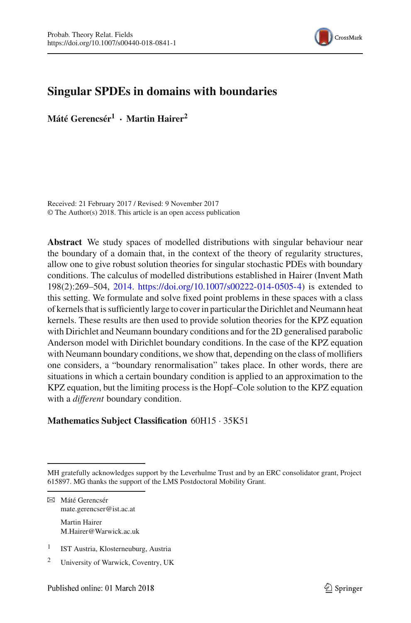

## **Singular SPDEs in domains with boundaries**

**Máté Gerencsér<sup>1</sup> · Martin Hairer<sup>2</sup>**

Received: 21 February 2017 / Revised: 9 November 2017 © The Author(s) 2018. This article is an open access publication

**Abstract** We study spaces of modelled distributions with singular behaviour near the boundary of a domain that, in the context of the theory of regularity structures, allow one to give robust solution theories for singular stochastic PDEs with boundary conditions. The calculus of modelled distributions established in Hairer (Invent Math 198(2):269–504, [2014.](#page-61-0) [https://doi.org/10.1007/s00222-014-0505-4\)](https://doi.org/10.1007/s00222-014-0505-4) is extended to this setting. We formulate and solve fixed point problems in these spaces with a class of kernels that is sufficiently large to cover in particular the Dirichlet and Neumann heat kernels. These results are then used to provide solution theories for the KPZ equation with Dirichlet and Neumann boundary conditions and for the 2D generalised parabolic Anderson model with Dirichlet boundary conditions. In the case of the KPZ equation with Neumann boundary conditions, we show that, depending on the class of mollifiers one considers, a "boundary renormalisation" takes place. In other words, there are situations in which a certain boundary condition is applied to an approximation to the KPZ equation, but the limiting process is the Hopf–Cole solution to the KPZ equation with a *different* boundary condition.

## **Mathematics Subject Classification** 60H15 · 35K51

 $\boxtimes$  Máté Gerencsér mate.gerencser@ist.ac.at Martin Hairer M.Hairer@Warwick.ac.uk

- <sup>1</sup> IST Austria, Klosterneuburg, Austria
- <sup>2</sup> University of Warwick, Coventry, UK

MH gratefully acknowledges support by the Leverhulme Trust and by an ERC consolidator grant, Project 615897. MG thanks the support of the LMS Postdoctoral Mobility Grant.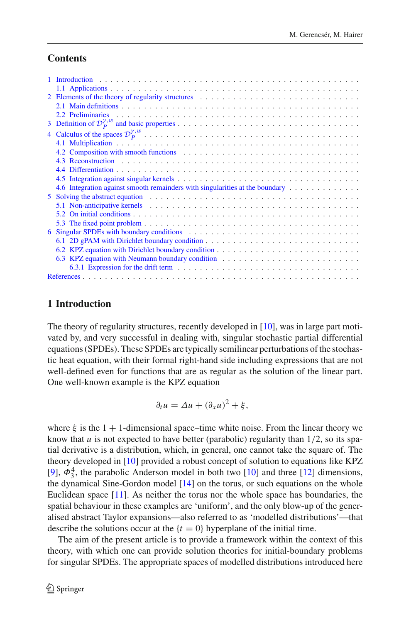## **Contents**

| 2 Elements of the theory of regularity structures enters on the state of the theory of regularity structures                                                                                                                   |
|--------------------------------------------------------------------------------------------------------------------------------------------------------------------------------------------------------------------------------|
|                                                                                                                                                                                                                                |
|                                                                                                                                                                                                                                |
|                                                                                                                                                                                                                                |
|                                                                                                                                                                                                                                |
|                                                                                                                                                                                                                                |
| 4.2 Composition with smooth functions expansion of the state of the state of the state of the state of the state of the state of the state of the state of the state of the state of the state of the state of the state of th |
|                                                                                                                                                                                                                                |
|                                                                                                                                                                                                                                |
|                                                                                                                                                                                                                                |
| 4.6 Integration against smooth remainders with singularities at the boundary                                                                                                                                                   |
| 5 Solving the abstract equation entering in the set of the set of the set of the set of the set of the set of the set of the set of the set of the set of the set of the set of the set of the set of the set of the set of th |
|                                                                                                                                                                                                                                |
|                                                                                                                                                                                                                                |
|                                                                                                                                                                                                                                |
|                                                                                                                                                                                                                                |
|                                                                                                                                                                                                                                |
|                                                                                                                                                                                                                                |
|                                                                                                                                                                                                                                |
|                                                                                                                                                                                                                                |
|                                                                                                                                                                                                                                |
|                                                                                                                                                                                                                                |

## <span id="page-1-0"></span>**1 Introduction**

The theory of regularity structures, recently developed in [\[10](#page-61-0)], was in large part motivated by, and very successful in dealing with, singular stochastic partial differential equations (SPDEs). These SPDEs are typically semilinear perturbations of the stochastic heat equation, with their formal right-hand side including expressions that are not well-defined even for functions that are as regular as the solution of the linear part. One well-known example is the KPZ equation

$$
\partial_t u = \Delta u + (\partial_x u)^2 + \xi,
$$

where  $\xi$  is the 1 + 1-dimensional space–time white noise. From the linear theory we know that *u* is not expected to have better (parabolic) regularity than  $1/2$ , so its spatial derivative is a distribution, which, in general, one cannot take the square of. The theory developed in [\[10](#page-61-0)] provided a robust concept of solution to equations like KPZ [\[9](#page-61-1)],  $\Phi_3^4$ , the parabolic Anderson model in both two [\[10\]](#page-61-0) and three [\[12\]](#page-61-2) dimensions, the dynamical Sine-Gordon model  $[14]$  on the torus, or such equations on the whole Euclidean space [\[11](#page-61-4)]. As neither the torus nor the whole space has boundaries, the spatial behaviour in these examples are 'uniform', and the only blow-up of the generalised abstract Taylor expansions—also referred to as 'modelled distributions'—that describe the solutions occur at the  $\{t = 0\}$  hyperplane of the initial time.

The aim of the present article is to provide a framework within the context of this theory, with which one can provide solution theories for initial-boundary problems for singular SPDEs. The appropriate spaces of modelled distributions introduced here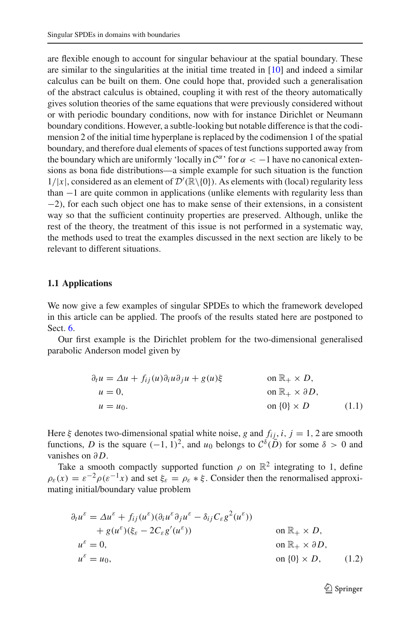are flexible enough to account for singular behaviour at the spatial boundary. These are similar to the singularities at the initial time treated in [\[10\]](#page-61-0) and indeed a similar calculus can be built on them. One could hope that, provided such a generalisation of the abstract calculus is obtained, coupling it with rest of the theory automatically gives solution theories of the same equations that were previously considered without or with periodic boundary conditions, now with for instance Dirichlet or Neumann boundary conditions. However, a subtle-looking but notable difference is that the codimension 2 of the initial time hyperplane is replaced by the codimension 1 of the spatial boundary, and therefore dual elements of spaces of test functions supported away from the boundary which are uniformly 'locally in  $C^{\alpha}$ ' for  $\alpha < -1$  have no canonical extensions as bona fide distributions—a simple example for such situation is the function  $1/|x|$ , considered as an element of  $\mathcal{D}'(\mathbb{R}\setminus\{0\})$ . As elements with (local) regularity less than −1 are quite common in applications (unlike elements with regularity less than −2), for each such object one has to make sense of their extensions, in a consistent way so that the sufficient continuity properties are preserved. Although, unlike the rest of the theory, the treatment of this issue is not performed in a systematic way, the methods used to treat the examples discussed in the next section are likely to be relevant to different situations.

#### <span id="page-2-0"></span>**1.1 Applications**

We now give a few examples of singular SPDEs to which the framework developed in this article can be applied. The proofs of the results stated here are postponed to Sect. [6.](#page-47-0)

Our first example is the Dirichlet problem for the two-dimensional generalised parabolic Anderson model given by

<span id="page-2-2"></span>
$$
\partial_t u = \Delta u + f_{ij}(u)\partial_i u \partial_j u + g(u)\xi \qquad \text{on } \mathbb{R}_+ \times D,
$$
  
\n
$$
u = 0, \qquad \text{on } \mathbb{R}_+ \times \partial D,
$$
  
\n
$$
u = u_0. \qquad \text{on } \{0\} \times D \qquad (1.1)
$$

Here  $\xi$  denotes two-dimensional spatial white noise, *g* and  $f_{ij}$ , *i*, *j* = 1, 2 are smooth functions, *D* is the square  $(-1, 1)^2$ , and  $u_0$  belongs to  $C^{\delta}(\overline{D})$  for some  $\delta > 0$  and vanishes on ∂ *D*.

Take a smooth compactly supported function  $\rho$  on  $\mathbb{R}^2$  integrating to 1, define  $\rho_{\varepsilon}(x) = \varepsilon^{-2} \rho(\varepsilon^{-1} x)$  and set  $\xi_{\varepsilon} = \rho_{\varepsilon} * \xi$ . Consider then the renormalised approximating initial/boundary value problem

<span id="page-2-1"></span>
$$
\partial_t u^{\varepsilon} = \Delta u^{\varepsilon} + f_{ij}(u^{\varepsilon})(\partial_i u^{\varepsilon} \partial_j u^{\varepsilon} - \delta_{ij} C_{\varepsilon} g^2(u^{\varepsilon})) \n+ g(u^{\varepsilon})(\xi_{\varepsilon} - 2C_{\varepsilon} g'(u^{\varepsilon})) \qquad \text{on } \mathbb{R}_+ \times D, \nu^{\varepsilon} = 0, \qquad \text{on } \mathbb{R}_+ \times \partial D, \nu^{\varepsilon} = u_0, \qquad \text{on } \{0\} \times D, \qquad (1.2)
$$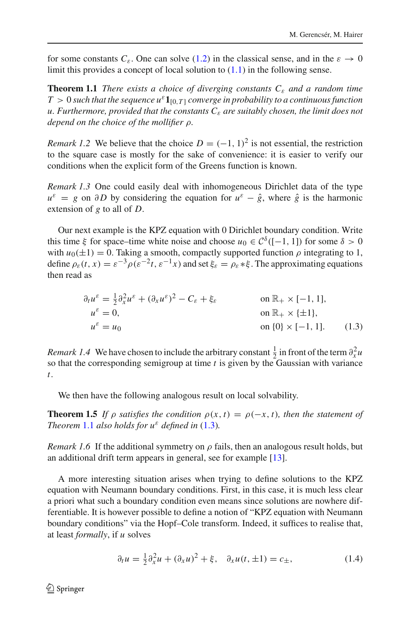<span id="page-3-0"></span>for some constants  $C_{\varepsilon}$ . One can solve [\(1.2\)](#page-2-1) in the classical sense, and in the  $\varepsilon \to 0$ limit this provides a concept of local solution to  $(1.1)$  in the following sense.

**Theorem 1.1** *There exists a choice of diverging constants*  $C_{\varepsilon}$  *and a random time*  $T > 0$  *such that the sequence*  $u^{\varepsilon} \mathbf{1}_{[0,T]}$  *converge in probability to a continuous function u. Furthermore, provided that the constants C*<sup>ε</sup> *are suitably chosen, the limit does not depend on the choice of the mollifier* ρ*.*

*Remark 1.2* We believe that the choice  $D = (-1, 1)^2$  is not essential, the restriction to the square case is mostly for the sake of convenience: it is easier to verify our conditions when the explicit form of the Greens function is known.

*Remark 1.3* One could easily deal with inhomogeneous Dirichlet data of the type  $u^{\varepsilon} = g$  on ∂D by considering the equation for  $u^{\varepsilon} - \hat{g}$ , where  $\hat{g}$  is the harmonic extension of *g* to all of *D*.

Our next example is the KPZ equation with 0 Dirichlet boundary condition. Write this time  $\xi$  for space–time white noise and choose  $u_0 \in C^{\delta}([-1, 1])$  for some  $\delta > 0$ with  $u_0(\pm 1) = 0$ . Taking a smooth, compactly supported function  $\rho$  integrating to 1, define  $\rho_{\varepsilon}(t, x) = \varepsilon^{-3} \rho(\varepsilon^{-2}t, \varepsilon^{-1}x)$  and set  $\xi_{\varepsilon} = \rho_{\varepsilon} * \xi$ . The approximating equations then read as

<span id="page-3-3"></span><span id="page-3-1"></span>
$$
\partial_t u^{\varepsilon} = \frac{1}{2} \partial_x^2 u^{\varepsilon} + (\partial_x u^{\varepsilon})^2 - C_{\varepsilon} + \xi_{\varepsilon} \quad \text{on } \mathbb{R}_+ \times [-1, 1],
$$
  
\n
$$
u^{\varepsilon} = 0, \quad \text{on } \mathbb{R}_+ \times \{\pm 1\},
$$
  
\n
$$
u^{\varepsilon} = u_0 \quad \text{on } \{0\} \times [-1, 1]. \quad (1.3)
$$

*Remark 1.4* We have chosen to include the arbitrary constant  $\frac{1}{2}$  in front of the term  $\partial_x^2 u$ so that the corresponding semigroup at time *t* is given by the Gaussian with variance *t*.

We then have the following analogous result on local solvability.

**Theorem 1.5** *If*  $\rho$  *satisfies the condition*  $\rho(x, t) = \rho(-x, t)$ *, then the statement of Theorem* [1.1](#page-3-0) *also holds for*  $u^{\varepsilon}$  *defined in* [\(1.3\)](#page-3-1)*.* 

*Remark 1.6* If the additional symmetry on  $\rho$  fails, then an analogous result holds, but an additional drift term appears in general, see for example [\[13\]](#page-61-5).

A more interesting situation arises when trying to define solutions to the KPZ equation with Neumann boundary conditions. First, in this case, it is much less clear a priori what such a boundary condition even means since solutions are nowhere differentiable. It is however possible to define a notion of "KPZ equation with Neumann boundary conditions" via the Hopf–Cole transform. Indeed, it suffices to realise that, at least *formally*, if *u* solves

<span id="page-3-2"></span>
$$
\partial_t u = \frac{1}{2} \partial_x^2 u + (\partial_x u)^2 + \xi, \quad \partial_x u(t, \pm 1) = c_{\pm}, \tag{1.4}
$$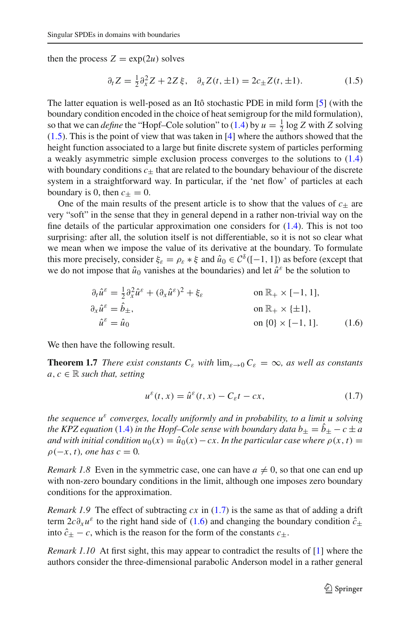then the process  $Z = \exp(2u)$  solves

<span id="page-4-0"></span>
$$
\partial_t Z = \frac{1}{2} \partial_x^2 Z + 2Z \xi, \quad \partial_x Z(t, \pm 1) = 2c_{\pm} Z(t, \pm 1). \tag{1.5}
$$

The latter equation is well-posed as an Itô stochastic PDE in mild form [\[5](#page-61-6)] (with the boundary condition encoded in the choice of heat semigroup for the mild formulation), so that we can *define* the "Hopf-Cole solution" to [\(1.4\)](#page-3-2) by  $u = \frac{1}{2} \log Z$  with *Z* solving [\(1.5\)](#page-4-0). This is the point of view that was taken in [\[4\]](#page-60-2) where the authors showed that the height function associated to a large but finite discrete system of particles performing a weakly asymmetric simple exclusion process converges to the solutions to [\(1.4\)](#page-3-2) with boundary conditions  $c_{\pm}$  that are related to the boundary behaviour of the discrete system in a straightforward way. In particular, if the 'net flow' of particles at each boundary is 0, then  $c_{+} = 0$ .

One of the main results of the present article is to show that the values of  $c_{\pm}$  are very "soft" in the sense that they in general depend in a rather non-trivial way on the fine details of the particular approximation one considers for [\(1.4\)](#page-3-2). This is not too surprising: after all, the solution itself is not differentiable, so it is not so clear what we mean when we impose the value of its derivative at the boundary. To formulate this more precisely, consider  $\xi_{\varepsilon} = \rho_{\varepsilon} * \xi$  and  $\hat{u}_0 \in C^{\delta}([-1, 1])$  as before (except that we do not impose that  $\hat{u}_0$  vanishes at the boundaries) and let  $\hat{u}^{\varepsilon}$  be the solution to

$$
\partial_t \hat{u}^{\varepsilon} = \frac{1}{2} \partial_x^2 \hat{u}^{\varepsilon} + (\partial_x \hat{u}^{\varepsilon})^2 + \xi_{\varepsilon}
$$
\n
$$
\partial_x \hat{u}^{\varepsilon} = \hat{b}_{\pm}, \qquad \text{on } \mathbb{R}_+ \times [-1, 1],
$$
\n
$$
\hat{u}^{\varepsilon} = \hat{u}_0 \qquad \text{on } \{0\} \times [-1, 1]. \qquad (1.6)
$$

<span id="page-4-3"></span>We then have the following result.

**Theorem 1.7** *There exist constants*  $C_{\varepsilon}$  *with*  $\lim_{\varepsilon \to 0} C_{\varepsilon} = \infty$ *, as well as constants*  $a, c \in \mathbb{R}$  *such that, setting* 

<span id="page-4-2"></span><span id="page-4-1"></span>
$$
u^{\varepsilon}(t,x) = \hat{u}^{\varepsilon}(t,x) - C_{\varepsilon}t - cx,\tag{1.7}
$$

*the sequence u*<sup>ε</sup> *converges, locally uniformly and in probability, to a limit u solving the KPZ equation* [\(1.4\)](#page-3-2) *in the Hopf–Cole sense with boundary data*  $b_{\pm} = b_{\pm} - c \pm a$ *and with initial condition*  $u_0(x) = \hat{u}_0(x) - cx$ . *In the particular case where*  $\rho(x, t) =$  $\rho(-x, t)$ *, one has*  $c = 0$ *.* 

*Remark 1.8* Even in the symmetric case, one can have  $a \neq 0$ , so that one can end up with non-zero boundary conditions in the limit, although one imposes zero boundary conditions for the approximation.

*Remark 1.9* The effect of subtracting  $cx$  in  $(1.7)$  is the same as that of adding a drift term  $2c\partial_x u^\varepsilon$  to the right hand side of [\(1.6\)](#page-4-2) and changing the boundary condition  $\hat{c}_+$ into  $\hat{c}_{+} - c$ , which is the reason for the form of the constants  $c_{+}$ .

*Remark 1.10* At first sight, this may appear to contradict the results of [\[1](#page-60-3)] where the authors consider the three-dimensional parabolic Anderson model in a rather general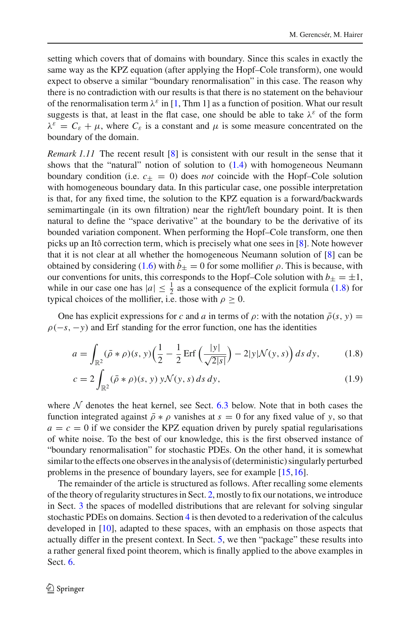setting which covers that of domains with boundary. Since this scales in exactly the same way as the KPZ equation (after applying the Hopf–Cole transform), one would expect to observe a similar "boundary renormalisation" in this case. The reason why there is no contradiction with our results is that there is no statement on the behaviour of the renormalisation term  $\lambda^{\varepsilon}$  in [\[1,](#page-60-3) Thm 1] as a function of position. What our result suggests is that, at least in the flat case, one should be able to take  $\lambda^{\varepsilon}$  of the form  $\lambda^{\varepsilon} = C_{\varepsilon} + \mu$ , where  $C_{\varepsilon}$  is a constant and  $\mu$  is some measure concentrated on the boundary of the domain.

*Remark 1.11* The recent result [\[8\]](#page-61-7) is consistent with our result in the sense that it shows that the "natural" notion of solution to  $(1.4)$  with homogeneous Neumann boundary condition (i.e.  $c_{\pm} = 0$ ) does *not* coincide with the Hopf–Cole solution with homogeneous boundary data. In this particular case, one possible interpretation is that, for any fixed time, the solution to the KPZ equation is a forward/backwards semimartingale (in its own filtration) near the right/left boundary point. It is then natural to define the "space derivative" at the boundary to be the derivative of its bounded variation component. When performing the Hopf–Cole transform, one then picks up an Itô correction term, which is precisely what one sees in [\[8\]](#page-61-7). Note however that it is not clear at all whether the homogeneous Neumann solution of [\[8](#page-61-7)] can be obtained by considering [\(1.6\)](#page-4-2) with  $b_{\pm} = 0$  for some mollifier  $\rho$ . This is because, with our conventions for units, this corresponds to the Hopf–Cole solution with  $b_{\pm} = \pm 1$ , while in our case one has  $|a| \leq \frac{1}{2}$  as a consequence of the explicit formula [\(1.8\)](#page-5-0) for typical choices of the mollifier, i.e. those with  $\rho \geq 0$ .

One has explicit expressions for *c* and *a* in terms of  $\rho$ : with the notation  $\bar{\rho}(s, y)$  =  $\rho(-s, -y)$  and Erf standing for the error function, one has the identities

<span id="page-5-0"></span>
$$
a = \int_{\mathbb{R}^2} (\bar{\rho} * \rho)(s, y) \left(\frac{1}{2} - \frac{1}{2} \operatorname{Erf}\left(\frac{|y|}{\sqrt{2|s|}}\right) - 2|y|\mathcal{N}(y, s)\right) ds \, dy,\tag{1.8}
$$

<span id="page-5-1"></span>
$$
c = 2 \int_{\mathbb{R}^2} (\bar{\rho} * \rho)(s, y) y \mathcal{N}(y, s) ds dy,
$$
\n(1.9)

where  $N$  denotes the heat kernel, see Sect. [6.3](#page-54-0) below. Note that in both cases the function integrated against  $\bar{\rho} * \rho$  vanishes at  $s = 0$  for any fixed value of *y*, so that  $a = c = 0$  if we consider the KPZ equation driven by purely spatial regularisations of white noise. To the best of our knowledge, this is the first observed instance of "boundary renormalisation" for stochastic PDEs. On the other hand, it is somewhat similar to the effects one observes in the analysis of (deterministic) singularly perturbed problems in the presence of boundary layers, see for example [\[15](#page-61-8)[,16](#page-61-9)].

The remainder of the article is structured as follows. After recalling some elements of the theory of regularity structures in Sect. [2,](#page-6-0) mostly to fix our notations, we introduce in Sect. [3](#page-14-0) the spaces of modelled distributions that are relevant for solving singular stochastic PDEs on domains. Section [4](#page-17-0) is then devoted to a rederivation of the calculus developed in [\[10\]](#page-61-0), adapted to these spaces, with an emphasis on those aspects that actually differ in the present context. In Sect. [5,](#page-40-0) we then "package" these results into a rather general fixed point theorem, which is finally applied to the above examples in Sect. [6.](#page-47-0)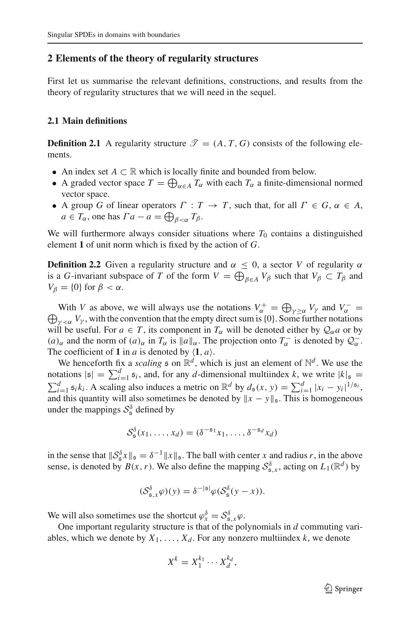## <span id="page-6-0"></span>**2 Elements of the theory of regularity structures**

First let us summarise the relevant definitions, constructions, and results from the theory of regularity structures that we will need in the sequel.

## <span id="page-6-1"></span>**2.1 Main definitions**

**Definition 2.1** A regularity structure  $\mathcal{T} = (A, T, G)$  consists of the following elements.

- An index set *<sup>A</sup>* <sup>⊂</sup> <sup>R</sup> which is locally finite and bounded from below.
- A graded vector space  $T = \bigoplus_{\alpha \in A} T_{\alpha}$  with each  $T_{\alpha}$  a finite-dimensional normed vector space.
- A group *G* of linear operators  $\Gamma : T \to T$ , such that, for all  $\Gamma \in G$ ,  $\alpha \in A$ ,  $a \in T_\alpha$ , one has  $\Gamma a - a = \bigoplus_{\beta < \alpha} T_\beta$ .

We will furthermore always consider situations where  $T_0$  contains a distinguished element **1** of unit norm which is fixed by the action of *G*.

**Definition 2.2** Given a regularity structure and  $\alpha \leq 0$ , a sector *V* of regularity  $\alpha$ is a *G*-invariant subspace of *T* of the form  $V = \bigoplus_{\beta \in A} V_{\beta}$  such that  $V_{\beta} \subset T_{\beta}$  and  $V_{\beta} = \{0\}$  for  $\beta < \alpha$ .

With *V* as above, we will always use the notations  $V_{\alpha}^{+} = \bigoplus_{\gamma \geq \alpha} V_{\gamma}$  and  $V_{\alpha}^{-}$ With *V* as above, we will always use the notations  $V_{\alpha} = \bigoplus_{\gamma \ge \alpha} V_{\gamma}$  and  $V_{\alpha} = \bigoplus_{\gamma < \alpha} V_{\gamma}$ , with the convention that the empty direct sum is {0}. Some further notations will be useful. For  $a \in T$ , its component in  $T_\alpha$  will be denoted either by  $\mathcal{Q}_\alpha a$  or by  $(a)_{\alpha}$  and the norm of  $(a)_{\alpha}$  in  $T_{\alpha}$  is  $||a||_{\alpha}$ . The projection onto  $T_{\alpha}^-$  is denoted by  $\mathcal{Q}_{\alpha}^-$ . The coefficient of **1** in *a* is denoted by  $\langle 1, a \rangle$ .

We henceforth fix a *scaling*  $\epsilon$  on  $\mathbb{R}^d$ , which is just an element of  $\mathbb{N}^d$ . We use the notations  $|s| = \sum_{i=1}^d s_i$ , and, for any *d*-dimensional multiindex *k*, we write  $|k|_{\mathfrak{s}} =$ notations  $|\mathfrak{s}| = \sum_{i=1}^{a} \mathfrak{s}_i$ , and, for any *d*-dimensional multiindex *k*, we write  $|k|_{\mathfrak{s}} = \sum_{i=1}^{d} \mathfrak{s}_i k_i$ . A scaling also induces a metric on  $\mathbb{R}^d$  by  $d_{\mathfrak{s}}(x, y) = \sum_{i=1}^{d} |x_i - y_i|^{1/\mathfrak{s}_i}$ , and this quantity will also sometimes be denoted by  $||x - y||_{\mathfrak{s}}$ . This is homogeneous under the mappings  $S^{\delta}_{\mathfrak{s}}$  defined by

$$
\mathcal{S}_{\mathfrak{s}}^{\delta}(x_1,\ldots,x_d)=(\delta^{-\mathfrak{s}_1}x_1,\ldots,\delta^{-\mathfrak{s}_d}x_d)
$$

in the sense that  $\|\mathcal{S}_{\mathfrak{s}}^{\delta} x\|_{\mathfrak{s}} = \delta^{-1} \|x\|_{\mathfrak{s}}$ . The ball with center *x* and radius *r*, in the above sense, is denoted by  $B(x, r)$ . We also define the mapping  $S_{\mathfrak{s},x}^{\delta}$ , acting on  $L_1(\mathbb{R}^d)$  by

$$
(\mathcal{S}_{\mathfrak{s},x}^{\delta}\varphi)(y)=\delta^{-|\mathfrak{s}|}\varphi(\mathcal{S}_{\mathfrak{s}}^{\delta}(y-x)).
$$

We will also sometimes use the shortcut  $\varphi_x^{\delta} = \mathcal{S}_{\mathfrak{s},x}^{\delta}\varphi$ .

One important regularity structure is that of the polynomials in *d* commuting variables, which we denote by  $X_1, \ldots, X_d$ . For any nonzero multiindex k, we denote

$$
X^k = X_1^{k_1} \cdots X_d^{k_d},
$$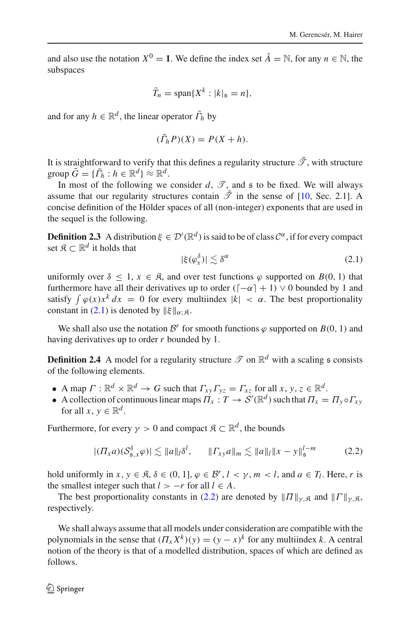and also use the notation  $X^0 = 1$ . We define the index set  $\overline{A} = \mathbb{N}$ , for any  $n \in \mathbb{N}$ , the subspaces

$$
\bar{T}_n = \text{span}\{X^k : |k|_{\mathfrak{s}} = n\},\
$$

and for any  $h \in \mathbb{R}^d$ , the linear operator  $\bar{\Gamma}_h$  by

$$
(\bar{\Gamma}_h P)(X) = P(X + h).
$$

It is straightforward to verify that this defines a regularity structure  $\bar{\mathcal{T}}$ , with structure  $\text{group } \overline{G} = \{\overline{\Gamma}_h : h \in \mathbb{R}^d\} \approx \mathbb{R}^d.$ 

In most of the following we consider  $d$ ,  $\mathscr{T}$ , and  $\mathfrak s$  to be fixed. We will always assume that our regularity structures contain  $\bar{\mathcal{T}}$  in the sense of [\[10](#page-61-0), Sec. 2.1]. A concise definition of the Hölder spaces of all (non-integer) exponents that are used in the sequel is the following.

**Definition 2.3** A distribution  $\xi \in \mathcal{D}'(\mathbb{R}^d)$  is said to be of class  $\mathcal{C}^{\alpha}$ , if for every compact set  $\mathfrak{K} \subset \mathbb{R}^d$  it holds that

<span id="page-7-0"></span>
$$
|\xi(\varphi_x^{\delta})| \lesssim \delta^{\alpha} \tag{2.1}
$$

uniformly over  $\delta$  < 1,  $x \in \mathcal{R}$ , and over test functions  $\varphi$  supported on  $B(0, 1)$  that furthermore have all their derivatives up to order ( $\lceil -\alpha \rceil + 1$ )  $\vee$  0 bounded by 1 and satisfy  $\int \varphi(x) x^k dx = 0$  for every multiindex  $|k| < \alpha$ . The best proportionality constant in [\(2.1\)](#page-7-0) is denoted by  $\|\xi\|_{\alpha \in \mathcal{S}}$ .

We shall also use the notation  $\mathcal{B}^r$  for smooth functions  $\varphi$  supported on  $B(0, 1)$  and having derivatives up to order *r* bounded by 1.

**Definition 2.4** A model for a regularity structure  $\mathcal{T}$  on  $\mathbb{R}^d$  with a scaling  $\mathfrak{s}$  consists of the following elements.

- A map  $\Gamma : \mathbb{R}^d \times \mathbb{R}^d \to G$  such that  $\Gamma_{xy}\Gamma_{yz} = \Gamma_{xz}$  for all  $x, y, z \in \mathbb{R}^d$ .
- A collection of continuous linear maps  $\Pi_x : T \to S'(\mathbb{R}^d)$  such that  $\Pi_x = \Pi_y \circ \Gamma_{xy}$ for all  $x, y \in \mathbb{R}^d$ .

Furthermore, for every  $\gamma > 0$  and compact  $\mathfrak{K} \subset \mathbb{R}^d$ , the bounds

<span id="page-7-1"></span>
$$
|(II_xa)(S_{\mathfrak{s},x}^{\delta}\varphi)| \lesssim \|a\|_{l}\delta^{l}, \qquad \|I_{xy}a\|_{m} \lesssim \|a\|_{l}\|x-y\|_{\mathfrak{s}}^{l-m} \qquad (2.2)
$$

hold uniformly in  $x, y \in \mathcal{R}, \delta \in (0, 1], \varphi \in \mathcal{B}^r, l < \gamma, m < l$ , and  $a \in T_l$ . Here, *r* is the smallest integer such that  $l > -r$  for all  $l \in A$ .

The best proportionality constants in [\(2.2\)](#page-7-1) are denoted by  $||\Pi||_{\nu,\mathbb{R}}$  and  $||\Gamma||_{\nu,\mathbb{R}}$ , respectively.

We shall always assume that all models under consideration are compatible with the polynomials in the sense that  $(T_x X^k)(y) = (y - x)^k$  for any multiindex *k*. A central notion of the theory is that of a modelled distribution, spaces of which are defined as follows.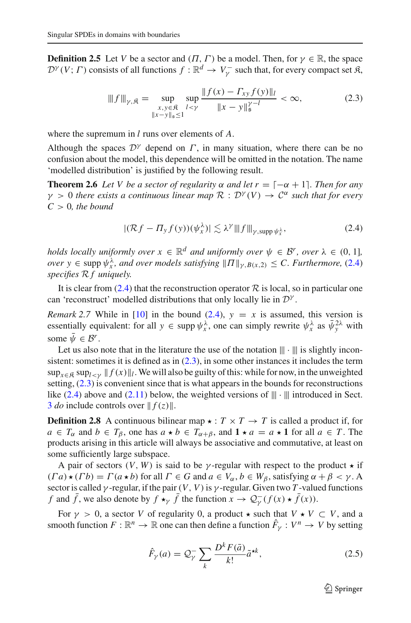**Definition 2.5** Let *V* be a sector and  $(\Pi, \Gamma)$  be a model. Then, for  $\gamma \in \mathbb{R}$ , the space  $\mathcal{D}^{\gamma}(V; \Gamma)$  consists of all functions  $f : \mathbb{R}^d \to V_{\gamma}^-$  such that, for every compact set  $\mathfrak{K},$ 

<span id="page-8-1"></span>
$$
|||f|||_{\gamma,\mathfrak{K}} = \sup_{\substack{x,y \in \mathfrak{K} \\ \|x-y\|_{\mathfrak{S}} \le 1}} \sup_{l < \gamma} \frac{\|f(x) - \Gamma_{xy} f(y)\|_{l}}{\|x - y\|_{\mathfrak{S}}^{\gamma - l}} < \infty,\tag{2.3}
$$

where the supremum in *l* runs over elements of *A*.

Although the spaces  $\mathcal{D}^{\gamma}$  depend on  $\Gamma$ , in many situation, where there can be no confusion about the model, this dependence will be omitted in the notation. The name 'modelled distribution' is justified by the following result.

**Theorem 2.6** Let V be a sector of regularity  $\alpha$  and let  $r = [-\alpha + 1]$ . Then for any  $\gamma > 0$  *there exists a continuous linear map*  $\mathcal{R}: \mathcal{D}^{\gamma}(V) \to \mathcal{C}^{\alpha}$  *such that for every*  $C > 0$ *, the bound* 

<span id="page-8-2"></span><span id="page-8-0"></span>
$$
|(\mathcal{R}f - \Pi_y f(y))(\psi_x^{\lambda})| \lesssim \lambda^{\gamma} \|f\|_{\gamma, \text{supp}\,\psi_x^{\lambda}},\tag{2.4}
$$

*holds locally uniformly over*  $x \in \mathbb{R}^d$  *and uniformly over*  $\psi \in \mathcal{B}^r$ *, over*  $\lambda \in (0, 1]$ *, over*  $y \in \text{supp } \psi_x^{\lambda}$ , and over models satisfying  $||\Pi||_{\gamma, B(x,2)} \leq C$ . Furthermore, [\(2.4\)](#page-8-0) *specifies R f uniquely.*

It is clear from  $(2.4)$  that the reconstruction operator  $\mathcal R$  is local, so in particular one can 'reconstruct' modelled distributions that only locally lie in *<sup>D</sup>*<sup>γ</sup> .

*Remark* 2.7 While in [\[10\]](#page-61-0) in the bound [\(2.4\)](#page-8-0),  $y = x$  is assumed, this version is essentially equivalent: for all  $y \in \text{supp } \psi_x^{\lambda}$ , one can simply rewrite  $\psi_x^{\lambda}$  as  $\bar{\psi}_y^{2\lambda}$  with some  $\bar{\psi} \in \mathcal{B}^r$ .

Let us also note that in the literature the use of the notation  $||| \cdot |||$  is slightly inconsistent: sometimes it is defined as in  $(2.3)$ , in some other instances it includes the term  $\sup_{x \in \mathbb{R}} \sup_{\mathbf{k} \in \mathcal{X}} \|f(x)\|_{l}$ . We will also be guilty of this: while for now, in the unweighted setting,  $(2.3)$  is convenient since that is what appears in the bounds for reconstructions like [\(2.4\)](#page-8-0) above and [\(2.11\)](#page-11-0) below, the weighted versions of  $|| \cdot |||$  introduced in Sect. [3](#page-14-0) *do* include controls over  $|| f(z) ||$ .

**Definition 2.8** A continuous bilinear map  $\star : T \times T \to T$  is called a product if, for *a* ∈ *T*<sub>α</sub> and *b* ∈ *T*<sub>β</sub>, one has  $a \star b$  ∈ *T*<sub>α+β</sub>, and **1**  $\star a$  =  $a \star \textbf{1}$  for all  $a \in T$ . The products arising in this article will always be associative and commutative, at least on some sufficiently large subspace.

A pair of sectors  $(V, W)$  is said to be  $\gamma$ -regular with respect to the product  $\star$  if  $(T a) \star (T b) = \Gamma(a \star b)$  for all  $\Gamma \in G$  and  $a \in V_\alpha$ ,  $b \in W_\beta$ , satisfying  $\alpha + \beta < \gamma$ . A sector is called  $\gamma$ -regular, if the pair  $(V, V)$  is  $\gamma$ -regular. Given two *T*-valued functions *f* and *f*, we also denote by  $f \star_\gamma f$  the function  $x \to \mathcal{Q}^-_\gamma(f(x) \star f(x))$ .

For  $\gamma > 0$ , a sector *V* of regularity 0, a product  $\star$  such that  $V \star V \subset V$ , and a smooth function  $F: \mathbb{R}^n \to \mathbb{R}$  one can then define a function  $\hat{F}_\gamma: V^n \to V$  by setting

$$
\hat{F}_{\gamma}(a) = \mathcal{Q}_{\gamma}^{-} \sum_{k} \frac{D^{k} F(\bar{a})}{k!} \tilde{a}^{\star k},
$$
\n(2.5)

 $\mathcal{L}$  Springer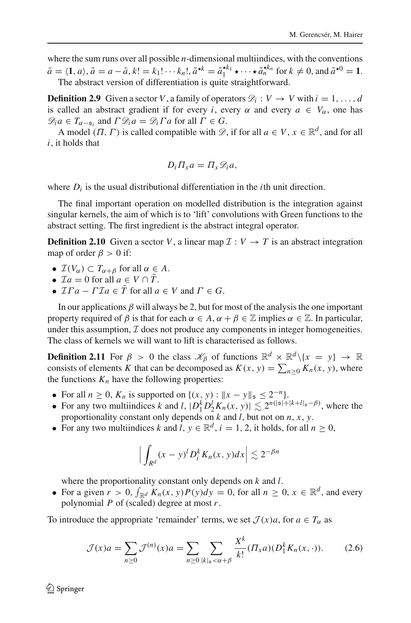where the sum runs over all possible *n*-dimensional multiindices, with the conventions  $\bar{a} = \langle 1, a \rangle$ ,  $\tilde{a} = a - \bar{a}$ ,  $k! = k_1! \cdots k_n!$ ,  $\tilde{a}^{\star k} = \tilde{a}_1^{\star k_1} \star \cdots \star \tilde{a}_n^{\star k_n}$  for  $k \neq 0$ , and  $\tilde{a}^{\star 0} = 1$ . The abstract version of differentiation is quite straightforward.

**Definition 2.9** Given a sector *V*, a family of operators  $\mathcal{D}_i : V \to V$  with  $i = 1, ..., d$ is called an abstract gradient if for every *i*, every  $\alpha$  and every  $a \in V_\alpha$ , one has  $\mathscr{D}_i a \in T_{\alpha-\mathfrak{s}_i}$  and  $\Gamma \mathscr{D}_i a = \mathscr{D}_i \Gamma a$  for all  $\Gamma \in G$ .

A model  $(\Pi, \Gamma)$  is called compatible with  $\mathscr{D}$ , if for all  $a \in V$ ,  $x \in \mathbb{R}^d$ , and for all *i*, it holds that

$$
D_i\Pi_x a = \Pi_x \mathscr{D}_i a,
$$

where  $D_i$  is the usual distributional differentiation in the *i*th unit direction.

The final important operation on modelled distribution is the integration against singular kernels, the aim of which is to 'lift' convolutions with Green functions to the abstract setting. The first ingredient is the abstract integral operator.

**Definition 2.10** Given a sector *V*, a linear map  $\mathcal{I}: V \to T$  is an abstract integration map of order  $\beta > 0$  if:

- $\mathcal{I}(V_{\alpha}) \subset T_{\alpha+\beta}$  for all  $\alpha \in A$ .
- $\mathcal{I}a = 0$  for all  $a \in V \cap \overline{T}$ .
- $\mathcal{I}\Gamma a \Gamma \mathcal{I}a \in \overline{T}$  for all  $a \in V$  and  $\Gamma \in G$ .

In our applications  $\beta$  will always be 2, but for most of the analysis the one important property required of  $\beta$  is that for each  $\alpha \in A$ ,  $\alpha + \beta \in \mathbb{Z}$  implies  $\alpha \in \mathbb{Z}$ . In particular, under this assumption,  $I$  does not produce any components in integer homogeneities. The class of kernels we will want to lift is characterised as follows.

**Definition 2.11** For  $\beta > 0$  the class  $\mathcal{K}_{\beta}$  of functions  $\mathbb{R}^d \times \mathbb{R}^d \setminus \{x = y\} \rightarrow \mathbb{R}$ consists of elements *K* that can be decomposed as  $K(x, y) = \sum_{n \ge 0} K_n(x, y)$ , where the functions  $K_n$  have the following properties:

- For all  $n \ge 0$ ,  $K_n$  is supported on  $\{(x, y) : ||x y||_{\mathfrak{s}} \le 2^{-n}\}.$
- For any two multiindices *k* and *l*,  $|D_1^k D_2^l K_n(x, y)| \lesssim 2^{n(|\mathfrak{s}| + |k + l|_{\mathfrak{s}} \beta)}$ , where the proportionality constant only depends on  $k$  and  $l$ , but not on  $n$ ,  $x$ ,  $y$ .
- For any two multiindices *k* and *l*,  $y \in \mathbb{R}^d$ ,  $i = 1, 2$ , it holds, for all  $n \ge 0$ ,

<span id="page-9-0"></span>
$$
\Big|\int_{R^d}(x-y)^lD_i^kK_n(x,y)dx\Big|\lesssim 2^{-\beta n}
$$

where the proportionality constant only depends on *k* and *l*.

• For a given  $r > 0$ ,  $\int_{\mathbb{R}^d} K_n(x, y) P(y) dy = 0$ , for all  $n \ge 0$ ,  $x \in \mathbb{R}^d$ , and every polynomial *P* of (scaled) degree at most *r*.

To introduce the appropriate 'remainder' terms, we set  $\mathcal{J}(x)a$ , for  $a \in T_\alpha$  as

$$
\mathcal{J}(x)a = \sum_{n\geq 0} \mathcal{J}^{(n)}(x)a = \sum_{n\geq 0} \sum_{|k|_s < \alpha + \beta} \frac{X^k}{k!} (\Pi_x a)(D_1^k K_n(x, \cdot)).\tag{2.6}
$$

 $\textcircled{2}$  Springer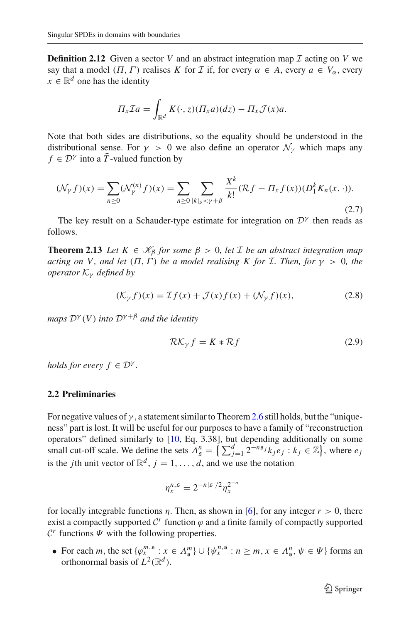**Definition 2.12** Given a sector *V* and an abstract integration map  $I$  acting on *V* we say that a model  $(\Pi, \Gamma)$  realises *K* for *I* if, for every  $\alpha \in A$ , every  $a \in V_\alpha$ , every  $x \in \mathbb{R}^d$  one has the identity

$$
\Pi_x \mathcal{I}a = \int_{\mathbb{R}^d} K(\cdot, z) (\Pi_x a) (dz) - \Pi_x \mathcal{J}(x) a.
$$

Note that both sides are distributions, so the equality should be understood in the distributional sense. For  $\gamma > 0$  we also define an operator  $\mathcal{N}_{\gamma}$  which maps any  $f \in \mathcal{D}^{\gamma}$  into a  $\overline{T}$ -valued function by

$$
(\mathcal{N}_{\gamma}f)(x) = \sum_{n\geq 0} (\mathcal{N}_{\gamma}^{(n)}f)(x) = \sum_{n\geq 0} \sum_{|k|_{\mathfrak{s}} < \gamma + \beta} \frac{X^k}{k!} (\mathcal{R}f - \Pi_x f(x)) (D_1^k K_n(x, \cdot)).
$$
\n(2.7)

<span id="page-10-1"></span>The key result on a Schauder-type estimate for integration on  $\mathcal{D}^{\gamma}$  then reads as follows.

**Theorem 2.13** *Let*  $K \in \mathcal{K}_{\beta}$  *for some*  $\beta > 0$ *, let I be an abstract integration map acting on V, and let*  $(\Pi, \Gamma)$  *be a model realising K for I. Then, for*  $\gamma > 0$ *, the operator K*<sup>γ</sup> *defined by*

$$
(\mathcal{K}_{\gamma} f)(x) = \mathcal{I}f(x) + \mathcal{J}(x)f(x) + (\mathcal{N}_{\gamma} f)(x), \tag{2.8}
$$

*maps*  $\mathcal{D}^{\gamma}(V)$  *into*  $\mathcal{D}^{\gamma+\beta}$  *and the identity* 

$$
\mathcal{RK}_{\gamma} f = K \ast \mathcal{R} f \tag{2.9}
$$

*holds for every*  $f \in \mathcal{D}^{\gamma}$ *.* 

## <span id="page-10-0"></span>**2.2 Preliminaries**

For negative values of  $\gamma$ , a statement similar to Theorem [2.6](#page-8-2) still holds, but the "uniqueness" part is lost. It will be useful for our purposes to have a family of "reconstruction operators" defined similarly to [\[10,](#page-61-0) Eq. 3.38], but depending additionally on some small cut-off scale. We define the sets  $\Lambda_{\mathfrak{s}}^n = \left\{ \sum_{j=1}^d 2^{-n\mathfrak{s}_j} k_j e_j : k_j \in \mathbb{Z} \right\}$ , where  $e_j$ is the *j*th unit vector of  $\mathbb{R}^d$ ,  $j = 1, \ldots, d$ , and we use the notation

$$
\eta_x^{n, \mathfrak{s}} = 2^{-n|\mathfrak{s}|/2} \eta_x^{2^{-n}}
$$

for locally integrable functions  $\eta$ . Then, as shown in [\[6](#page-61-10)], for any integer  $r > 0$ , there exist a compactly supported  $\mathcal{C}^r$  function  $\varphi$  and a finite family of compactly supported  $\mathcal{C}^r$  functions  $\Psi$  with the following properties.

• For each *m*, the set  $\{\varphi_x^{m, \mathfrak{s}} : x \in A_{\mathfrak{s}}^m\} \cup \{\psi_x^{n, \mathfrak{s}} : n \geq m, x \in A_{\mathfrak{s}}^n, \psi \in \Psi\}$  forms an orthonormal basis of  $L^2(\mathbb{R}^d)$ .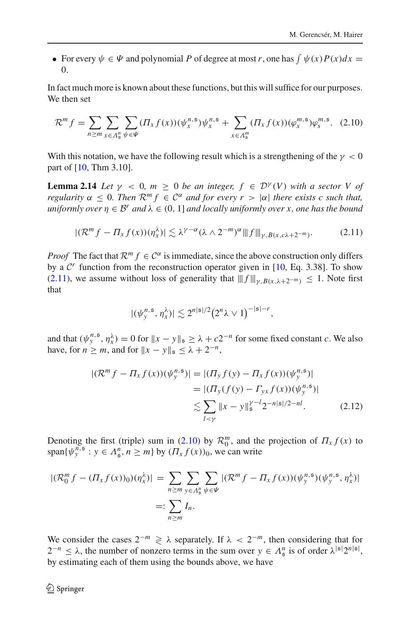• For every  $\psi \in \Psi$  and polynomial P of degree at most r, one has  $\int \psi(x)P(x)dx =$ 0.

In fact much more is known about these functions, but this will suffice for our purposes. We then set

<span id="page-11-1"></span>
$$
\mathcal{R}^{m} f = \sum_{n \geq m} \sum_{x \in \Lambda_{\mathfrak{s}}^{n}} \sum_{\psi \in \Psi} (\Pi_{x} f(x)) (\psi_{x}^{n, \mathfrak{s}}) \psi_{x}^{n, \mathfrak{s}} + \sum_{x \in \Lambda_{\mathfrak{s}}^{m}} (\Pi_{x} f(x)) (\varphi_{x}^{m, \mathfrak{s}}) \varphi_{s}^{m, \mathfrak{s}}.
$$
 (2.10)

With this notation, we have the following result which is a strengthening of the  $\gamma < 0$ part of [\[10,](#page-61-0) Thm 3.10].

**Lemma 2.14** *Let*  $\gamma$  < 0*, m*  $\geq$  0 *be an integer,*  $f \in \mathcal{D}^{\gamma}(V)$  *with a sector* V *of regularity*  $\alpha \leq 0$ *. Then*  $\mathcal{R}^m f \in C^{\alpha}$  *and for every*  $r > |\alpha|$  *there exists c such that, uniformly over*  $\eta \in \mathcal{B}^r$  *and*  $\lambda \in (0, 1]$  *and locally uniformly over x, one has the bound* 

<span id="page-11-0"></span>
$$
|(\mathcal{R}^m f - \Pi_x f(x))(\eta_x^{\lambda})| \lesssim \lambda^{\gamma - \alpha} (\lambda \wedge 2^{-m})^{\alpha} ||f||_{\gamma, B(x, c\lambda + 2^{-m})}.
$$
 (2.11)

*Proof* The fact that  $\mathcal{R}^m f \in \mathcal{C}^\alpha$  is immediate, since the above construction only differs by a  $\mathcal{C}^r$  function from the reconstruction operator given in [\[10,](#page-61-0) Eq. 3.38]. To show [\(2.11\)](#page-11-0), we assume without loss of generality that  $|| f ||_{\gamma, B(x, \lambda + 2^{-m})} \leq 1$ . Note first that

<span id="page-11-2"></span>
$$
|(\psi_{\mathbf{y}}^{n,\mathfrak{s}},\eta_{\mathbf{x}}^{\lambda})|\lesssim 2^{n|\mathfrak{s}|/2}(2^n\lambda\vee 1)^{-|\mathfrak{s}|-r},
$$

and that  $(\psi^{n, \mathfrak{s}}_y, \eta^{\lambda}_x) = 0$  for  $||x - y||_{\mathfrak{s}} \geq \lambda + c2^{-n}$  for some fixed constant *c*. We also have, for  $n \ge m$ , and for  $||x - y||_{\mathfrak{s}} \le \lambda + 2^{-n}$ ,

$$
|(\mathcal{R}^{m} f - \Pi_{x} f(x))(\psi_{y}^{n, \mathfrak{s}})| = |(\Pi_{y} f(y) - \Pi_{x} f(x))(\psi_{y}^{n, \mathfrak{s}})|
$$
  
\n
$$
= |(\Pi_{y}(f(y) - \Pi_{y} f(x))(\psi_{y}^{n, \mathfrak{s}})|
$$
  
\n
$$
\lesssim \sum_{l < y} \|x - y\|_{\mathfrak{s}}^{\gamma - l} 2^{-n|\mathfrak{s}|/2 - nl}.
$$
\n(2.12)

Denoting the first (triple) sum in [\(2.10\)](#page-11-1) by  $\mathcal{R}_0^m$ , and the projection of  $\Pi_x f(x)$  to span $\{\psi^{n, \mathfrak{s}}_y : y \in A^n_{\mathfrak{s}}, n \geq m\}$  by  $(\Pi_x f(x))_0$ , we can write

$$
|(\mathcal{R}_0^m f - (\Pi_x f(x))_0)(\eta_x^{\lambda})| = \sum_{n \ge m} \sum_{y \in \Lambda_s^n} \sum_{\psi \in \Psi} |(\mathcal{R}^m f - \Pi_x f(x))(\psi_y^{n, \mathfrak{s}})(\psi_y^{n, \mathfrak{s}}, \eta_x^{\lambda})|
$$
  
=: 
$$
\sum_{n \ge m} I_n.
$$

We consider the cases  $2^{-m} \ge \lambda$  separately. If  $\lambda < 2^{-m}$ , then considering that for 2<sup>*-n*</sup> ≤  $\lambda$ , the number of nonzero terms in the sum over  $y \in \Lambda_{\mathfrak{s}}^n$  is of order  $\lambda^{|{\mathfrak{s}}|}2^{n|{\mathfrak{s}}|}$ , by estimating each of them using the bounds above, we have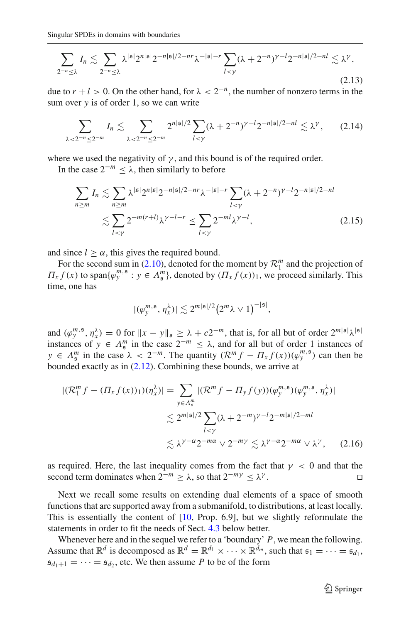$$
\sum_{2^{-n}\leq \lambda} I_n \lesssim \sum_{2^{-n}\leq \lambda} \lambda^{|{\mathfrak{s}}|} 2^{n|{\mathfrak{s}}|} 2^{-n|{\mathfrak{s}}|/2 - nr} \lambda^{-|{\mathfrak{s}}|-r} \sum_{l<\gamma} (\lambda + 2^{-n})^{\gamma-l} 2^{-n|{\mathfrak{s}}|/2 - nl} \lesssim \lambda^{\gamma},\tag{2.13}
$$

due to  $r + l > 0$ . On the other hand, for  $\lambda < 2^{-n}$ , the number of nonzero terms in the sum over *y* is of order 1, so we can write

$$
\sum_{\lambda < 2^{-n} \le 2^{-m}} I_n \lesssim \sum_{\lambda < 2^{-n} \le 2^{-m}} 2^{n|\mathfrak{s}|/2} \sum_{l < \gamma} (\lambda + 2^{-n})^{\gamma - l} 2^{-n|\mathfrak{s}|/2 - n l} \lesssim \lambda^{\gamma},\qquad(2.14)
$$

where we used the negativity of  $\gamma$ , and this bound is of the required order.

In the case  $2^{-m} < \lambda$ , then similarly to before

$$
\sum_{n\geq m} I_n \lesssim \sum_{n\geq m} \lambda^{|{\mathfrak{s}}|} 2^{n|{\mathfrak{s}}|} 2^{-n|{\mathfrak{s}}|/2 - nr} \lambda^{-|{\mathfrak{s}}|-r} \sum_{l<\gamma} (\lambda + 2^{-n})^{\gamma-l} 2^{-n|{\mathfrak{s}}|/2 - nl}
$$
  

$$
\lesssim \sum_{l<\gamma} 2^{-m(r+l)} \lambda^{\gamma-l-r} \leq \sum_{l<\gamma} 2^{-ml} \lambda^{\gamma-l},
$$
 (2.15)

and since  $l \geq \alpha$ , this gives the required bound.

For the second sum in [\(2.10\)](#page-11-1), denoted for the moment by  $\mathcal{R}_1^m$  and the projection of  $\Pi_x f(x)$  to span $\{\varphi_y^{m,s} : y \in \Lambda_{\mathfrak{s}}^m\}$ , denoted by  $(\Pi_x f(x))_1$ , we proceed similarly. This time, one has

$$
|(\varphi_{y}^{m,\mathfrak{s}},\eta_{x}^{\lambda})|\lesssim 2^{m|\mathfrak{s}|/2}(2^{m}\lambda\vee 1)^{-|\mathfrak{s}|},
$$

and  $(\varphi^{m, s}_y, \eta^\lambda_x) = 0$  for  $||x - y||_s \geq \lambda + c2^{-m}$ , that is, for all but of order  $2^{m|s|} \lambda^{|s|}$ instances of  $y \in A_{\mathfrak{s}}^m$  in the case  $2^{-m} \leq \lambda$ , and for all but of order 1 instances of  $y \in \Lambda_{\mathfrak{s}}^m$  in the case  $\lambda < 2^{-m}$ . The quantity  $(\mathcal{R}^m f - \Pi_x f(x))(\varphi_y^{m, \mathfrak{s}})$  can then be bounded exactly as in [\(2.12\)](#page-11-2). Combining these bounds, we arrive at

$$
|(\mathcal{R}_1^m f - (\Pi_x f(x))_1)(\eta_x^{\lambda})| = \sum_{y \in \Lambda_g^m} |(\mathcal{R}^m f - \Pi_y f(y))(\varphi_y^{m, \mathfrak{s}})(\varphi_y^{m, \mathfrak{s}}, \eta_x^{\lambda})|
$$
  

$$
\lesssim 2^{m|\mathfrak{s}|/2} \sum_{l < \gamma} (\lambda + 2^{-m})^{\gamma - l} 2^{-m|\mathfrak{s}|/2 - ml}
$$
  

$$
\lesssim \lambda^{\gamma - \alpha} 2^{-m\alpha} \vee 2^{-m\gamma} \lesssim \lambda^{\gamma - \alpha} 2^{-m\alpha} \vee \lambda^{\gamma}, \quad (2.16)
$$

as required. Here, the last inequality comes from the fact that  $\gamma < 0$  and that the second term dominates when  $2^{-m} \ge \lambda$ , so that  $2^{-m\gamma} \le \lambda^{\gamma}$ .

Next we recall some results on extending dual elements of a space of smooth functions that are supported away from a submanifold, to distributions, at least locally. This is essentially the content of  $[10, Prop. 6.9]$  $[10, Prop. 6.9]$ , but we slightly reformulate the statements in order to fit the needs of Sect. [4.3](#page-25-0) below better.

Whenever here and in the sequel we refer to a 'boundary' *P*, we mean the following. Assume that  $\mathbb{R}^d$  is decomposed as  $\mathbb{R}^d = \mathbb{R}^{d_1} \times \cdots \times \mathbb{R}^{d_m}$ , such that  $\mathfrak{s}_1 = \cdots = \mathfrak{s}_d$ ,  $s_{d_1+1} = \cdots = s_d$ , etc. We then assume *P* to be of the form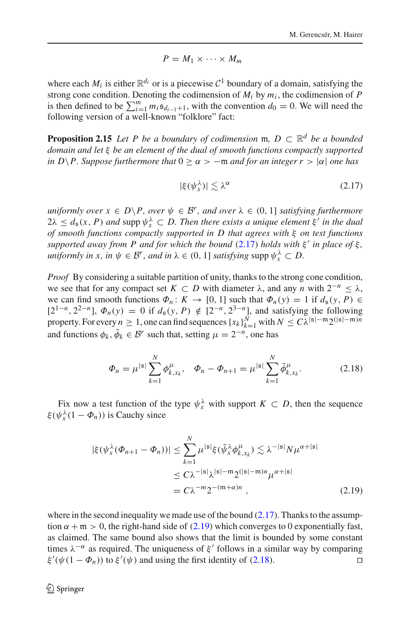$$
P=M_1\times\cdots\times M_m
$$

where each  $M_i$  is either  $\mathbb{R}^{d_i}$  or is a piecewise  $C^1$  boundary of a domain, satisfying the strong cone condition. Denoting the codimension of *Mi* by *mi* , the codimension of *P* is then defined to be  $\sum_{i=1}^{m} m_i \mathfrak{s}_{d_{i-1}+1}$ , with the convention  $d_0 = 0$ . We will need the following version of a well-known "folklore" fact:

<span id="page-13-3"></span>**Proposition 2.15** *Let P be a boundary of codimension* m,  $D \subset \mathbb{R}^d$  *be a bounded domain and let* ξ *be an element of the dual of smooth functions compactly supported in D* $\P$ *P. Suppose furthermore that*  $0 \ge \alpha \ge -m$  *and for an integer r*  $> |\alpha|$  *one has* 

<span id="page-13-0"></span>
$$
|\xi(\psi_x^{\lambda})| \lesssim \lambda^{\alpha} \tag{2.17}
$$

*uniformly over*  $x \in D \backslash P$ , *over*  $\psi \in \mathcal{B}^r$ , *and over*  $\lambda \in (0, 1]$  *satisfying furthermore*  $2\lambda \leq d_{\mathfrak{s}}(x, P)$  *and* supp  $\psi_x^{\lambda} \subset D$ . Then there exists a unique element  $\xi'$  in the dual *of smooth functions compactly supported in D that agrees with* ξ *on test functions supported away from P and for which the bound* [\(2.17\)](#page-13-0) *holds with*  $\xi'$  *in place of*  $\xi$ *, uniformly in x, in*  $\psi \in \mathcal{B}^r$ *, and in*  $\lambda \in (0, 1]$  *satisfying* supp  $\psi_x^{\lambda} \subset D$ .

*Proof* By considering a suitable partition of unity, thanks to the strong cone condition, we see that for any compact set  $K \subset D$  with diameter  $\lambda$ , and any *n* with  $2^{-n} < \lambda$ , we can find smooth functions  $\Phi_n: K \to [0, 1]$  such that  $\Phi_n(y) = 1$  if  $d_s(y, P) \in$ [2<sup>1−*n*</sup>, 2<sup>2−*n*</sup>],  $\Phi_n(y) = 0$  if  $d_s(y, P) \notin [2^{-n}, 2^{3-n}]$ , and satisfying the following property. For every  $n \geq 1$ , one can find sequences  $\{x_k\}_{k=1}^N$  with  $N \leq C\lambda^{|s| - m}2^{(|s| - m)n}$ and functions  $\phi_k$ ,  $\tilde{\phi}_k \in \mathcal{B}^r$  such that, setting  $\mu = 2^{-n}$ , one has

<span id="page-13-2"></span>
$$
\Phi_n = \mu^{|\mathfrak{s}|} \sum_{k=1}^N \phi_{k, x_k}^\mu, \quad \Phi_n - \Phi_{n+1} = \mu^{|\mathfrak{s}|} \sum_{k=1}^N \tilde{\phi}_{k, x_k}^\mu. \tag{2.18}
$$

Fix now a test function of the type  $\psi_x^{\lambda}$  with support  $K \subset D$ , then the sequence  $\xi(\psi_x^{\lambda}(1-\Phi_n))$  is Cauchy since

<span id="page-13-1"></span>
$$
|\xi(\psi_x^{\lambda}(\Phi_{n+1} - \Phi_n))| \le \sum_{k=1}^N \mu^{|\mathfrak{s}|} \xi(\tilde{\psi}_x^{\lambda} \phi_{k,x_k}^{\mu}) \lesssim \lambda^{-|\mathfrak{s}|} N \mu^{\alpha+|\mathfrak{s}|}
$$
  

$$
\le C\lambda^{-|\mathfrak{s}|} \lambda^{|\mathfrak{s}| - \mathfrak{m}} 2^{(|\mathfrak{s}| - \mathfrak{m}) n} \mu^{\alpha+|\mathfrak{s}|}
$$
  

$$
= C\lambda^{-m} 2^{-(\mathfrak{m} + \alpha)n}, \qquad (2.19)
$$

where in the second inequality we made use of the bound  $(2.17)$ . Thanks to the assumption  $\alpha + \mathfrak{m} > 0$ , the right-hand side of [\(2.19\)](#page-13-1) which converges to 0 exponentially fast, as claimed. The same bound also shows that the limit is bounded by some constant times  $\lambda^{-\alpha}$  as required. The uniqueness of  $\xi'$  follows in a similar way by comparing  $\xi'(\psi(1-\Phi_n))$  to  $\xi'(\psi)$  and using the first identity of [\(2.18\)](#page-13-2).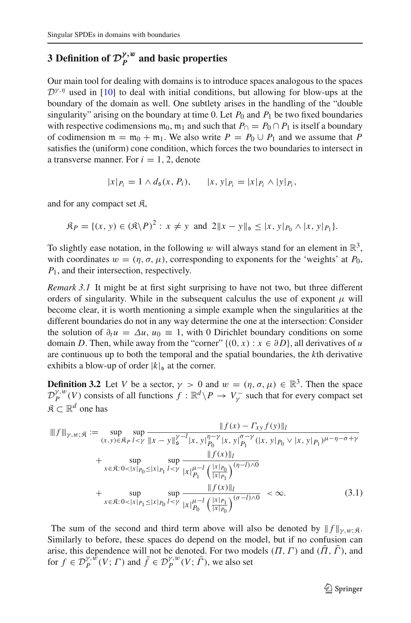# <span id="page-14-0"></span>**3** Definition of  $\mathcal{D}_P^{\gamma, w}$  and basic properties

Our main tool for dealing with domains is to introduce spaces analogous to the spaces  $D^{\gamma,\eta}$  used in [\[10\]](#page-61-0) to deal with initial conditions, but allowing for blow-ups at the boundary of the domain as well. One subtlety arises in the handling of the "double singularity" arising on the boundary at time 0. Let  $P_0$  and  $P_1$  be two fixed boundaries with respective codimensions  $m_0$ ,  $m_1$  and such that  $P_{\cap} = P_0 \cap P_1$  is itself a boundary of codimension  $m = m_0 + m_1$ . We also write  $P = P_0 \cup P_1$  and we assume that P satisfies the (uniform) cone condition, which forces the two boundaries to intersect in a transverse manner. For  $i = 1, 2$ , denote

$$
|x|_{P_i} = 1 \wedge d_{\mathfrak{s}}(x, P_i), \qquad |x, y|_{P_i} = |x|_{P_i} \wedge |y|_{P_i},
$$

and for any compact set  $\mathfrak{K}$ ,

$$
\mathfrak{K}_P = \{ (x, y) \in (\mathfrak{K} \backslash P)^2 : x \neq y \text{ and } 2 \| x - y \|_{\mathfrak{s}} \leq |x, y|_{P_0} \wedge |x, y|_{P_1} \}.
$$

To slightly ease notation, in the following w will always stand for an element in  $\mathbb{R}^3$ , with coordinates  $w = (\eta, \sigma, \mu)$ , corresponding to exponents for the 'weights' at  $P_0$ , *P*1, and their intersection, respectively.

*Remark 3.1* It might be at first sight surprising to have not two, but three different orders of singularity. While in the subsequent calculus the use of exponent  $\mu$  will become clear, it is worth mentioning a simple example when the singularities at the different boundaries do not in any way determine the one at the intersection: Consider the solution of  $\partial_t u = \Delta u$ ,  $u_0 = 1$ , with 0 Dirichlet boundary conditions on some domain *D*. Then, while away from the "corner"  $\{(0, x) : x \in \partial D\}$ , all derivatives of *u* are continuous up to both the temporal and the spatial boundaries, the *k*th derivative exhibits a blow-up of order  $|k|_{\mathfrak{s}}$  at the corner.

**Definition 3.2** Let *V* be a sector,  $\gamma > 0$  and  $w = (\eta, \sigma, \mu) \in \mathbb{R}^3$ . Then the space  $\mathcal{D}_P^{\gamma,w}(V)$  consists of all functions  $f : \mathbb{R}^d \setminus P \to V_\gamma^-$  such that for every compact set  $\mathfrak{K} \subset \mathbb{R}^d$  one has

$$
\|f(x) - \Gamma_{xy} f(y)\|_{l}
$$
  
\n
$$
\|f(x) - \Gamma_{xy} f(y)\|_{l}
$$
  
\n
$$
+ \sup_{x \in \mathfrak{K}: 0 < |x|_{P_0} \le |x|_{P_1} l < y} \sup_{|x|_{P_1}} \frac{\|f(x) - \Gamma_{xy} f(y)\|_{l}}{\|f(x)\|_{l}}
$$
  
\n
$$
+ \sup_{x \in \mathfrak{K}: 0 < |x|_{P_0} \le |x|_{P_1} l < y} \sup_{|x|_{P_1}} \frac{\|f(x)\|_{l}}{\|x\|_{P_1}} \left(\frac{|x|_{P_0}}{\|x\|_{P_1}}\right)^{(\eta - l) \wedge 0}
$$
  
\n
$$
+ \sup_{x \in \mathfrak{K}: 0 < |x|_{P_0} \le |x|_{P_0} l < y} \frac{\|f(x)\|_{l}}{\|x\|_{P_0}} \left(\frac{|x|_{P_1}}{\|x\|_{P_0}}\right)^{(\sigma - l) \wedge 0} < \infty. \tag{3.1}
$$

<span id="page-14-1"></span>The sum of the second and third term above will also be denoted by  $|| f ||_{\gamma,w;\mathfrak{K}}$ . Similarly to before, these spaces do depend on the model, but if no confusion can arise, this dependence will not be denoted. For two models  $(\Pi, \Gamma)$  and  $(\bar{\Pi}, \bar{\Gamma})$ , and for  $f \in \mathcal{D}_P^{\gamma, \hat{w}}(V; \Gamma)$  and  $\bar{f} \in \mathcal{D}_P^{\gamma, w}(V; \bar{\Gamma})$ , we also set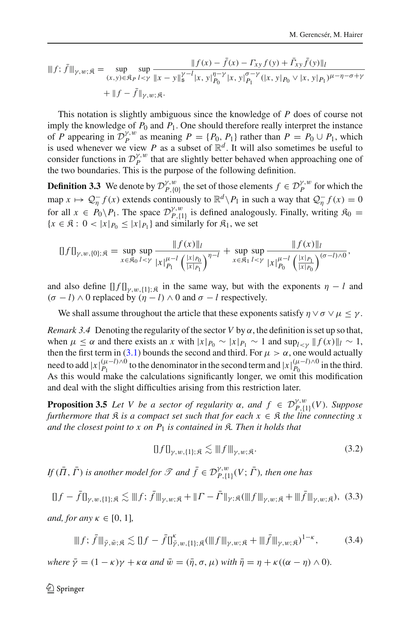$$
\|f; \bar{f}\|_{\gamma,w;\mathfrak{K}} = \sup_{(x,y)\in\mathfrak{K}_P} \sup_{l  
+ 
$$
\|f - \bar{f}\|_{\gamma,w;\mathfrak{K}}.
$$
$$

This notation is slightly ambiguous since the knowledge of *P* does of course not imply the knowledge of  $P_0$  and  $P_1$ . One should therefore really interpret the instance of *P* appearing in  $\mathcal{D}_P^{\gamma,w}$  as meaning  $P = \{P_0, P_1\}$  rather than  $P = P_0 \cup P_1$ , which is used whenever we view *P* as a subset of  $\mathbb{R}^d$ . It will also sometimes be useful to consider functions in  $\mathcal{D}_{p}^{\gamma,w}$  that are slightly better behaved when approaching one of the two boundaries. This is the purpose of the following definition.

**Definition 3.3** We denote by  $\mathcal{D}_{P,\{0\}}^{\gamma,w}$  the set of those elements  $f \in \mathcal{D}_P^{\gamma,w}$  for which the map  $x \mapsto Q_{\eta}^{-} f(x)$  extends continuously to  $\mathbb{R}^{d} \backslash P_1$  in such a way that  $Q_{\eta}^{-} f(x) = 0$ for all  $x \in P_0 \backslash P_1$ . The space  $\mathcal{D}_{P,\{1\}}^{\gamma,w}$  is defined analogously. Finally, writing  $\mathfrak{K}_0 =$  ${x \in \mathfrak{K} : 0 < |x|_{P_0} \le |x|_{P_1}}$  and similarly for  $\mathfrak{K}_1$ , we set

$$
[f f]_{\gamma,w,(0);,\mathfrak{K}} = \sup_{x \in \mathfrak{K}_0} \sup_{l < \gamma} \frac{\|f(x)\|_l}{|x|_{P_1}^{\mu-l} \left(\frac{|x|_{P_0}}{|x|_{P_1}}\right)^{\eta-l}} + \sup_{x \in \mathfrak{K}_1} \sup_{l < \gamma} \frac{\|f(x)\|_l}{|x|_{P_0}^{\mu-l} \left(\frac{|x|_{P_1}}{|x|_{P_0}}\right)^{(\sigma-l)\wedge 0}},
$$

and also define  $[$   $\int$   $\int$   $\int$ <sub> $\gamma$ ,w,{1};  $\beta$  in the same way, but with the exponents  $\eta$  – *l* and</sub>  $(\sigma - l) \wedge 0$  replaced by  $(\eta - l) \wedge 0$  and  $\sigma - l$  respectively.

<span id="page-15-4"></span>We shall assume throughout the article that these exponents satisfy  $\eta \vee \sigma \vee \mu \leq \gamma$ .

*Remark 3.4* Denoting the regularity of the sector *V* by  $\alpha$ , the definition is set up so that, when  $\mu \leq \alpha$  and there exists an *x* with  $|x|_{P_0} \sim |x|_{P_1} \sim 1$  and  $\sup_{l \leq \nu} ||f(x)||_l \sim 1$ , then the first term in [\(3.1\)](#page-14-1) bounds the second and third. For  $\mu > \alpha$ , one would actually need to add  $|x|_{P_1}^{(\mu-l)\wedge 0}$  to the denominator in the second term and  $|x|_{P_0}^{(\mu-l)\wedge 0}$  in the third. As this would make the calculations significantly longer, we omit this modification and deal with the slight difficulties arising from this restriction later.

<span id="page-15-3"></span>**Proposition 3.5** *Let V be a sector of regularity*  $\alpha$ *, and*  $f \in \mathcal{D}_{P, {\{1\}}(V)}^{\gamma, w}(V)$ *. Suppose furthermore that*  $\Re$  *is a compact set such that for each*  $x \in \Re$  *the line connecting*  $x$ *and the closest point to x on P*<sup>1</sup> *is contained in* K*. Then it holds that*

<span id="page-15-0"></span>
$$
\|f\|_{\gamma,w,\{1\};\mathfrak{K}} \lesssim \|f\|_{\gamma,w;\mathfrak{K}}.\tag{3.2}
$$

*If*  $(\bar{\Pi}, \bar{\Gamma})$  *is another model for*  $\mathscr T$  *and*  $\bar{f} \in \mathcal{D}_{P,\{1\}}^{\gamma,w}(V; \bar{\Gamma})$ *, then one has* 

<span id="page-15-1"></span>
$$
\|f - \bar{f}\|_{\gamma, w, \{1\}; \mathfrak{K}} \lesssim \|f; \bar{f}\|_{\gamma, w; \mathfrak{K}} + \|I - \bar{f}\|_{\gamma; \mathfrak{K}} (\|f\|_{\gamma, w; \mathfrak{K}} + \|\bar{f}\|_{\gamma, w; \mathfrak{K}}), (3.3)
$$

*and, for any*  $\kappa \in [0, 1]$ *,* 

<span id="page-15-2"></span>
$$
\|f; \bar{f}\|_{\bar{\gamma},\bar{w};\mathfrak{K}} \lesssim \|f - \bar{f}\|_{\bar{\gamma},w,\{1\};\mathfrak{K}}^{\kappa} (\|f\|_{\gamma,w;\mathfrak{K}} + \|\bar{f}\|_{\gamma,w;\mathfrak{K}})^{1-\kappa},\tag{3.4}
$$

*where*  $\bar{y} = (1 - \kappa)\gamma + \kappa\alpha$  *and*  $\bar{w} = (\bar{\eta}, \sigma, \mu)$  *with*  $\bar{\eta} = \eta + \kappa((\alpha - \eta) \wedge 0)$ *.*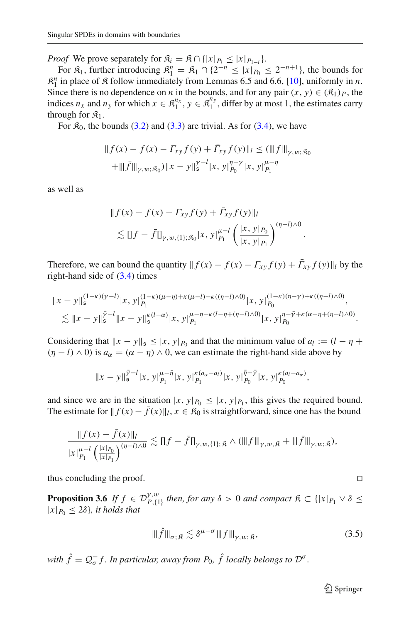*Proof* We prove separately for  $\mathcal{R}_i = \mathcal{R} \cap \{|x|_{P_i} \leq |x|_{P_{i-i}}\}.$ 

For  $\mathfrak{K}_1$ , further introducing  $\mathfrak{K}_1^n = \mathfrak{K}_1 \cap \{2^{-n} \le |x|_{P_0} \le 2^{-n+1}\}$ , the bounds for  $\mathcal{R}_1^n$  in place of  $\mathcal R$  follow immediately from Lemmas 6.5 and 6.6, [\[10](#page-61-0)], uniformly in *n*. Since there is no dependence on *n* in the bounds, and for any pair  $(x, y) \in (\mathfrak{K}_1)_P$ , the indices  $n_x$  and  $n_y$  for which  $x \in \mathbb{R}_1^{n_x}$ ,  $y \in \mathbb{R}_1^{n_y}$ , differ by at most 1, the estimates carry through for  $\mathfrak{K}_1$ .

For  $\mathfrak{K}_0$ , the bounds [\(3.2\)](#page-15-0) and [\(3.3\)](#page-15-1) are trivial. As for [\(3.4\)](#page-15-2), we have

$$
|| f(x) - f(x) - \Gamma_{xy} f(y) + \Gamma_{xy} f(y) ||_l \leq (||f||_{\gamma, w; \mathfrak{K}_0}
$$
  
+ 
$$
|||\bar{f}||_{\gamma, w; \mathfrak{K}_0}) ||x - y||_s^{\gamma - l} |x, y|_{P_0}^{\eta - \gamma} |x, y|_{P_1}^{\mu - \eta}
$$

as well as

$$
|| f(x) - f(x) - \Gamma_{xy} f(y) + \bar{\Gamma}_{xy} f(y) ||_l
$$
  
\$\leq\$ || f - \bar{f}||\_{\gamma, w, \{1\}; \mathfrak{K}\_0} |x, y|\_{P\_1}^{\mu-l} \left( \frac{|x, y|\_{P\_0}}{|x, y|\_{P\_1}} \right)^{(\eta - l) \wedge 0}\$

.

Therefore, we can bound the quantity  $|| f(x) - f(x) - \Gamma_{xy} f(y) + \Gamma_{xy} f(y) ||_l$  by the right-hand side of  $(3.4)$  times

$$
||x - y||_s^{(1-\kappa)(\gamma - l)} |x, y|_{P_1}^{(1-\kappa)(\mu - \eta) + \kappa(\mu - l) - \kappa((\eta - l) \wedge 0)} |x, y|_{P_0}^{(1-\kappa)(\eta - \gamma) + \kappa((\eta - l) \wedge 0)},
$$
  
\$\lesssim ||x - y||\_s^{\gamma - l} ||x - y||\_s^{\kappa(l - \alpha)} |x, y|\_{P\_1}^{\mu - \eta - \kappa(l - \eta + (\eta - l) \wedge 0)} |x, y|\_{P\_0}^{\eta - \bar{\gamma} + \kappa(\alpha - \eta + (\eta - l) \wedge 0)}.

Considering that  $||x - y||_5 \le |x, y|_{P_0}$  and that the minimum value of  $a_l := (l - \eta +$  $(\eta - l) \wedge 0$  is  $a_\alpha = (\alpha - \eta) \wedge 0$ , we can estimate the right-hand side above by

$$
||x-y||_s^{\bar{\gamma}-l}|x,y|_{P_1}^{\mu-\bar{\eta}}|x,y|_{P_1}^{\kappa(a_\alpha-a_l)}|x,y|_{P_0}^{\bar{\eta}-\bar{\gamma}}|x,y|_{P_0}^{\kappa(a_l-a_\alpha)},
$$

and since we are in the situation  $|x, y|_{P_0} \leq |x, y|_{P_1}$ , this gives the required bound. The estimate for  $|| f(x) - \overline{f}(x) ||_l, x \in \mathcal{R}_0$  is straightforward, since one has the bound

$$
\frac{\|f(x)-f(x)\|_l}{|x|_{p_1}^{\mu-l}\left(\frac{|x|_{p_0}}{|x|_{p_1}}\right)^{(\eta-l)\wedge 0}} \lesssim \|f-\bar{f}\|_{\gamma,w,\{1\};\mathfrak{K}} \wedge (\|f\|_{\gamma,w,\mathfrak{K}} + \|\bar{f}\|_{\gamma,w,\mathfrak{K}}),
$$

thus concluding the proof.  $\Box$ 

<span id="page-16-0"></span>**Proposition 3.6** *If*  $f \in \mathcal{D}_{P,\{1\}}^{\gamma,w}$  *then, for any*  $\delta > 0$  *and compact*  $\mathcal{R} \subset \{|x|_{P_1} \vee \delta \le$  $|x|_{P_0} \leq 2\delta$ , *it holds that* 

$$
\|\widehat{f}\|_{\sigma;\mathfrak{K}} \lesssim \delta^{\mu-\sigma} \|f\|_{\gamma,w;\mathfrak{K}},\tag{3.5}
$$

*with*  $\hat{f} = Q_{\sigma}^- f$ . In particular, away from  $P_0$ ,  $\hat{f}$  locally belongs to  $\mathcal{D}^{\sigma}$ .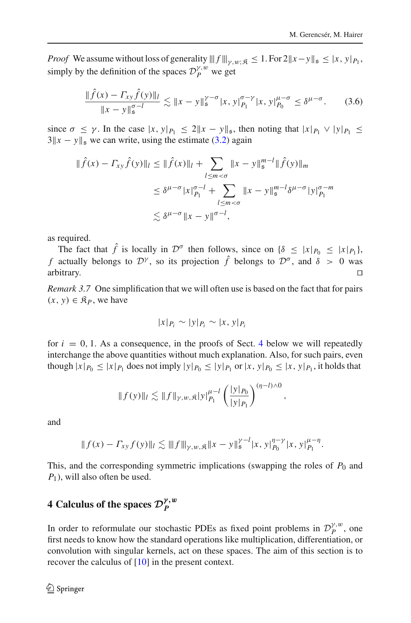*Proof* We assume without loss of generality  $|||f||_{V,w}: g \leq 1$ . For  $2||x-y||_5 \leq |x, y|_{P_1}$ , simply by the definition of the spaces  $\mathcal{D}_P^{\gamma,w}$  we get

$$
\frac{\|\hat{f}(x) - \Gamma_{xy}\hat{f}(y)\|_{l}}{\|x - y\|_{\mathfrak{s}}^{\sigma - l}} \lesssim \|x - y\|_{\mathfrak{s}}^{\gamma - \sigma} |x, y|_{P_1}^{\sigma - \gamma} |x, y|_{P_0}^{\mu - \sigma} \leq \delta^{\mu - \sigma}.
$$
 (3.6)

since  $\sigma \leq \gamma$ . In the case  $|x, y|_{P_1} \leq 2||x - y||_{\mathfrak{s}}$ , then noting that  $|x|_{P_1} \vee |y|_{P_1} \leq$  $3||x - y||_5$  we can write, using the estimate [\(3.2\)](#page-15-0) again

$$
\|\hat{f}(x) - \Gamma_{xy}\hat{f}(y)\|_{l} \le \|\hat{f}(x)\|_{l} + \sum_{l \le m < \sigma} \|x - y\|_{\mathfrak{s}}^{m-l} \|\hat{f}(y)\|_{m}
$$
\n
$$
\le \delta^{\mu-\sigma} |x|_{P_1}^{\sigma-l} + \sum_{l \le m < \sigma} \|x - y\|_{\mathfrak{s}}^{m-l} \delta^{\mu-\sigma} |y|_{P_1}^{\sigma-m}
$$
\n
$$
\lesssim \delta^{\mu-\sigma} \|x - y\|^{\sigma-l},
$$

as required.

The fact that  $\hat{f}$  is locally in  $\mathcal{D}^{\sigma}$  then follows, since on  $\{\delta \leq |x|_{P_0} \leq |x|_{P_1}\}$ , *f* actually belongs to  $\mathcal{D}^{\gamma}$ , so its projection  $\hat{f}$  belongs to  $\mathcal{D}^{\sigma}$ , and  $\delta > 0$  was arbitrary. arbitrary.  $\square$ 

*Remark 3.7* One simplification that we will often use is based on the fact that for pairs  $(x, y) \in \mathcal{R}_P$ , we have

$$
|x|_{P_i} \sim |y|_{P_i} \sim |x, y|_{P_i}
$$

for  $i = 0, 1$ . As a consequence, in the proofs of Sect. [4](#page-17-0) below we will repeatedly interchange the above quantities without much explanation. Also, for such pairs, even though  $|x|_{P_0} \le |x|_{P_1}$  does not imply  $|y|_{P_0} \le |y|_{P_1}$  or  $|x, y|_{P_0} \le |x, y|_{P_1}$ , it holds that

$$
|| f(y)||_{l} \lesssim || f ||_{\gamma,w,\mathfrak{K}} |y|_{P_1}^{\mu-l} \left( \frac{|y|_{P_0}}{|y|_{P_1}} \right)^{(\eta-l)\wedge 0},
$$

and

$$
|| f(x) - \Gamma_{xy} f(y)||_l \lesssim ||f||_{\gamma, w, \mathfrak{K}} ||x - y||_s^{\gamma - l} |x, y|_{P_0}^{\eta - \gamma} |x, y|_{P_1}^{\mu - \eta}.
$$

This, and the corresponding symmetric implications (swapping the roles of  $P_0$  and *P*<sub>1</sub>), will also often be used.

# <span id="page-17-0"></span>**4** Calculus of the spaces  $\mathcal{D}_P^{\gamma, w}$

In order to reformulate our stochastic PDEs as fixed point problems in  $\mathcal{D}_P^{\gamma,w}$ , one first needs to know how the standard operations like multiplication, differentiation, or convolution with singular kernels, act on these spaces. The aim of this section is to recover the calculus of [\[10\]](#page-61-0) in the present context.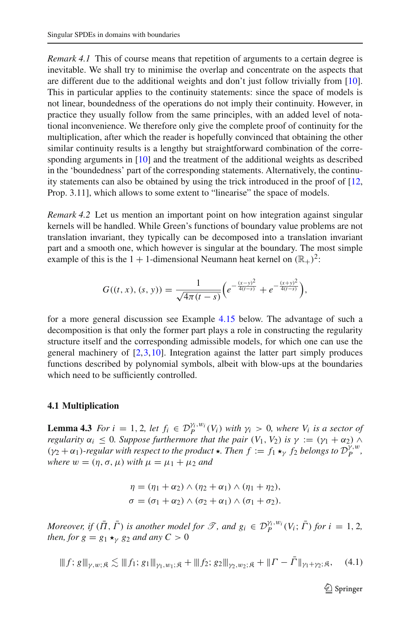*Remark 4.1* This of course means that repetition of arguments to a certain degree is inevitable. We shall try to minimise the overlap and concentrate on the aspects that are different due to the additional weights and don't just follow trivially from [\[10](#page-61-0)]. This in particular applies to the continuity statements: since the space of models is not linear, boundedness of the operations do not imply their continuity. However, in practice they usually follow from the same principles, with an added level of notational inconvenience. We therefore only give the complete proof of continuity for the multiplication, after which the reader is hopefully convinced that obtaining the other similar continuity results is a lengthy but straightforward combination of the corresponding arguments in [\[10\]](#page-61-0) and the treatment of the additional weights as described in the 'boundedness' part of the corresponding statements. Alternatively, the continuity statements can also be obtained by using the trick introduced in the proof of [\[12,](#page-61-2) Prop. 3.11], which allows to some extent to "linearise" the space of models.

*Remark 4.2* Let us mention an important point on how integration against singular kernels will be handled. While Green's functions of boundary value problems are not translation invariant, they typically can be decomposed into a translation invariant part and a smooth one, which however is singular at the boundary. The most simple example of this is the 1 + 1-dimensional Neumann heat kernel on  $(\mathbb{R}_{+})^2$ :

$$
G((t, x), (s, y)) = \frac{1}{\sqrt{4\pi (t - s)}} \left( e^{-\frac{(x - y)^2}{4(t - s)}} + e^{-\frac{(x + y)^2}{4(t - s)}} \right),
$$

for a more general discussion see Example [4.15](#page-37-1) below. The advantage of such a decomposition is that only the former part plays a role in constructing the regularity structure itself and the corresponding admissible models, for which one can use the general machinery of  $[2,3,10]$  $[2,3,10]$  $[2,3,10]$  $[2,3,10]$ . Integration against the latter part simply produces functions described by polynomial symbols, albeit with blow-ups at the boundaries which need to be sufficiently controlled.

#### <span id="page-18-0"></span>**4.1 Multiplication**

<span id="page-18-2"></span>**Lemma 4.3** *For i* = 1, 2*, let*  $f_i \in \mathcal{D}_P^{\gamma_i, w_i}(V_i)$  *with*  $\gamma_i > 0$ *, where*  $V_i$  *is a sector of regularity*  $\alpha_i \leq 0$ *. Suppose furthermore that the pair*  $(V_1, V_2)$  *is*  $\gamma := (\gamma_1 + \alpha_2) \wedge \beta$  $(\gamma_2 + \alpha_1)$ -regular with respect to the product  $\star$ . Then  $f := f_1 \star_\gamma f_2$  belongs to  $\mathcal{D}_P^{\gamma, w}$ , *where*  $w = (\eta, \sigma, \mu)$  *with*  $\mu = \mu_1 + \mu_2$  *and* 

$$
\eta = (\eta_1 + \alpha_2) \wedge (\eta_2 + \alpha_1) \wedge (\eta_1 + \eta_2),
$$
  

$$
\sigma = (\sigma_1 + \alpha_2) \wedge (\sigma_2 + \alpha_1) \wedge (\sigma_1 + \sigma_2).
$$

*Moreover, if*  $(\overline{\Pi}, \overline{\Gamma})$  *is another model for*  $\mathcal{T}$ *, and*  $g_i \in \mathcal{D}_P^{\gamma_i, w_i}(V_i; \overline{\Gamma})$  *for*  $i = 1, 2$ *, then, for*  $g = g_1 \star_{\gamma} g_2$  *and any*  $C > 0$ 

<span id="page-18-1"></span>
$$
\|f; g\|_{\gamma, w; \mathfrak{K}} \lesssim \|f_1; g_1\|_{\gamma_1, w_1; \mathfrak{K}} + \|f_2; g_2\|_{\gamma_2, w_2; \mathfrak{K}} + \|T - \bar{\Gamma}\|_{\gamma_1 + \gamma_2; \mathfrak{K}}, \quad (4.1)
$$

 $\mathcal{D}$  Springer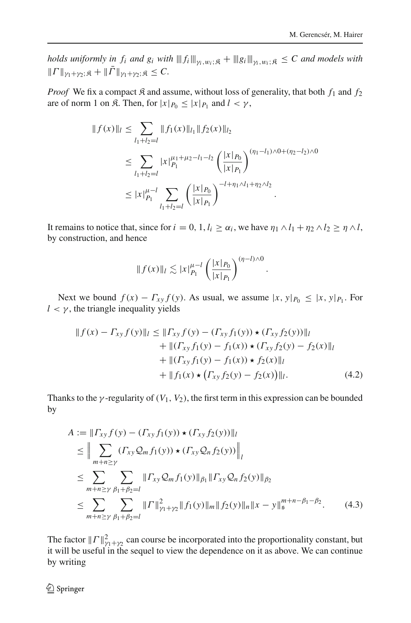*holds uniformly in f<sub>i</sub> and g<sub>i</sub> with*  $|||f_i||_{\gamma_i,w_i;\mathfrak{K}} + |||g_i||_{\gamma_i,w_i;\mathfrak{K}} \leq C$  *and models with*  $||\Gamma||_{\nu_1+\nu_2;\mathfrak{K}} + ||\bar{\Gamma}||_{\nu_1+\nu_2;\mathfrak{K}} \leq C.$ 

*Proof* We fix a compact  $\hat{\mathcal{R}}$  and assume, without loss of generality, that both  $f_1$  and  $f_2$ are of norm 1 on  $\mathfrak{K}$ . Then, for  $|x|_{P_0} \leq |x|_{P_1}$  and  $l < \gamma$ ,

$$
|| f(x)||_{l} \leq \sum_{l_1+l_2=l} || f_1(x)||_{l_1} || f_2(x)||_{l_2}
$$
  
\n
$$
\leq \sum_{l_1+l_2=l} |x|_{P_1}^{\mu_1+\mu_2-l_1-l_2} \left( \frac{|x|_{P_0}}{|x|_{P_1}} \right)^{(\eta_1-l_1)\wedge 0+(\eta_2-l_2)\wedge 0}
$$
  
\n
$$
\leq |x|_{P_1}^{\mu-l} \sum_{l_1+l_2=l} \left( \frac{|x|_{P_0}}{|x|_{P_1}} \right)^{-l+\eta_1\wedge l_1+\eta_2\wedge l_2}.
$$

It remains to notice that, since for  $i = 0, 1, l_i \ge \alpha_i$ , we have  $\eta_1 \wedge l_1 + \eta_2 \wedge l_2 \ge \eta \wedge l$ , by construction, and hence

$$
|| f(x)||_l \lesssim |x|_{P_1}^{\mu-l} \left( \frac{|x|_{P_0}}{|x|_{P_1}} \right)^{(\eta-l)\wedge 0}
$$

Next we bound  $f(x) - \Gamma_{xy} f(y)$ . As usual, we assume  $|x, y|_{P_0} \le |x, y|_{P_1}$ . For  $l < \gamma$ , the triangle inequality yields

$$
|| f(x) - \Gamma_{xy} f(y) ||_l \le || \Gamma_{xy} f(y) - (\Gamma_{xy} f_1(y)) \star (\Gamma_{xy} f_2(y)) ||_l + || (\Gamma_{xy} f_1(y) - f_1(x)) \star (\Gamma_{xy} f_2(y) - f_2(x) ||_l + || (\Gamma_{xy} f_1(y) - f_1(x)) \star f_2(x) ||_l + || f_1(x) \star (\Gamma_{xy} f_2(y) - f_2(x)) ||_l.
$$
 (4.2)

<span id="page-19-1"></span><span id="page-19-0"></span>.

Thanks to the  $\gamma$ -regularity of  $(V_1, V_2)$ , the first term in this expression can be bounded by

$$
A := ||\Gamma_{xy} f(y) - (\Gamma_{xy} f_1(y)) \star (\Gamma_{xy} f_2(y))||_l
$$
  
\n
$$
\leq ||\sum_{m+n \geq y} (\Gamma_{xy} Q_m f_1(y)) \star (\Gamma_{xy} Q_n f_2(y))||_l
$$
  
\n
$$
\leq \sum_{m+n \geq y} \sum_{\beta_1 + \beta_2 = l} ||\Gamma_{xy} Q_m f_1(y)||_{\beta_1} ||\Gamma_{xy} Q_n f_2(y)||_{\beta_2}
$$
  
\n
$$
\leq \sum_{m+n \geq y} \sum_{\beta_1 + \beta_2 = l} ||\Gamma||_{\gamma_1 + \gamma_2}^2 ||f_1(y)||_m ||f_2(y)||_n ||x - y||_s^{m+n-\beta_1-\beta_2}.
$$
 (4.3)

The factor  $||\Gamma||_{\gamma_1+\gamma_2}^2$  can course be incorporated into the proportionality constant, but it will be useful in the sequel to view the dependence on it as above. We can continue by writing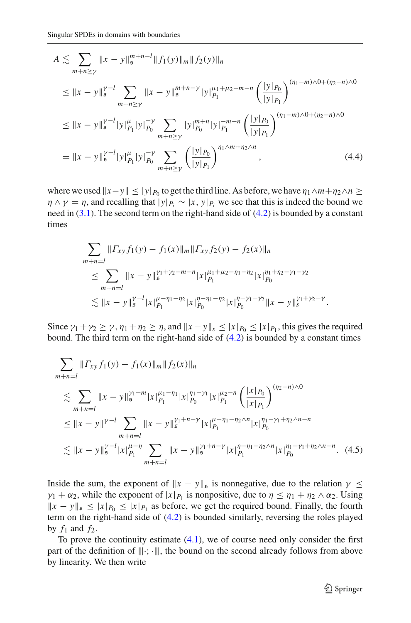$$
A \lesssim \sum_{m+n\geq \gamma} \|x - y\|_{\mathfrak{s}}^{m+n-l} \|f_1(y)\|_{m} \|f_2(y)\|_{n}
$$
  
\n
$$
\leq \|x - y\|_{\mathfrak{s}}^{2-l} \sum_{m+n\geq \gamma} \|x - y\|_{\mathfrak{s}}^{m+n-\gamma} |y|_{P_1}^{\mu_1+\mu_2-m-n} \left(\frac{|y|_{P_0}}{|y|_{P_1}}\right)^{(\eta_1-m)\wedge 0+(\eta_2-n)\wedge 0}
$$
  
\n
$$
\leq \|x - y\|_{\mathfrak{s}}^{2-l} |y|_{P_1}^{\mu} |y|_{P_0}^{-\gamma} \sum_{m+n\geq \gamma} |y|_{P_0}^{m+n} |y|_{P_1}^{-m-n} \left(\frac{|y|_{P_0}}{|y|_{P_1}}\right)^{(\eta_1-m)\wedge 0+(\eta_2-n)\wedge 0}
$$
  
\n
$$
= \|x - y\|_{\mathfrak{s}}^{2-l} |y|_{P_1}^{\mu} |y|_{P_0}^{-\gamma} \sum_{m+n\geq \gamma} \left(\frac{|y|_{P_0}}{|y|_{P_1}}\right)^{\eta_1\wedge m+\eta_2\wedge n}, \tag{4.4}
$$

where we used  $||x-y|| \le |y|_{P_0}$  to get the third line. As before, we have  $\eta_1 \wedge m + \eta_2 \wedge n \ge$  $\eta \wedge \gamma = \eta$ , and recalling that  $|y|_{P_i} \sim |x, y|_{P_i}$  we see that this is indeed the bound we need in  $(3.1)$ . The second term on the right-hand side of  $(4.2)$  is bounded by a constant times

<span id="page-20-0"></span>
$$
\sum_{m+n=l} ||\Gamma_{xy} f_1(y) - f_1(x)||_m ||\Gamma_{xy} f_2(y) - f_2(x)||_n
$$
\n
$$
\leq \sum_{m+n=l} ||x - y||_s^{\gamma_1 + \gamma_2 - m - n} |x|_{P_1}^{\mu_1 + \mu_2 - \eta_1 - \eta_2} |x|_{P_0}^{\eta_1 + \eta_2 - \gamma_1 - \gamma_2}
$$
\n
$$
\lesssim ||x - y||_s^{\gamma - l} |x|_{P_1}^{\mu - \eta_1 - \eta_2} |x|_{P_0}^{\eta - \eta_1 - \eta_2} |x|_{P_0}^{\eta - \gamma_1 - \gamma_2} ||x - y||_s^{\gamma_1 + \gamma_2 - \gamma}.
$$

Since  $\gamma_1 + \gamma_2 \ge \gamma$ ,  $\eta_1 + \eta_2 \ge \eta$ , and  $||x - y||_s \le |x|_{P_0} \le |x|_{P_1}$ , this gives the required bound. The third term on the right-hand side of [\(4.2\)](#page-19-0) is bounded by a constant times

$$
\sum_{m+n=l} ||\Gamma_{xy} f_1(y) - f_1(x)||_m ||f_2(x)||_n
$$
\n
$$
\lesssim \sum_{m+n=l} ||x - y||_s^{\gamma_1 - m} |x|_{P_1}^{\mu_1 - \eta_1} |x|_{P_0}^{\eta_1 - \gamma_1} |x|_{P_1}^{\mu_2 - n} \left( \frac{|x|_{P_0}}{|x|_{P_1}} \right)^{(\eta_2 - n) \wedge 0}
$$
\n
$$
\leq ||x - y||^{\gamma - l} \sum_{m+n=l} ||x - y||_s^{\gamma_1 + n - \gamma} |x|_{P_1}^{\mu - \eta_1 - \eta_2 \wedge n} |x|_{P_0}^{\eta_1 - \gamma_1 + \eta_2 \wedge n - n}
$$
\n
$$
\lesssim ||x - y||_s^{\gamma - l} |x|_{P_1}^{\mu - \eta} \sum_{m+n=l} ||x - y||_s^{\gamma_1 + n - \gamma} |x|_{P_1}^{\eta - \eta_1 - \eta_2 \wedge n} |x|_{P_0}^{\eta_1 - \gamma_1 + \eta_2 \wedge n - n}. \tag{4.5}
$$

<span id="page-20-1"></span>Inside the sum, the exponent of  $||x - y||_{\mathfrak{s}}$  is nonnegative, due to the relation  $\gamma \leq$  $\gamma_1 + \alpha_2$ , while the exponent of  $|x|_{P_1}$  is nonpositive, due to  $\eta \leq \eta_1 + \eta_2 \wedge \alpha_2$ . Using  $||x - y||_5 \le |x|_{P_0} \le |x|_{P_1}$  as before, we get the required bound. Finally, the fourth term on the right-hand side of [\(4.2\)](#page-19-0) is bounded similarly, reversing the roles played by  $f_1$  and  $f_2$ .

To prove the continuity estimate  $(4.1)$ , we of course need only consider the first part of the definition of  $|||\cdot;\cdot|||$ , the bound on the second already follows from above by linearity. We then write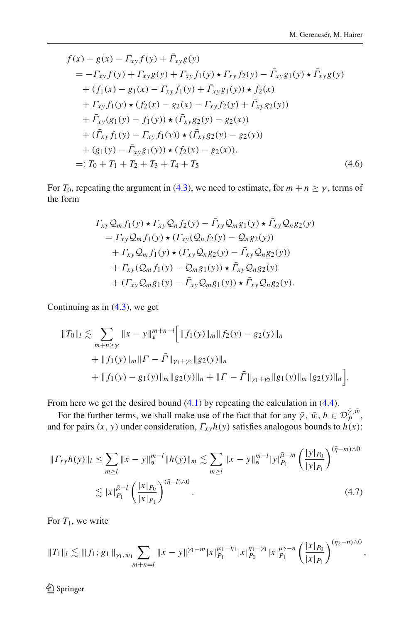$$
f(x) - g(x) - \Gamma_{xy} f(y) + \Gamma_{xy} g(y)
$$
  
=  $- \Gamma_{xy} f(y) + \Gamma_{xy} g(y) + \Gamma_{xy} f_1(y) \star \Gamma_{xy} f_2(y) - \bar{\Gamma}_{xy} g_1(y) \star \bar{\Gamma}_{xy} g(y)$   
+  $(f_1(x) - g_1(x) - \Gamma_{xy} f_1(y) + \bar{\Gamma}_{xy} g_1(y)) \star f_2(x)$   
+  $\Gamma_{xy} f_1(y) \star (f_2(x) - g_2(x) - \Gamma_{xy} f_2(y) + \bar{\Gamma}_{xy} g_2(y))$   
+  $\bar{\Gamma}_{xy} (g_1(y) - f_1(y)) \star (\bar{\Gamma}_{xy} g_2(y) - g_2(x))$   
+  $(\bar{\Gamma}_{xy} f_1(y) - \Gamma_{xy} f_1(y)) \star (\bar{\Gamma}_{xy} g_2(y) - g_2(y))$   
+  $(g_1(y) - \bar{\Gamma}_{xy} g_1(y)) \star (f_2(x) - g_2(x)).$   
=:  $T_0 + T_1 + T_2 + T_3 + T_4 + T_5$  (4.6)

For  $T_0$ , repeating the argument in [\(4.3\)](#page-19-1), we need to estimate, for  $m + n \ge \gamma$ , terms of the form

$$
\Gamma_{xy}Q_m f_1(y) \star \Gamma_{xy}Q_n f_2(y) - \bar{\Gamma}_{xy}Q_m g_1(y) \star \bar{\Gamma}_{xy}Q_n g_2(y)
$$
  
=  $\Gamma_{xy}Q_m f_1(y) \star (\Gamma_{xy}(Q_n f_2(y) - Q_n g_2(y)))$   
+  $\Gamma_{xy}Q_m f_1(y) \star (\Gamma_{xy}Q_n g_2(y) - \bar{\Gamma}_{xy}Q_n g_2(y))$   
+  $\Gamma_{xy}(Q_m f_1(y) - Q_m g_1(y)) \star \bar{\Gamma}_{xy}Q_n g_2(y)$   
+  $(\Gamma_{xy}Q_m g_1(y) - \bar{\Gamma}_{xy}Q_m g_1(y)) \star \bar{\Gamma}_{xy}Q_n g_2(y).$ 

Continuing as in [\(4.3\)](#page-19-1), we get

$$
||T_0||_l \lesssim \sum_{m+n \ge \gamma} ||x - y||_{\mathfrak{s}}^{m+n-l} \Big[ ||f_1(y)||_m ||f_2(y) - g_2(y)||_n + ||f_1(y)||_m ||\Gamma - \bar{\Gamma}||_{\gamma_1 + \gamma_2} ||g_2(y)||_n + ||f_1(y) - g_1(y)||_m ||g_2(y)||_n + ||\Gamma - \bar{\Gamma}||_{\gamma_1 + \gamma_2} ||g_1(y)||_m ||g_2(y)||_n \Big].
$$

From here we get the desired bound  $(4.1)$  by repeating the calculation in  $(4.4)$ .

For the further terms, we shall make use of the fact that for any  $\bar{\gamma}$ ,  $\bar{w}$ ,  $h \in \mathcal{D}_P^{\bar{\gamma}, \bar{w}}$ , and for pairs  $(x, y)$  under consideration,  $\Gamma_{xy}h(y)$  satisfies analogous bounds to  $h(x)$ :

<span id="page-21-0"></span>
$$
||\Gamma_{xy}h(y)||_l \le \sum_{m\ge l} ||x - y||_{\mathfrak{s}}^{m-l} ||h(y)||_m \lesssim \sum_{m\ge l} ||x - y||_{\mathfrak{s}}^{m-l} |y|_{P_1}^{\bar{\mu}-m} \left(\frac{|y|_{P_0}}{|y|_{P_1}}\right)^{(\bar{\eta}-m)\wedge 0}
$$
  

$$
\lesssim |x|_{P_1}^{\bar{\mu}-l} \left(\frac{|x|_{P_0}}{|x|_{P_1}}\right)^{(\bar{\eta}-l)\wedge 0}.
$$
 (4.7)

For  $T_1$ , we write

$$
||T_1||_l \lesssim |||f_1; g_1|||_{\gamma_1, w_1} \sum_{m+n=l} ||x-y||^{\gamma_1-m} |x|_{P_1}^{\mu_1-\eta_1} |x|_{P_0}^{\eta_1-\gamma_1} |x|_{P_1}^{\mu_2-n} \left(\frac{|x|_{P_0}}{|x|_{P_1}}\right)^{(\eta_2-n)\wedge 0},
$$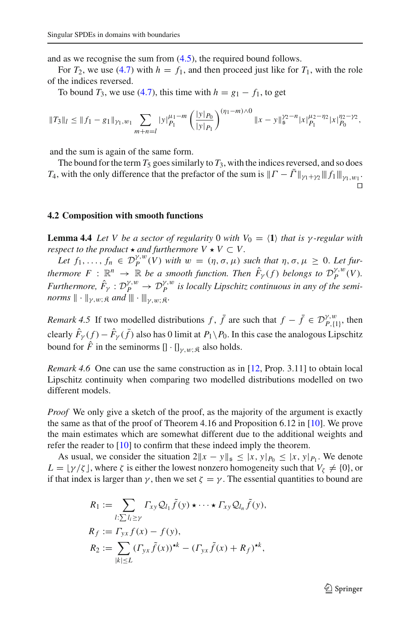and as we recognise the sum from [\(4.5\)](#page-20-1), the required bound follows.

For  $T_2$ , we use [\(4.7\)](#page-21-0) with  $h = f_1$ , and then proceed just like for  $T_1$ , with the role of the indices reversed.

To bound  $T_3$ , we use [\(4.7\)](#page-21-0), this time with  $h = g_1 - f_1$ , to get

$$
||T_3||_l \leq ||f_1 - g_1||_{\gamma_1, w_1} \sum_{m+n=l} |y|_{P_1}^{\mu_1 - m} \left( \frac{|y|_{P_0}}{|y|_{P_1}} \right)^{(\eta_1 - m)\wedge 0} ||x - y||_s^{\gamma_2 - n} |x|_{P_1}^{\mu_2 - \eta_2} |x|_{P_0}^{\eta_2 - \gamma_2},
$$

and the sum is again of the same form.

The bound for the term  $T_5$  goes similarly to  $T_3$ , with the indices reversed, and so does *T*<sub>4</sub>, with the only difference that the prefactor of the sum is  $||T - \bar{T}||_{\gamma_1 + \gamma_2} || ||f_1||_{\gamma_1, w_1}$ .  $\Box$ 

#### <span id="page-22-0"></span>**4.2 Composition with smooth functions**

<span id="page-22-1"></span>**Lemma 4.4** *Let V be a sector of regularity* 0 *with*  $V_0 = \langle 1 \rangle$  *that is*  $\gamma$ *-regular with respect to the product*  $\star$  *and furthermore*  $V \star V \subset V$ .

Let  $f_1, \ldots, f_n \in \mathcal{D}_P^{\gamma,w}(V)$  with  $w = (\eta, \sigma, \mu)$  such that  $\eta, \sigma, \mu \geq 0$ . Let fur*thermore*  $F : \mathbb{R}^n \to \mathbb{R}$  *be a smooth function. Then*  $\hat{F}_\gamma(f)$  *belongs to*  $\mathcal{D}_P^{\gamma,w}(V)$ *. Furthermore,*  $\hat{F}_\gamma : \mathcal{D}_P^{\gamma,w} \to \mathcal{D}_P^{\gamma,w}$  is locally Lipschitz continuous in any of the semi*norms*  $\|\cdot\|_{\gamma,w;\mathfrak{K}}$  *and*  $\|\cdot\|_{\gamma,w;\mathfrak{K}}$ .

*Remark 4.5* If two modelled distributions *f*,  $\bar{f}$  are such that  $f - \bar{f} \in \mathcal{D}_{P,\{1\}}^{\gamma,w}$ , then clearly  $F_\gamma(f) - F_\gamma(f)$  also has 0 limit at  $P_1 \backslash P_0$ . In this case the analogous Lipschitz bound for  $\hat{F}$  in the seminorms  $[\cdot] \cdot [\cdot]_{\gamma,w;\hat{\mathcal{R}}}$  also holds.

*Remark 4.6* One can use the same construction as in [\[12](#page-61-2), Prop. 3.11] to obtain local Lipschitz continuity when comparing two modelled distributions modelled on two different models.

*Proof* We only give a sketch of the proof, as the majority of the argument is exactly the same as that of the proof of Theorem 4.16 and Proposition 6.12 in [\[10](#page-61-0)]. We prove the main estimates which are somewhat different due to the additional weights and refer the reader to [\[10\]](#page-61-0) to confirm that these indeed imply the theorem.

As usual, we consider the situation  $2||x - y||_{\mathfrak{s}} \le |x, y|_{P_0} \le |x, y|_{P_1}$ . We denote  $L = \left[\gamma/\zeta\right]$ , where  $\zeta$  is either the lowest nonzero homogeneity such that  $V_{\zeta} \neq \{0\}$ , or if that index is larger than  $\gamma$ , then we set  $\zeta = \gamma$ . The essential quantities to bound are

$$
R_1 := \sum_{l:\sum l_i \ge \gamma} \Gamma_{xy} \mathcal{Q}_{l_1} \tilde{f}(y) \star \cdots \star \Gamma_{xy} \mathcal{Q}_{l_n} \tilde{f}(y),
$$
  
\n
$$
R_f := \Gamma_{yx} f(x) - f(y),
$$
  
\n
$$
R_2 := \sum_{|k| \le L} (\Gamma_{yx} \tilde{f}(x))^{*k} - (\Gamma_{yx} \tilde{f}(x) + R_f)^{*k},
$$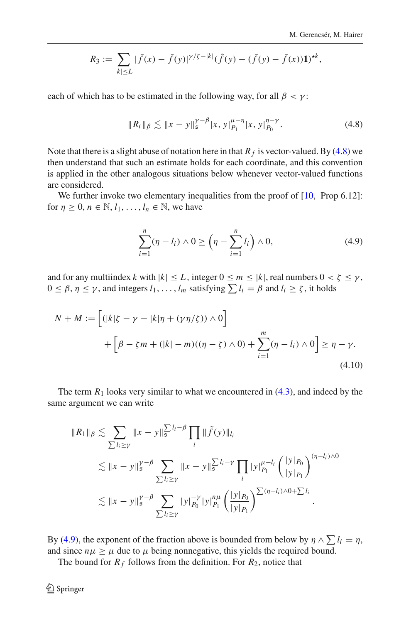$$
R_3 := \sum_{|k| \le L} |\bar{f}(x) - \bar{f}(y)|^{\gamma/\zeta - |k|} (\tilde{f}(y) - (\bar{f}(y) - \bar{f}(x))1)^{\star k},
$$

each of which has to be estimated in the following way, for all  $\beta < \gamma$ :

<span id="page-23-0"></span>
$$
||R_i||_{\beta} \lesssim ||x - y||_{\mathfrak{s}}^{\gamma - \beta} |x, y|_{P_1}^{\mu - \eta} |x, y|_{P_0}^{\eta - \gamma}.
$$
 (4.8)

Note that there is a slight abuse of notation here in that  $R_f$  is vector-valued. By [\(4.8\)](#page-23-0) we then understand that such an estimate holds for each coordinate, and this convention is applied in the other analogous situations below whenever vector-valued functions are considered.

We further invoke two elementary inequalities from the proof of  $[10, Prop 6.12]$  $[10, Prop 6.12]$ : for  $\eta \geq 0$ ,  $n \in \mathbb{N}$ ,  $l_1, \ldots, l_n \in \mathbb{N}$ , we have

<span id="page-23-2"></span><span id="page-23-1"></span>
$$
\sum_{i=1}^{n} (\eta - l_i) \wedge 0 \ge \left(\eta - \sum_{i=1}^{n} l_i\right) \wedge 0,
$$
\n(4.9)

and for any multiindex *k* with  $|k| \leq L$ , integer  $0 \leq m \leq |k|$ , real numbers  $0 < \zeta \leq \gamma$ ,  $0 \le \beta, \eta \le \gamma$ , and integers  $l_1, \ldots, l_m$  satisfying  $\sum l_i = \beta$  and  $l_i \ge \zeta$ , it holds

$$
N + M := \left[ (|k|\zeta - \gamma - |k|\eta + (\gamma \eta/\zeta)) \wedge 0 \right]
$$
  
+ 
$$
\left[ \beta - \zeta m + (|k| - m)((\eta - \zeta) \wedge 0) + \sum_{i=1}^{m} (\eta - l_i) \wedge 0 \right] \ge \eta - \gamma.
$$
 (4.10)

The term  $R_1$  looks very similar to what we encountered in  $(4.3)$ , and indeed by the same argument we can write

$$
\|R_1\|_{\beta} \lesssim \sum_{\sum l_i \geq \gamma} \|x - y\|_{\mathfrak{s}}^{\sum l_i - \beta} \prod_i \|\tilde{f}(y)\|_{l_i}
$$
  

$$
\lesssim \|x - y\|_{\mathfrak{s}}^{\gamma - \beta} \sum_{\sum l_i \geq \gamma} \|x - y\|_{\mathfrak{s}}^{\sum l_i - \gamma} \prod_i |y|_{P_1}^{\mu - l_i} \left(\frac{|y|_{P_0}}{|y|_{P_1}}\right)^{(\eta - l_i) \wedge 0}
$$
  

$$
\lesssim \|x - y\|_{\mathfrak{s}}^{\gamma - \beta} \sum_{\sum l_i \geq \gamma} |y|_{P_0}^{-\gamma} |y|_{P_1}^{n\mu} \left(\frac{|y|_{P_0}}{|y|_{P_1}}\right)^{\sum (\eta - l_i) \wedge 0 + \sum l_i}.
$$

By [\(4.9\)](#page-23-1), the exponent of the fraction above is bounded from below by  $\eta \wedge \sum l_i = \eta$ , and since  $n\mu \geq \mu$  due to  $\mu$  being nonnegative, this yields the required bound.

The bound for  $R_f$  follows from the definition. For  $R_2$ , notice that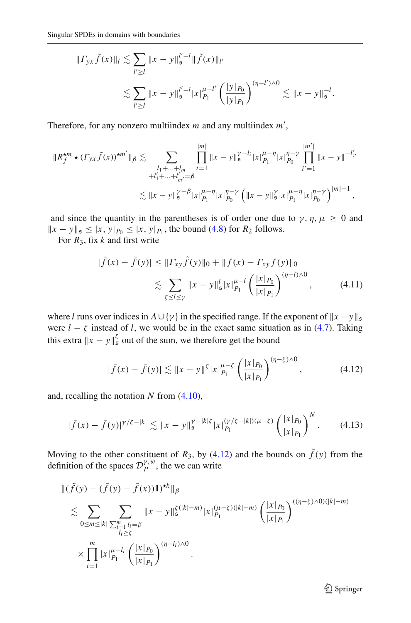$$
||\Gamma_{yx}\tilde{f}(x)||_l \lesssim \sum_{l'\geq l} ||x-y||_{\mathfrak{s}}^{l'-l} ||\tilde{f}(x)||_{l'}
$$
  

$$
\lesssim \sum_{l'\geq l} ||x-y||_{\mathfrak{s}}^{l'-l} |x|_{P_1}^{\mu-l'} \left(\frac{|y|_{P_0}}{|y|_{P_1}}\right)^{(\eta-l')\wedge 0} \lesssim ||x-y||_{\mathfrak{s}}^{-l}.
$$

Therefore, for any nonzero multiindex m and any multiindex m',

$$
\|R_f^{\star m} \star (F_{yx} \tilde{f}(x))^{\star m'}\|_{\beta} \lesssim \sum_{\substack{l_1 + ... + l_m \\ +l'_1 + ... +l'_m = \beta}} \prod_{i=1}^{|m|} \|x - y\|_{\mathfrak{s}}^{\gamma - l_i} |x|_{P_1}^{\mu - \eta} |x|_{P_0}^{\eta - \gamma} \prod_{i'=1}^{|m'|} \|x - y\|_{i'}^{-l'_i}
$$
  

$$
\lesssim \|x - y\|_{\mathfrak{s}}^{\gamma - \beta} |x|_{P_1}^{\mu - \eta} |x|_{P_0}^{\eta - \gamma} \left( \|x - y\|_{\mathfrak{s}}^{\gamma} |x|_{P_1}^{\mu - \eta} |x|_{P_0}^{\eta - \gamma} \right)^{|m| - 1},
$$

and since the quantity in the parentheses is of order one due to  $\gamma$ ,  $\eta$ ,  $\mu \geq 0$  and  $||x - y||_5 \le |x, y|_{P_0} \le |x, y|_{P_1}$ , the bound [\(4.8\)](#page-23-0) for  $R_2$  follows.

For *R*3, fix *k* and first write

<span id="page-24-2"></span>
$$
|\bar{f}(x) - \bar{f}(y)| \le ||\varGamma_{xy}\tilde{f}(y)||_0 + ||f(x) - \varGamma_{xy}f(y)||_0
$$
  

$$
\lesssim \sum_{\zeta \le l \le \gamma} ||x - y||_s^l |x|_{P_l}^{l-l} \left(\frac{|x|_{P_0}}{|x|_{P_l}}\right)^{(\eta - l) \wedge 0}, \tag{4.11}
$$

where *l* runs over indices in  $A \cup \{\gamma\}$  in the specified range. If the exponent of  $||x - y||_{\mathfrak{s}}$ were  $l - \zeta$  instead of *l*, we would be in the exact same situation as in [\(4.7\)](#page-21-0). Taking this extra  $||x - y||_5^{\zeta}$  out of the sum, we therefore get the bound

<span id="page-24-0"></span>
$$
|\bar{f}(x) - \bar{f}(y)| \lesssim \|x - y\|^{\xi} |x|_{P_1}^{\mu - \xi} \left( \frac{|x|_{P_0}}{|x|_{P_1}} \right)^{(\eta - \xi) \wedge 0}, \tag{4.12}
$$

and, recalling the notation *N* from [\(4.10\)](#page-23-2),

<span id="page-24-1"></span>
$$
|\bar{f}(x) - \bar{f}(y)|^{\gamma/\zeta - |k|} \lesssim \|x - y\|_{\mathfrak{s}}^{\gamma - |k|\zeta} |x|_{P_1}^{(\gamma/\zeta - |k|)(\mu - \zeta)} \left(\frac{|x|_{P_0}}{|x|_{P_1}}\right)^N. \tag{4.13}
$$

Moving to the other constituent of  $R_3$ , by  $(4.12)$  and the bounds on  $f(y)$  from the definition of the spaces  $\mathcal{D}_P^{\gamma,w}$ , the we can write

$$
\begin{split} &\|(\tilde{f}(y) - (\bar{f}(y) - \bar{f}(x))\mathbf{1})^{\star k}\|_{\beta} \\ &\lesssim \sum_{0 \le m \le |k|} \sum_{\substack{\sum_{i=1}^m l_i = \beta \\ l_i \ge \zeta}} \|x - y\|_{\mathfrak{s}}^{\frac{\kappa}{2}(k-m)} |x|_{P_1}^{(\mu-\zeta)(|k|-m)} \left(\frac{|x|_{P_0}}{|x|_{P_1}}\right)^{((\eta-\zeta)\wedge 0)(|k|-m)} \\ &\times \prod_{i=1}^m |x|_{P_1}^{\mu-l_i} \left(\frac{|x|_{P_0}}{|x|_{P_1}}\right)^{(\eta-l_i)\wedge 0} .\end{split}
$$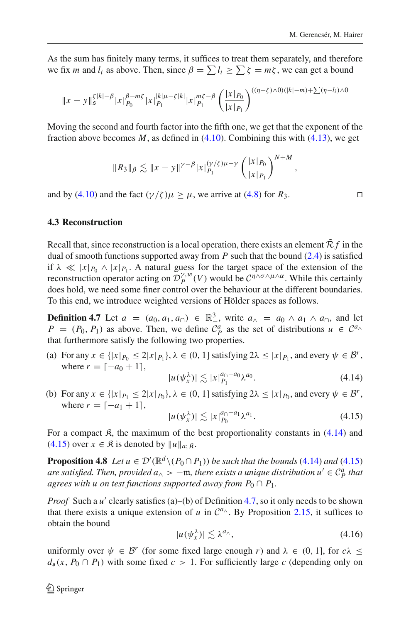,

As the sum has finitely many terms, it suffices to treat them separately, and therefore we fix *m* and *l<sub>i</sub>* as above. Then, since  $\beta = \sum l_i \ge \sum \zeta = m\zeta$ , we can get a bound

$$
||x-y||_s^{\zeta |k|-\beta} |x|_{P_0}^{\beta-m\zeta} |x||_{P_1}^{|k|\mu-\zeta|k|} |x|_{P_1}^{m\zeta-\beta} \left(\frac{|x|_{P_0}}{|x|_{P_1}}\right)^{((\eta-\zeta)\wedge 0)(|k|-m)+\sum (\eta-l_i)\wedge 0}
$$

Moving the second and fourth factor into the fifth one, we get that the exponent of the fraction above becomes *M*, as defined in [\(4.10\)](#page-23-2). Combining this with [\(4.13\)](#page-24-1), we get

$$
||R_3||_{\beta} \lesssim ||x - y||^{\gamma - \beta} |x|_{P_1}^{(\gamma/\zeta)\mu - \gamma} \left(\frac{|x|_{P_0}}{|x|_{P_1}}\right)^{N+M}
$$

and by [\(4.10\)](#page-23-2) and the fact  $(\gamma/\zeta)\mu \ge \mu$ , we arrive at [\(4.8\)](#page-23-0) for  $R_3$ .

## <span id="page-25-0"></span>**4.3 Reconstruction**

Recall that, since reconstruction is a local operation, there exists an element  $\mathcal{R}f$  in the dual of smooth functions supported away from *P* such that the bound [\(2.4\)](#page-8-0) is satisfied if  $\lambda \ll |x|_{P_0} \wedge |x|_{P_1}$ . A natural guess for the target space of the extension of the reconstruction operator acting on  $\mathcal{D}_{P}^{\gamma,w}(V)$  would be  $\mathcal{C}^{\eta\wedge\sigma\wedge\mu\wedge\alpha}$ . While this certainly does hold, we need some finer control over the behaviour at the different boundaries. To this end, we introduce weighted versions of Hölder spaces as follows.

<span id="page-25-3"></span>**Definition 4.7** Let  $a = (a_0, a_1, a_0) \in \mathbb{R}^3$ , write  $a_\wedge = a_0 \wedge a_1 \wedge a_0$ , and let  $P = (P_0, P_1)$  as above. Then, we define  $C_p^a$  as the set of distributions  $u \in C^{a} \setminus C^a$ that furthermore satisfy the following two properties.

(a) For any  $x \in \{|x|_{P_0} \leq 2|x|_{P_1}\}$ ,  $\lambda \in (0, 1]$  satisfying  $2\lambda \leq |x|_{P_1}$ , and every  $\psi \in \mathcal{B}^r$ , where  $r = [-a_0 + 1]$ ,

<span id="page-25-1"></span>
$$
|u(\psi_x^{\lambda})| \lesssim |x|_{P_1}^{a_{\cap}-a_0} \lambda^{a_0}.
$$
 (4.14)

(b) For any  $x \in \{|x|P_1 \leq 2|x|P_0\}$ ,  $\lambda \in (0, 1]$  satisfying  $2\lambda \leq |x|P_0$ , and every  $\psi \in \mathcal{B}^r$ , where  $r = [-a_1 + 1]$ ,

<span id="page-25-2"></span>
$$
|u(\psi_x^{\lambda})| \lesssim |x|_{P_0}^{a_0 - a_1} \lambda^{a_1}.
$$
 (4.15)

For a compact  $\mathfrak{K}$ , the maximum of the best proportionality constants in [\(4.14\)](#page-25-1) and  $(4.15)$  over  $x \in \mathbb{R}$  is denoted by  $||u||_{a;\mathbb{R}}$ .

<span id="page-25-5"></span>**Proposition 4.8** *Let*  $u \in \mathcal{D}'(\mathbb{R}^d \setminus (P_0 \cap P_1))$  *be such that the bounds* [\(4.14\)](#page-25-1) *and* [\(4.15\)](#page-25-2) *are satisfied. Then, provided*  $a_{\wedge} > -\mathfrak{m}$ *, there exists a unique distribution*  $u' \in \mathcal{C}_{P}^{a}$  *that agrees with u on test functions supported away from*  $P_0 \cap P_1$ *.* 

*Proof* Such a *u'* clearly satisfies (a)–(b) of Definition [4.7,](#page-25-3) so it only needs to be shown that there exists a unique extension of *u* in  $C^{a_{\wedge}}$ . By Proposition [2.15,](#page-13-3) it suffices to obtain the bound

<span id="page-25-4"></span>
$$
|u(\psi_x^{\lambda})| \lesssim \lambda^{a_{\wedge}}, \tag{4.16}
$$

uniformly over  $\psi \in \mathcal{B}^r$  (for some fixed large enough *r*) and  $\lambda \in (0, 1]$ , for  $c\lambda$  <  $d_5(x, P_0 \cap P_1)$  with some fixed  $c > 1$ . For sufficiently large *c* (depending only on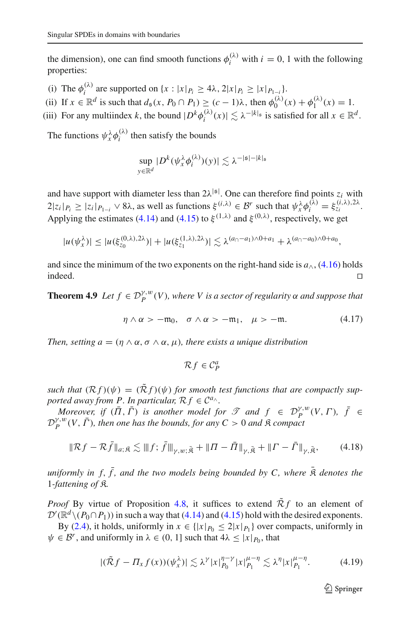the dimension), one can find smooth functions  $\phi_i^{(\lambda)}$  with  $i = 0, 1$  with the following properties:

- (i) The  $\phi_i^{(\lambda)}$  are supported on  $\{x : |x|_{P_i} \ge 4\lambda, 2|x|_{P_i} \ge |x|_{P_{1-i}}\}.$
- (ii) If  $x \in \mathbb{R}^d$  is such that  $d_{\mathfrak{s}}(x, P_0 \cap P_1) \geq (c-1)\lambda$ , then  $\phi_0^{(\lambda)}(x) + \phi_1^{(\lambda)}(x) = 1$ .
- (iii) For any multiindex *k*, the bound  $|D^k \phi_i^{(\lambda)}(x)| \lesssim \lambda^{-|k|_{\mathfrak{s}}}$  is satisfied for all  $x \in \mathbb{R}^d$ .

The functions  $\psi_x^{\lambda} \phi_i^{(\lambda)}$  then satisfy the bounds

$$
\sup_{y \in \mathbb{R}^d} |D^k(\psi_x^{\lambda} \phi_i^{(\lambda)})(y)| \lesssim \lambda^{-|\mathfrak{s}| - |k|_{\mathfrak{s}}}
$$

and have support with diameter less than  $2\lambda^{|\mathfrak{s}|}$ . One can therefore find points  $z_i$  with  $2|z_i|_{P_i} \geq |z_i|_{P_{1-i}} \vee 8\lambda$ , as well as functions  $\xi^{(i,\lambda)} \in \mathcal{B}^r$  such that  $\psi_x^{\lambda} \phi_i^{(\lambda)} = \xi_{z_i}^{(i,\lambda),2\lambda}$ . Applying the estimates [\(4.14\)](#page-25-1) and [\(4.15\)](#page-25-2) to  $\xi^{(1,\lambda)}$  and  $\xi^{(0,\lambda)}$ , respectively, we get

$$
|u(\psi_x^{\lambda})| \leq |u(\xi_{z_0}^{(0,\lambda),2\lambda})| + |u(\xi_{z_1}^{(1,\lambda),2\lambda})| \lesssim \lambda^{(a_0-a_1)\wedge 0+a_1} + \lambda^{(a_0-a_0)\wedge 0+a_0},
$$

and since the minimum of the two exponents on the right-hand side is  $a_{\wedge}$ , [\(4.16\)](#page-25-4) holds indeed. indeed.

<span id="page-26-2"></span>**Theorem 4.9** *Let*  $f \in \mathcal{D}_P^{\gamma,w}(V)$ , where V is a sector of regularity  $\alpha$  and suppose that

<span id="page-26-1"></span>
$$
\eta \wedge \alpha > -\mathfrak{m}_0, \quad \sigma \wedge \alpha > -\mathfrak{m}_1, \quad \mu > -\mathfrak{m}.\tag{4.17}
$$

*Then, setting*  $a = (\eta \wedge \alpha, \sigma \wedge \alpha, \mu)$ *, there exists a unique distribution* 

$$
\mathcal{R}f \in \mathcal{C}^a_P
$$

*such that*  $(R f)(\psi) = (\tilde{R} f)(\psi)$  *for smooth test functions that are compactly supported away from P. In particular,*  $R f \in C^{a}$ .

*Moreover, if*  $(\overline{\Pi}, \overline{\Gamma})$  *is another model for*  $\mathscr T$  *and*  $f \in \mathcal D_P^{y,w}(V, \Gamma)$ ,  $\overline{f} \in$  $D_P^{\gamma,w}(V, \bar{\Gamma})$ , then one has the bounds, for any  $C > 0$  and  $\hat{\mathcal{R}}$  compact

$$
\|\mathcal{R}f - \mathcal{R}\bar{f}\|_{a;\bar{\mathfrak{K}}}\lesssim \|f;\bar{f}\|_{\gamma,w;\bar{\mathfrak{K}}} + \|\Pi - \bar{\Pi}\|_{\gamma,\bar{\mathfrak{K}}} + \|\Gamma - \bar{\Gamma}\|_{\gamma,\bar{\mathfrak{K}}},\qquad(4.18)
$$

*uniformly in f,*  $\bar{f}$ *, and the two models being bounded by C, where*  $\bar{R}$  *denotes the* 1*-fattening of* K*.*

*Proof* By virtue of Proposition [4.8,](#page-25-5) it suffices to extend  $\mathcal{R}f$  to an element of  $\mathcal{D}'(\mathbb{R}^d \setminus (P_0 \cap P_1))$  in such a way that [\(4.14\)](#page-25-1) and [\(4.15\)](#page-25-2) hold with the desired exponents.

By [\(2.4\)](#page-8-0), it holds, uniformly in  $x \in \{|x|_{P_0} \leq 2|x|_{P_1}\}$  over compacts, uniformly in  $\psi \in \mathcal{B}^r$ , and uniformly in  $\lambda \in (0, 1]$  such that  $4\lambda \leq |x|_{P_0}$ , that

<span id="page-26-0"></span>
$$
|(\tilde{\mathcal{R}}f - \Pi_x f(x))(\psi_x^{\lambda})| \lesssim \lambda^{\gamma} |x|_{P_0}^{\eta - \gamma} |x|_{P_1}^{\mu - \eta} \lesssim \lambda^{\eta} |x|_{P_1}^{\mu - \eta}.
$$
 (4.19)

 $\mathcal{D}$  Springer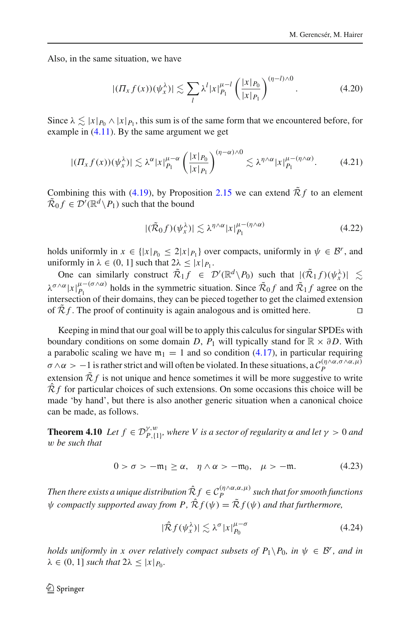Also, in the same situation, we have

$$
|(T_x f(x))(\psi_x^{\lambda})| \lesssim \sum_l \lambda^l |x|_{P_1}^{\mu-l} \left(\frac{|x|_{P_0}}{|x|_{P_1}}\right)^{(\eta-l)\wedge 0}.\tag{4.20}
$$

Since  $\lambda \lesssim |x|_{P_0} \wedge |x|_{P_1}$ , this sum is of the same form that we encountered before, for example in  $(4.11)$ . By the same argument we get

$$
|(II_x f(x))(\psi_x^{\lambda})| \lesssim \lambda^{\alpha} |x|_{P_1}^{\mu-\alpha} \left(\frac{|x|_{P_0}}{|x|_{P_1}}\right)^{(\eta-\alpha)\wedge 0} \lesssim \lambda^{\eta\wedge\alpha} |x|_{P_1}^{\mu-(\eta\wedge\alpha)}.
$$
 (4.21)

Combining this with [\(4.19\)](#page-26-0), by Proposition [2.15](#page-13-3) we can extend  $\tilde{\mathcal{R}}f$  to an element  $\tilde{\mathcal{R}}_0 f \in \mathcal{D}'(\mathbb{R}^d \backslash P_1)$  such that the bound

$$
|(\tilde{\mathcal{R}}_0 f)(\psi_x^{\lambda})| \lesssim \lambda^{\eta \wedge \alpha} |x|_{P_1}^{\mu - (\eta \wedge \alpha)} \tag{4.22}
$$

holds uniformly in  $x \in \{|x|_{P_0} \leq 2|x|_{P_1}\}$  over compacts, uniformly in  $\psi \in \mathcal{B}^r$ , and uniformly in  $\lambda \in (0, 1]$  such that  $2\lambda \leq |x|_{P_1}$ .

One can similarly construct  $\tilde{\mathcal{R}}_1 f \in \mathcal{D}'(\mathbb{R}^d \setminus P_0)$  such that  $|(\tilde{\mathcal{R}}_1 f)(\psi_x^{\lambda})| \lesssim$  $\lambda^{\sigma \wedge \alpha} |x|_{P_1}^{\mu-(\sigma \wedge \alpha)}$  holds in the symmetric situation. Since  $\tilde{\mathcal{R}}_0 f$  and  $\tilde{\mathcal{R}}_1 f$  agree on the intersection of their domains, they can be pieced together to get the claimed extension of  $\mathcal{R}f$ . The proof of continuity is again analogous and is omitted here.

Keeping in mind that our goal will be to apply this calculus for singular SPDEs with boundary conditions on some domain *D*,  $P_1$  will typically stand for  $\mathbb{R} \times \partial D$ . With a parabolic scaling we have  $m_1 = 1$  and so condition [\(4.17\)](#page-26-1), in particular requiring  $\sigma \wedge \alpha > -1$  is rather strict and will often be violated. In these situations, a  $C_P^{(\eta \wedge \alpha, \sigma \wedge \alpha, \mu)}$ extension  $\tilde{\mathcal{R}} f$  is not unique and hence sometimes it will be more suggestive to write  $\hat{\mathcal{R}} f$  for particular choices of such extensions. On some occasions this choice will be made 'by hand', but there is also another generic situation when a canonical choice can be made, as follows.

<span id="page-27-2"></span>**Theorem 4.10** *Let*  $f \in \mathcal{D}_{P,\{1\}}^{\gamma,w}$ , where V is a sector of regularity  $\alpha$  and let  $\gamma > 0$  and w *be such that*

$$
0 > \sigma > -\mathfrak{m}_1 \ge \alpha, \quad \eta \wedge \alpha > -\mathfrak{m}_0, \quad \mu > -\mathfrak{m}.\tag{4.23}
$$

*Then there exists a unique distribution*  $\hat{\mathcal{R}}_f \in \mathcal{C}_P^{(\eta \wedge \alpha,\alpha,\mu)}$  such that for smooth functions  $\psi$  *compactly supported away from P,*  $\hat{\mathcal{R}} f(\psi) = \tilde{\mathcal{R}} f(\psi)$  *and that furthermore,* 

<span id="page-27-1"></span><span id="page-27-0"></span>
$$
|\hat{\mathcal{R}}f(\psi_x^{\lambda})| \lesssim \lambda^{\sigma} |x|_{P_0}^{\mu-\sigma} \tag{4.24}
$$

*holds uniformly in x over relatively compact subsets of*  $P_1 \setminus P_0$ *, in*  $\psi \in \mathcal{B}^r$ , and in  $\lambda \in (0, 1]$  *such that*  $2\lambda \leq |x|_{P_0}$ *.*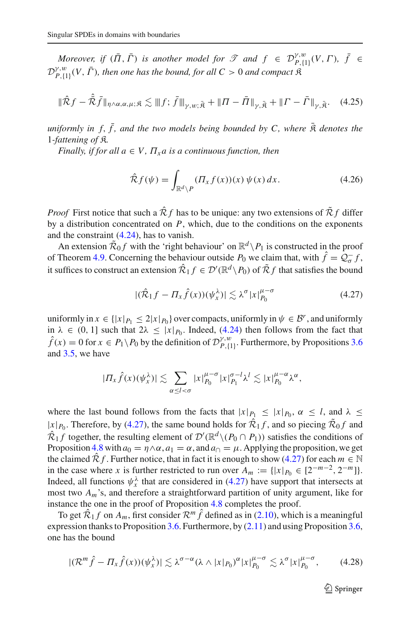*Moreover, if*  $(\overline{\Pi}, \overline{\Gamma})$  *is another model for*  $\mathcal{T}$  *and*  $f \in \mathcal{D}_{P,\{1\}}^{\gamma,w}(V,\Gamma)$ ,  $\overline{f} \in$  $\mathcal{D}_{P,\{1\}}^{y,w}(V, \bar{\Gamma})$ , then one has the bound, for all  $C > 0$  and compact R

$$
\|\hat{\mathcal{R}}f - \hat{\bar{\mathcal{R}}}\bar{f}\|_{\eta \wedge \alpha,\alpha,\mu;\hat{\mathcal{R}}} \lesssim \|f; \bar{f}\|_{\gamma,w;\tilde{\mathcal{R}}} + \|H - \bar{\Pi}\|_{\gamma,\tilde{\mathcal{R}}} + \|f - \bar{\Gamma}\|_{\gamma,\tilde{\mathcal{R}}}.
$$
 (4.25)

*uniformly in f,*  $\bar{f}$ *, and the two models being bounded by C, where*  $\bar{R}$  *denotes the* 1*-fattening of* K*.*

*Finally, if for all*  $a \in V$ ,  $\Pi_x a$  *is a continuous function, then* 

<span id="page-28-1"></span>
$$
\hat{\mathcal{R}}f(\psi) = \int_{\mathbb{R}^d \setminus P} (\Pi_x f(x))(x) \, \psi(x) \, dx. \tag{4.26}
$$

*Proof* First notice that such a  $\hat{\mathcal{R}}_f$  has to be unique: any two extensions of  $\tilde{\mathcal{R}}_f$  differ by a distribution concentrated on *P*, which, due to the conditions on the exponents and the constraint [\(4.24\)](#page-27-0), has to vanish.

An extension  $\tilde{\mathcal{R}}_0 f$  with the 'right behaviour' on  $\mathbb{R}^d \setminus P_1$  is constructed in the proof of Theorem [4.9.](#page-26-2) Concerning the behaviour outside  $P_0$  we claim that, with  $f = Q_{\sigma}^- f$ , it suffices to construct an extension  $\hat{\mathcal{R}}_1 f \in \mathcal{D}'(\mathbb{R}^d \setminus P_0)$  of  $\tilde{\mathcal{R}} f$  that satisfies the bound

<span id="page-28-0"></span>
$$
|(\hat{\mathcal{R}}_1 f - \Pi_x \hat{f}(x))(\psi_x^{\lambda})| \lesssim \lambda^{\sigma} |x|_{P_0}^{\mu - \sigma}
$$
 (4.27)

uniformly in  $x \in \{|x|_{P_1} \leq 2|x|_{P_0}\}$  over compacts, uniformly in  $\psi \in \mathcal{B}^r$ , and uniformly in  $\lambda \in (0, 1]$  such that  $2\lambda \leq |x|_{P_0}$ . Indeed, [\(4.24\)](#page-27-0) then follows from the fact that  $\hat{f}(x) = 0$  for  $x \in P_1 \setminus P_0$  by the definition of  $\mathcal{D}_{P,\{1\}}^{\gamma,w}$ . Furthermore, by Propositions [3.6](#page-16-0) and [3.5,](#page-15-3) we have

$$
|\Pi_x \hat{f}(x) (\psi_x^{\lambda})| \lesssim \sum_{\alpha \leq l < \sigma} |x|_{P_0}^{\mu-\sigma} |x|_{P_1}^{\sigma-l} \lambda^l \lesssim |x|_{P_0}^{\mu-\alpha} \lambda^{\alpha},
$$

where the last bound follows from the facts that  $|x|_{P_1} \le |x|_{P_0}, \alpha \le l$ , and  $\lambda \le$  $|x|_{P_0}$ . Therefore, by [\(4.27\)](#page-28-0), the same bound holds for  $\hat{\mathcal{R}}_1 f$ , and so piecing  $\tilde{\mathcal{R}}_0 f$  and  $\hat{\mathcal{R}}_1 f$  together, the resulting element of  $\mathcal{D}'(\mathbb{R}^d \setminus (P_0 \cap P_1))$  satisfies the conditions of Proposition [4.8](#page-25-5) with  $a_0 = \eta \wedge \alpha$ ,  $a_1 = \alpha$ , and  $a_0 = \mu$ . Applying the proposition, we get the claimed  $\hat{\mathcal{R}}f$ . Further notice, that in fact it is enough to show [\(4.27\)](#page-28-0) for each  $m \in \mathbb{N}$ in the case where *x* is further restricted to run over  $A_m := \{ |x|_{P_0} \in [2^{-m-2}, 2^{-m}] \}.$ Indeed, all functions  $\psi_x^{\lambda}$  that are considered in [\(4.27\)](#page-28-0) have support that intersects at most two *Am*'s, and therefore a straightforward partition of unity argument, like for instance the one in the proof of Proposition [4.8](#page-25-5) completes the proof.

To get  $\hat{\mathcal{R}}_1 f$  on  $A_m$ , first consider  $\mathcal{R}^m \hat{f}$  defined as in [\(2.10\)](#page-11-1), which is a meaningful expression thanks to Proposition [3.6.](#page-16-0) Furthermore, by  $(2.11)$  and using Proposition [3.6,](#page-16-0) one has the bound

$$
|(\mathcal{R}^m\hat{f} - \Pi_x\hat{f}(x))(\psi_x^{\lambda})| \lesssim \lambda^{\sigma-\alpha} (\lambda \wedge |x|_{P_0})^{\alpha} |x|_{P_0}^{\mu-\sigma} \lesssim \lambda^{\sigma} |x|_{P_0}^{\mu-\sigma}, \qquad (4.28)
$$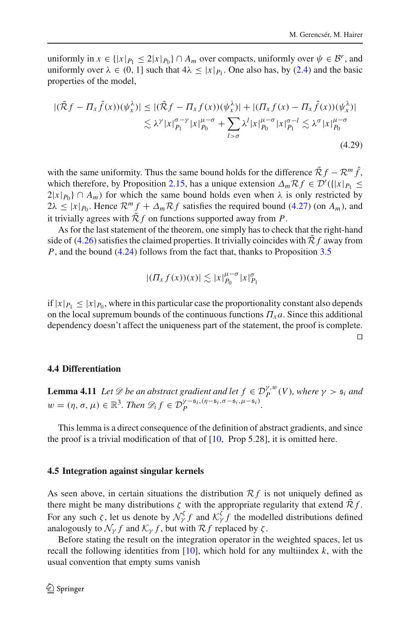uniformly in  $x \in \{|x|_{P_1} \leq 2|x|_{P_0}\} \cap A_m$  over compacts, uniformly over  $\psi \in \mathcal{B}^r$ , and uniformly over  $\lambda \in (0, 1]$  such that  $4\lambda \leq |x|_{P_1}$ . One also has, by [\(2.4\)](#page-8-0) and the basic properties of the model,

$$
|(\tilde{\mathcal{R}}f - \Pi_x \hat{f}(x))(\psi_x^{\lambda})| \le |(\tilde{\mathcal{R}}f - \Pi_x f(x))(\psi_x^{\lambda})| + |(\Pi_x f(x) - \Pi_x \hat{f}(x))(\psi_x^{\lambda})|
$$
  

$$
\lesssim \lambda^{\gamma} |x|_{P_1}^{\sigma-\gamma} |x|_{P_0}^{\mu-\sigma} + \sum_{l > \sigma} \lambda^l |x|_{P_0}^{\mu-\sigma} |x|_{P_1}^{\sigma-l} \lesssim \lambda^{\sigma} |x|_{P_0}^{\mu-\sigma}
$$
  
(4.29)

with the same uniformity. Thus the same bound holds for the difference  $\tilde{\mathcal{R}}f - \mathcal{R}^m \hat{f}$ , which therefore, by Proposition [2.15,](#page-13-3) has a unique extension  $\Delta_m \mathcal{R} f \in \mathcal{D}'(\{|x|_{P_1} \leq$  $2|x|_{P_0} \cap A_m$  for which the same bound holds even when  $\lambda$  is only restricted by  $2\lambda \leq |x|_{P_0}$ . Hence  $\mathcal{R}^m f + \Delta_m \mathcal{R} f$  satisfies the required bound [\(4.27\)](#page-28-0) (on  $A_m$ ), and it trivially agrees with  $\tilde{\mathcal{R}} f$  on functions supported away from P.

As for the last statement of the theorem, one simply has to check that the right-hand side of  $(4.26)$  satisfies the claimed properties. It trivially coincides with  $\mathcal{R}f$  away from *P*, and the bound [\(4.24\)](#page-27-0) follows from the fact that, thanks to Proposition [3.5](#page-15-3)

$$
|( \Pi_x f(x))(x) | \lesssim |x|_{P_0}^{\mu-\sigma} |x|_{P_1}^{\sigma}
$$

if  $|x|_{P_1} \leq |x|_{P_0}$ , where in this particular case the proportionality constant also depends on the local supremum bounds of the continuous functions  $\Pi_x a$ . Since this additional dependency doesn't affect the uniqueness part of the statement, the proof is complete.  $\Box$ 

#### <span id="page-29-0"></span>**4.4 Differentiation**

<span id="page-29-2"></span>**Lemma 4.11** *Let*  $\mathscr{D}$  *be an abstract gradient and let*  $f \in \mathcal{D}_P^{\gamma,w}(V)$ *, where*  $\gamma > \mathfrak{s}_i$  *and*  $w = (\eta, \sigma, \mu) \in \mathbb{R}^3$ . Then  $\mathscr{D}_i f \in \mathcal{D}_P^{\gamma - \mathfrak{s}_i, (\eta - \mathfrak{s}_i, \sigma - \mathfrak{s}_i, \mu - \mathfrak{s}_i)}$ .

This lemma is a direct consequence of the definition of abstract gradients, and since the proof is a trivial modification of that of  $[10, Prop 5.28]$  $[10, Prop 5.28]$ , it is omitted here.

#### <span id="page-29-1"></span>**4.5 Integration against singular kernels**

As seen above, in certain situations the distribution  $\mathcal{R}f$  is not uniquely defined as there might be many distributions  $\zeta$  with the appropriate regularity that extend  $\mathcal{R}f$ . For any such  $\zeta$ , let us denote by  $\mathcal{N}_{\gamma}^{\zeta} f$  and  $\mathcal{K}_{\gamma}^{\zeta} f$  the modelled distributions defined analogously to  $\mathcal{N}_{\gamma} f$  and  $\mathcal{K}_{\gamma} f$ , but with  $\mathcal{R} f$  replaced by  $\zeta$ .

Before stating the result on the integration operator in the weighted spaces, let us recall the following identities from  $[10]$ , which hold for any multiindex  $k$ , with the usual convention that empty sums vanish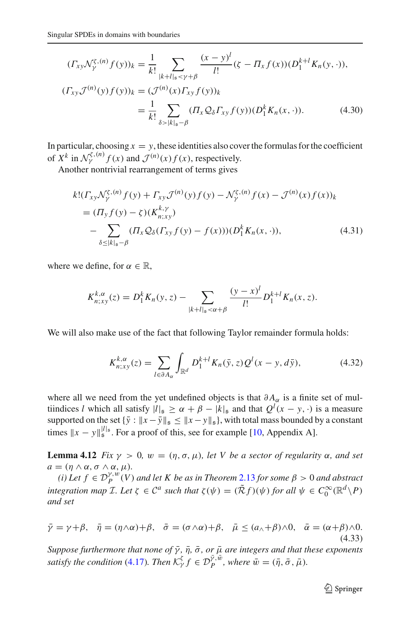$$
(T_{xy}\mathcal{N}_{\gamma}^{\zeta,(n)}f(y))_k = \frac{1}{k!} \sum_{|k+l|_s < \gamma + \beta} \frac{(x-y)^l}{l!} (\zeta - \Pi_x f(x)) (D_1^{k+l} K_n(y, \cdot)),
$$
  

$$
(T_{xy}\mathcal{J}^{(n)}(y)f(y))_k = (\mathcal{J}^{(n)}(x)\Pi_{xy} f(y))_k
$$
  

$$
= \frac{1}{k!} \sum_{\delta > |k|_s - \beta} (\Pi_x \mathcal{Q}_\delta \Pi_{xy} f(y)) (D_1^k K_n(x, \cdot)).
$$
 (4.30)

In particular, choosing  $x = y$ , these identities also cover the formulas for the coefficient of  $X^k$  in  $\mathcal{N}_\gamma^{\zeta,(n)} f(x)$  and  $\mathcal{J}^{(n)}(x) f(x)$ , respectively.

Another nontrivial rearrangement of terms gives

<span id="page-30-1"></span>
$$
k!(\Gamma_{xy}\mathcal{N}_{\gamma}^{\xi,(n)}f(y) + \Gamma_{xy}\mathcal{J}^{(n)}(y)f(y) - \mathcal{N}_{\gamma}^{\xi,(n)}f(x) - \mathcal{J}^{(n)}(x)f(x))_{k}
$$
  
=  $(\Pi_{y}f(y) - \zeta)(K_{n;xy}^{k,\gamma})$   

$$
- \sum_{\delta \le |k|_{s}-\beta} (\Pi_{x}\mathcal{Q}_{\delta}(\Gamma_{xy}f(y) - f(x)))(D_{1}^{k}K_{n}(x, \cdot)), \qquad (4.31)
$$

where we define, for  $\alpha \in \mathbb{R}$ ,

<span id="page-30-2"></span>
$$
K_{n;xy}^{k,\alpha}(z) = D_1^k K_n(y,z) - \sum_{|k+l|_s < \alpha + \beta} \frac{(y-x)^l}{l!} D_1^{k+l} K_n(x,z).
$$

We will also make use of the fact that following Taylor remainder formula holds:

<span id="page-30-3"></span>
$$
K_{n;xy}^{k,\alpha}(z) = \sum_{l \in \partial A_{\alpha}} \int_{\mathbb{R}^d} D_1^{k+l} K_n(\bar{y}, z) Q^l(x - y, d\bar{y}), \tag{4.32}
$$

where all we need from the yet undefined objects is that  $\partial A_{\alpha}$  is a finite set of multiindices *l* which all satisfy  $|l|_{\mathfrak{s}} \ge \alpha + \beta - |k|_{\mathfrak{s}}$  and that  $Q^{l}(x - y, \cdot)$  is a measure supported on the set  $\{\bar{y} : ||x - \bar{y}||_{\mathfrak{s}} \le ||x - y||_{\mathfrak{s}}\}$ , with total mass bounded by a constant times  $||x - y||_5^{|l|_5}$ . For a proof of this, see for example [\[10](#page-61-0), Appendix A].

<span id="page-30-4"></span>**Lemma 4.12** *Fix*  $\gamma > 0$ *,*  $w = (\eta, \sigma, \mu)$ *, let V be a sector of regularity*  $\alpha$ *, and set*  $a = (\eta \wedge \alpha, \sigma \wedge \alpha, \mu).$ 

*(i)* Let  $f \in \mathcal{D}_P^{\gamma,w}(V)$  and let K be as in Theorem [2.13](#page-10-1) for some  $\beta > 0$  and abstract *integration map*  $\mathcal{I}$ *. Let*  $\zeta \in C^a$  *such that*  $\zeta(\psi) = (\tilde{R}f)(\psi)$  *for all*  $\psi \in C_0^{\infty}(\mathbb{R}^d \setminus P)$ *and set*

<span id="page-30-0"></span>
$$
\bar{\gamma} = \gamma + \beta, \quad \bar{\eta} = (\eta \wedge \alpha) + \beta, \quad \bar{\sigma} = (\sigma \wedge \alpha) + \beta, \quad \bar{\mu} \leq (a_{\wedge} + \beta) \wedge 0, \quad \bar{\alpha} = (\alpha + \beta) \wedge 0.
$$
\n(4.33)

*Suppose furthermore that none of*  $\bar{\gamma}$ *,*  $\bar{\eta}$ *,*  $\bar{\sigma}$ *, or*  $\bar{\mu}$  *are integers and that these exponents satisfy the condition* [\(4.17\)](#page-26-1)*. Then*  $K_Y^{\zeta} f \in \mathcal{D}_P^{\bar{\gamma}, \bar{w}}$ *, where*  $\bar{w} = (\bar{\eta}, \bar{\sigma}, \bar{\mu})$ *.*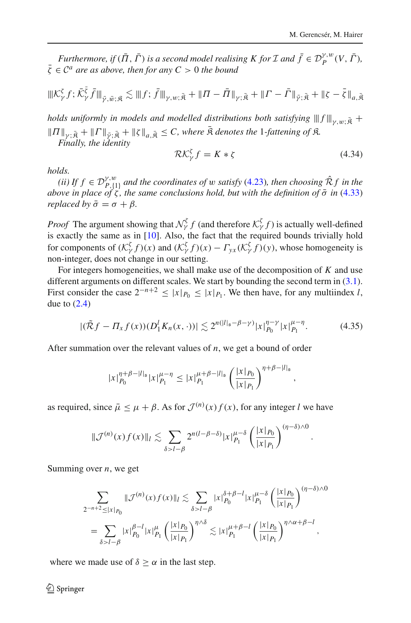*Furthermore, if*  $(\overline{\Pi}, \overline{\Gamma})$  *is a second model realising K for I and*  $\overline{f} \in \mathcal{D}_P^{\gamma,w}(V, \overline{\Gamma})$ ,  $\bar{\zeta} \in C^a$  *are as above, then for any*  $C > 0$  *the bound* 

$$
\|K_{\gamma}^{\zeta} f; \bar{\mathcal{K}}_{\gamma}^{\bar{\zeta}} \bar{f}\|_{\bar{\gamma},\bar{w};\bar{\mathfrak{K}}}\lesssim \|f; \bar{f}\|_{\gamma,w;\bar{\mathfrak{K}}}+\|{\mathbf{\Pi}}-\bar{\mathbf{\Pi}}\|_{\gamma;\bar{\mathfrak{K}}}+\|{\mathbf{\Gamma}}-\bar{\mathbf{\Gamma}}\|_{\bar{\gamma};\bar{\mathbf{\bar{K}}}}+\|\zeta-\bar{\zeta}\|_{a,\bar{\mathbf{\bar{M}}}}
$$

*holds uniformly in models and modelled distributions both satisfying*  $|||f||_{\gamma,w;\bar{\mathfrak{K}}}$  +  $||\Pi||_{\gamma;\bar{\mathfrak{K}}} + ||\Gamma||_{\bar{\gamma};\bar{\mathfrak{K}}} + ||\zeta||_{a,\bar{\mathfrak{K}}} \leq C$ , where  $\bar{\mathfrak{K}}$  *denotes the* 1*-fattening of*  $\mathfrak{K}$ . *Finally, the identity*

<span id="page-31-1"></span>
$$
\mathcal{RK}_{\gamma}^{\zeta} f = K * \zeta \tag{4.34}
$$

,

*holds.*

 $(iii)$  *If*  $f$  ∈  $\mathcal{D}_{P,\{1\}}^{Y,w}$  and the coordinates of w satisfy [\(4.23\)](#page-27-1)*, then choosing*  $\hat{\mathcal{R}}f$  *in the above in place of*  $\zeta$ *, the same conclusions hold, but with the definition of*  $\bar{\sigma}$  *in* [\(4.33\)](#page-30-0) *replaced by*  $\bar{\sigma} = \sigma + \beta$ *.* 

*Proof* The argument showing that  $\mathcal{N}_{\gamma}^{\zeta} f$  (and therefore  $\mathcal{K}_{\gamma}^{\zeta} f$ ) is actually well-defined is exactly the same as in [\[10](#page-61-0)]. Also, the fact that the required bounds trivially hold for components of  $(K_Y^{\zeta} f)(x)$  and  $(K_Y^{\zeta} f)(x) - \Gamma_{yx} (K_Y^{\zeta} f)(y)$ , whose homogeneity is non-integer, does not change in our setting.

For integers homogeneities, we shall make use of the decomposition of *K* and use different arguments on different scales. We start by bounding the second term in  $(3.1)$ . First consider the case  $2^{-n+2} \le |x|_{P_0} \le |x|_{P_1}$ . We then have, for any multiindex *l*, due to  $(2.4)$ 

<span id="page-31-0"></span>
$$
|(\tilde{\mathcal{R}}f - \Pi_x f(x))(\frac{D_1^l K_n(x, \cdot))|}{\leq 2^{n(|l|_{\mathfrak{s}} - \beta - \gamma)} |x|_{P_0}^{\eta - \gamma} |x|_{P_1}^{\mu - \eta}.
$$
 (4.35)

After summation over the relevant values of *n*, we get a bound of order

$$
|x|_{P_0}^{\eta+\beta-|l|_{\mathfrak{s}}}|x|_{P_1}^{\mu-\eta} \le |x|_{P_1}^{\mu+\beta-|l|_{\mathfrak{s}}} \left(\frac{|x|_{P_0}}{|x|_{P_1}}\right)^{\eta+\beta-|l|_{\mathfrak{s}}}
$$

as required, since  $\bar{\mu} \leq \mu + \beta$ . As for  $\mathcal{J}^{(n)}(x) f(x)$ , for any integer *l* we have

$$
\|\mathcal{J}^{(n)}(x)f(x)\|_{l}\lesssim \sum_{\delta>l-\beta} 2^{n(l-\beta-\delta)}|x|_{P_1}^{\mu-\delta}\left(\frac{|x|_{P_0}}{|x|_{P_1}}\right)^{(\eta-\delta)\wedge 0}.
$$

Summing over *n*, we get

$$
\sum_{2^{-n+2} \leq |x|_{P_0}} \|\mathcal{J}^{(n)}(x)f(x)\|_{l} \lesssim \sum_{\delta > l - \beta} |x|_{P_0}^{\delta + \beta - l} |x|_{P_1}^{\mu - \delta} \left(\frac{|x|_{P_0}}{|x|_{P_1}}\right)^{(\eta - \delta) \wedge 0}
$$

$$
= \sum_{\delta > l - \beta} |x|_{P_0}^{\beta - l} |x|_{P_1}^{\mu} \left(\frac{|x|_{P_0}}{|x|_{P_1}}\right)^{\eta \wedge \delta} \lesssim |x|_{P_1}^{\mu + \beta - l} \left(\frac{|x|_{P_0}}{|x|_{P_1}}\right)^{\eta \wedge \alpha + \beta - l},
$$

where we made use of  $\delta > \alpha$  in the last step.

 $\textcircled{2}$  Springer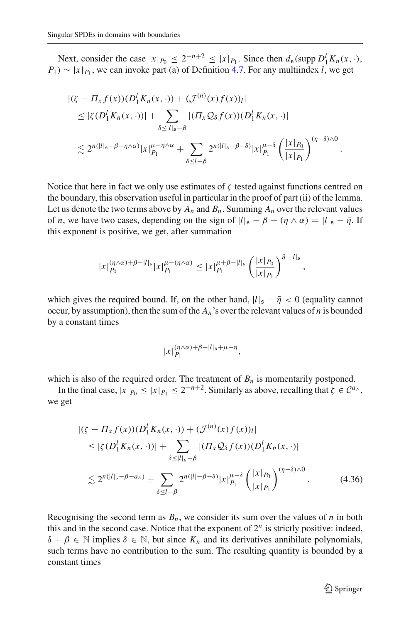Next, consider the case  $|x|_{P_0} \le 2^{-n+2} \le |x|_{P_1}$ . Since then  $d_{\mathfrak{s}}(\text{supp } D_1^l K_n(x, \cdot),$  $P_1$ ) ~  $|x|_{P_1}$ , we can invoke part (a) of Definition [4.7.](#page-25-3) For any multiindex *l*, we get

$$
\begin{split} |(\zeta - \Pi_x f(x)) (D_1^l K_n(x, \cdot)) + (\mathcal{J}^{(n)}(x) f(x))_l| \\ &\leq |\zeta (D_1^l K_n(x, \cdot))| + \sum_{\delta \leq |l|_s - \beta} |(\Pi_x \mathcal{Q}_\delta f(x)) (D_1^l K_n(x, \cdot))| \\ &\lesssim 2^{n(|l|_s - \beta - \eta \wedge \alpha)} |x|_{P_1}^{\mu - \eta \wedge \alpha} + \sum_{\delta \leq l - \beta} 2^{n(|l|_s - \beta - \delta)} |x|_{P_1}^{\mu - \delta} \left(\frac{|x|_{P_0}}{|x|_{P_1}}\right)^{(\eta - \delta) \wedge 0} .\end{split}
$$

Notice that here in fact we only use estimates of  $\zeta$  tested against functions centred on the boundary, this observation useful in particular in the proof of part (ii) of the lemma. Let us denote the two terms above by  $A_n$  and  $B_n$ . Summing  $A_n$  over the relevant values of *n*, we have two cases, depending on the sign of  $|l|_{\mathfrak{s}} - \beta - (\eta \wedge \alpha) = |l|_{\mathfrak{s}} - \overline{\eta}$ . If this exponent is positive, we get, after summation

$$
|x|_{P_0}^{(\eta \wedge \alpha) + \beta - |l|_{\mathfrak{s}}} |x|_{P_1}^{\mu - (\eta \wedge \alpha)} \le |x|_{P_1}^{\mu + \beta - |l|_{\mathfrak{s}}} \left(\frac{|x|_{P_0}}{|x|_{P_1}}\right)^{\bar{\eta} - |l|_{\mathfrak{s}}},
$$

which gives the required bound. If, on the other hand,  $|l|_{\mathfrak{s}} - \bar{\eta} < 0$  (equality cannot occur, by assumption), then the sum of the  $A_n$ 's over the relevant values of *n* is bounded by a constant times

<span id="page-32-0"></span>
$$
|x|_{P_1}^{(\eta\wedge\alpha)+\beta-|l|_{\mathfrak{s}}+\mu-\eta},
$$

which is also of the required order. The treatment of  $B_n$  is momentarily postponed.

In the final case,  $|x|_{P_0} \le |x|_{P_1} \le 2^{-n+2}$ . Similarly as above, recalling that  $\zeta \in C^{a_{\wedge}}$ , we get

$$
|(\zeta - \Pi_x f(x)) (D_1^l K_n(x, \cdot)) + (\mathcal{J}^{(n)}(x) f(x))_l|
$$
  
\n
$$
\leq |\zeta (D_1^l K_n(x, \cdot))| + \sum_{\delta \leq |l|_s - \beta} |(\Pi_x \mathcal{Q}_\delta f(x)) (D_1^l K_n(x, \cdot))|
$$
  
\n
$$
\lesssim 2^{n(|l|_s - \beta - a_\wedge)} + \sum_{\delta \leq l - \beta} 2^{n(|l| - \beta - \delta)} |x|_{P_1}^{\mu - \delta} \left(\frac{|x|_{P_0}}{|x|_{P_1}}\right)^{(\eta - \delta) \wedge 0}.
$$
 (4.36)

Recognising the second term as  $B_n$ , we consider its sum over the values of *n* in both this and in the second case. Notice that the exponent of  $2^n$  is strictly positive: indeed,  $\delta + \beta \in \mathbb{N}$  implies  $\delta \in \mathbb{N}$ , but since  $K_n$  and its derivatives annihilate polynomials, such terms have no contribution to the sum. The resulting quantity is bounded by a constant times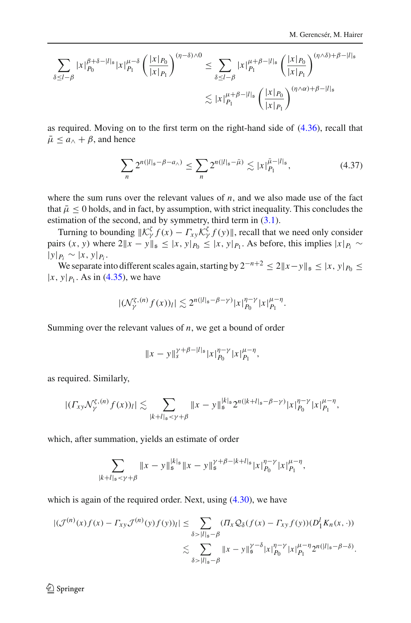$$
\sum_{\delta \le l-\beta} |x|_{P_0}^{\beta+\delta-|l|_{\mathfrak{s}}}|x|_{P_1}^{\mu-\delta} \left(\frac{|x|_{P_0}}{|x|_{P_1}}\right)^{(\eta-\delta)\wedge 0} \le \sum_{\delta \le l-\beta} |x|_{P_1}^{\mu+\beta-|l|_{\mathfrak{s}}} \left(\frac{|x|_{P_0}}{|x|_{P_1}}\right)^{(\eta\wedge\delta)+\beta-|l|_{\mathfrak{s}}} \n\lesssim |x|_{P_1}^{\mu+\beta-|l|_{\mathfrak{s}}} \left(\frac{|x|_{P_0}}{|x|_{P_1}}\right)^{(\eta\wedge\alpha)+\beta-|l|_{\mathfrak{s}}} \leq
$$

as required. Moving on to the first term on the right-hand side of [\(4.36\)](#page-32-0), recall that  $\bar{\mu} \le a_{\wedge} + \beta$ , and hence

<span id="page-33-0"></span>
$$
\sum_{n} 2^{n(|l|_{\mathfrak{s}} - \beta - a_{\wedge})} \le \sum_{n} 2^{n(|l|_{\mathfrak{s}} - \bar{\mu})} \lesssim |x|_{P_1}^{\bar{\mu} - |l|_{\mathfrak{s}}},\tag{4.37}
$$

where the sum runs over the relevant values of  $n$ , and we also made use of the fact that  $\bar{\mu}$  < 0 holds, and in fact, by assumption, with strict inequality. This concludes the estimation of the second, and by symmetry, third term in  $(3.1)$ .

Turning to bounding  $||\mathcal{K}_{\gamma}^{\zeta} f(x) - \Gamma_{xy} \mathcal{K}_{\gamma}^{\zeta} f(y)||$ , recall that we need only consider pairs  $(x, y)$  where  $2||x - y||_5 \le |x, y|_{P_0} \le |x, y|_{P_1}$ . As before, this implies  $|x|_{P_i} \sim$  $|y|_{P_i}$  ∼  $|x, y|_{P_i}$ .

We separate into different scales again, starting by  $2^{-n+2}$  ≤  $2||x-y||_5$  ≤  $|x, y|_{P_0}$  ≤  $|x, y|_{P_1}$ . As in [\(4.35\)](#page-31-0), we have

$$
|(\mathcal{N}_{\gamma}^{\zeta,(n)}f(x))_l|\lesssim 2^{n(|l|_{\mathfrak{s}}-\beta-\gamma)}|x|_{P_0}^{\eta-\gamma}|x|_{P_1}^{\mu-\eta}.
$$

Summing over the relevant values of *n*, we get a bound of order

$$
||x-y||_s^{\gamma+\beta-|l|_{\mathfrak{s}}}|x|_{P_0}^{\eta-\gamma}|x|_{P_1}^{\mu-\eta},
$$

as required. Similarly,

$$
|(T_{xy}\mathcal{N}_\gamma^{\zeta,(n)}f(x))_l|\lesssim \sum_{|k+l|_s<\gamma+\beta}||x-y||_s^{|k|_s}2^{n(|k+l|_s-\beta-\gamma)}|x|_{P_0}^{\eta-\gamma}|x|_{P_1}^{\mu-\eta},
$$

which, after summation, yields an estimate of order

$$
\sum_{|k+l|_{\mathfrak{s}} \le \gamma + \beta} \|x - y\|_{\mathfrak{s}}^{k|_{\mathfrak{s}}} \|x - y\|_{\mathfrak{s}}^{\gamma + \beta - |k+l|_{\mathfrak{s}}} |x|_{P_0}^{\eta - \gamma} |x|_{P_1}^{\mu - \eta},
$$

which is again of the required order. Next, using  $(4.30)$ , we have

$$
|(\mathcal{J}^{(n)}(x)f(x) - \Gamma_{xy}\mathcal{J}^{(n)}(y)f(y))|| \leq \sum_{\delta > |l|_{\mathfrak{s}} - \beta} (\Pi_x \mathcal{Q}_{\delta}(f(x) - \Gamma_{xy}f(y)) (D_1^l K_n(x, \cdot))
$$
  

$$
\lesssim \sum_{\delta > |l|_{\mathfrak{s}} - \beta} \|x - y\|_{\mathfrak{s}}^{\gamma - \delta} |x|_{P_0}^{\eta - \gamma} |x|_{P_1}^{\mu - \eta} 2^{n(|l|_{\mathfrak{s}} - \beta - \delta)}.
$$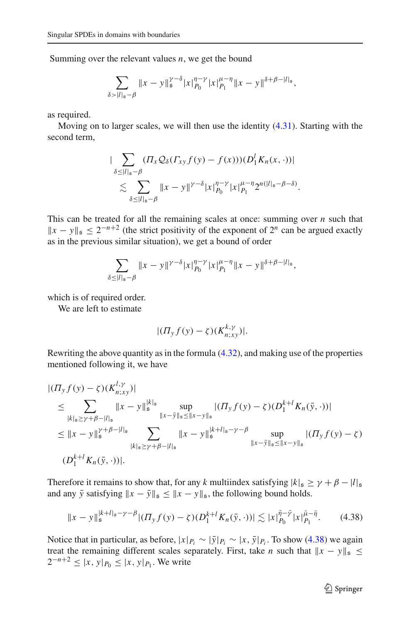Summing over the relevant values *n*, we get the bound

$$
\sum_{\delta > |l|_{\mathfrak{s}} - \beta} \|x - y\|_{\mathfrak{s}}^{\gamma - \delta} |x|_{P_0}^{\eta - \gamma} |x|_{P_1}^{\mu - \eta} \|x - y\|^{\delta + \beta - |l|_{\mathfrak{s}}},
$$

as required.

Moving on to larger scales, we will then use the identity [\(4.31\)](#page-30-2). Starting with the second term,

$$
\begin{split} & \|\sum_{\delta\leq|l|_{\mathfrak{s}}-\beta}( \varPi_x \mathcal{Q}_\delta(\varGamma_{xy}f(y)-f(x)))(D_1^l K_n(x,\cdot))| \\ &\lesssim \sum_{\delta\leq|l|_{\mathfrak{s}}-\beta}\|x-y\|^{\gamma-\delta}|x|_{P_0}^{\eta-\gamma}|x|_{P_1}^{\mu-\eta}2^{n(|l|_{\mathfrak{s}}-\beta-\delta)}. \end{split}
$$

This can be treated for all the remaining scales at once: summing over *n* such that  $||x - y||_{\mathfrak{s}} \leq 2^{-n+2}$  (the strict positivity of the exponent of  $2^n$  can be argued exactly as in the previous similar situation), we get a bound of order

$$
\sum_{\delta \leq |l|_{\mathfrak{s}} - \beta} \|x - y\|^{\gamma - \delta} |x|_{P_0}^{\eta - \gamma} |x|_{P_1}^{\mu - \eta} \|x - y\|^{\delta + \beta - |l|_{\mathfrak{s}}},
$$

which is of required order.

We are left to estimate

$$
|(T_y f(y) - \zeta)(K_{n;xy}^{k,\gamma})|.
$$

Rewriting the above quantity as in the formula [\(4.32\)](#page-30-3), and making use of the properties mentioned following it, we have

$$
\begin{split}\n&|(I_{y}f(y)-\zeta)(K_{n;xy}^{l,\gamma})| \\
&\leq \sum_{|k|_{s}\geq \gamma+\beta-|l|_{s}}\|x-y\|_{\mathfrak{s}}^{\frac{|k|_{s}}{s}}\sup_{\|x-\bar{y}\|_{s}\leq\|x-y\|_{\mathfrak{s}}}|(I_{y}f(y)-\zeta)(D_{1}^{k+l}K_{n}(\bar{y},\cdot))| \\
&\leq \|x-y\|_{\mathfrak{s}}^{\gamma+\beta-|l|_{\mathfrak{s}}} \sum_{|k|_{s}\geq\gamma+\beta-|l|_{s}}\|x-y\|_{\mathfrak{s}}^{\frac{|k+l|_{s}-\gamma-\beta|}{s}}\sup_{\|x-\bar{y}\|_{\mathfrak{s}}\leq\|x-y\|_{\mathfrak{s}}}|(I_{y}f(y)-\zeta)(D_{1}^{k+l}K_{n}(\bar{y},\cdot))|.\n\end{split}
$$

Therefore it remains to show that, for any *k* multiindex satisfying  $|k|_{\mathfrak{s}} \ge \gamma + \beta - |l|_{\mathfrak{s}}$ and any  $\bar{y}$  satisfying  $||x - \bar{y}||_{\mathfrak{s}} \le ||x - y||_{\mathfrak{s}}$ , the following bound holds.

<span id="page-34-0"></span>
$$
||x - y||_s^{k+l|_{\mathfrak{s}} - \gamma - \beta} |(T_y f(y) - \zeta)(D_1^{k+l} K_n(\bar{y}, \cdot))| \lesssim |x|_{P_0}^{\bar{\eta} - \bar{\gamma}} |x|_{P_1}^{\bar{\mu} - \bar{\eta}}.
$$
 (4.38)

Notice that in particular, as before,  $|x|_{P_i} \sim |\bar{y}|_{P_i} \sim |x, \bar{y}|_{P_i}$ . To show [\(4.38\)](#page-34-0) we again treat the remaining different scales separately. First, take *n* such that  $||x - y||_{\mathfrak{s}} \le$ 2<sup>*−n*+2</sup> ≤ |*x*, *y*| $P_0$  ≤ |*x*, *y*| $P_1$ . We write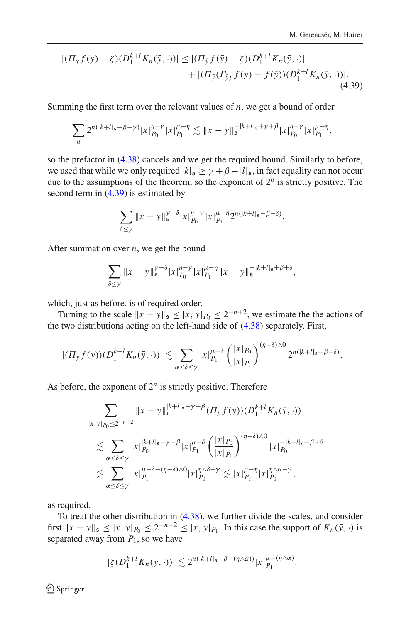$$
|( \Pi_y f(y) - \zeta)(D_1^{k+l} K_n(\bar{y}, \cdot)) | \le |(\Pi_{\bar{y}} f(\bar{y}) - \zeta)(D_1^{k+l} K_n(\bar{y}, \cdot))| + |(\Pi_{\bar{y}} (\Gamma_{\bar{y}y} f(y) - f(\bar{y})) (D_1^{k+l} K_n(\bar{y}, \cdot)) |.
$$
\n(4.39)

Summing the first term over the relevant values of *n*, we get a bound of order

$$
\sum_{n} 2^{n(|k+l|_s-\beta-\gamma)} |x|_{P_0}^{\eta-\gamma} |x|_{P_1}^{\mu-\eta} \lesssim \|x-y\|_{\mathfrak{s}}^{-|k+l|_s+\gamma+\beta} |x|_{P_0}^{\eta-\gamma} |x|_{P_1}^{\mu-\eta},
$$

so the prefactor in [\(4.38\)](#page-34-0) cancels and we get the required bound. Similarly to before, we used that while we only required  $|k|_{\mathfrak{s}} \geq \gamma + \beta - |l|_{\mathfrak{s}}$ , in fact equality can not occur due to the assumptions of the theorem, so the exponent of  $2^n$  is strictly positive. The second term in [\(4.39\)](#page-35-0) is estimated by

<span id="page-35-0"></span>
$$
\sum_{\delta \le \gamma} \|x - y\|_{\mathfrak{s}}^{\gamma-\delta} |x|_{P_0}^{\eta-\gamma} |x|_{P_1}^{\mu-\eta} 2^{n(|k+1|_{\mathfrak{s}}-\beta-\delta)}.
$$

After summation over *n*, we get the bound

$$
\sum_{\delta \le \gamma} \|x - y\|_{\mathfrak{s}}^{\gamma - \delta} |x|_{P_0}^{\eta - \gamma} |x|_{P_1}^{\mu - \eta} \|x - y\|_{\mathfrak{s}}^{-|k + l|_{\mathfrak{s}} + \beta + \delta},
$$

which, just as before, is of required order.

Turning to the scale  $||x - y||_5 \le |x, y|_{P_0} \le 2^{-n+2}$ , we estimate the the actions of the two distributions acting on the left-hand side of [\(4.38\)](#page-34-0) separately. First,

$$
|(T_y f(y)) (D_1^{k+l} K_n(\bar{y},\cdot))| \lesssim \sum_{\alpha \leq \delta \leq \gamma} |x|_{P_1}^{\mu-\delta} \left(\frac{|x|_{P_0}}{|x|_{P_1}}\right)^{(\eta-\delta)\wedge 0} 2^{n(|k+l|_{\mathfrak{s}}-\beta-\delta)}.
$$

As before, the exponent of  $2^n$  is strictly positive. Therefore

$$
\sum_{|x,y|_{P_0}\leq 2^{-n+2}} \|x-y\|_{\mathfrak{s}}^{\kappa+l}|_{\mathfrak{s}} - \gamma - \beta} (T_y f(y)) (D_1^{k+l} K_n(\bar{y},\cdot))
$$
\n
$$
\lesssim \sum_{\alpha \leq \delta \leq \gamma} |x|_{P_0}^{\kappa+l}|_{\mathfrak{s}} - \gamma - \beta |x|_{P_1}^{\mu-\delta} \left(\frac{|x|_{P_0}}{|x|_{P_1}}\right)^{(\eta-\delta)\wedge 0} |x|_{P_0}^{-|k+l|_{\mathfrak{s}}+\beta+\delta}
$$
\n
$$
\lesssim \sum_{\alpha \leq \delta \leq \gamma} |x|_{P_1}^{\mu-\delta - (\eta-\delta)\wedge 0} |x|_{P_0}^{\eta\wedge \delta-\gamma} \lesssim |x|_{P_1}^{\mu-\eta} |x|_{P_0}^{\eta\wedge \alpha-\gamma},
$$

as required.

To treat the other distribution in [\(4.38\)](#page-34-0), we further divide the scales, and consider first  $||x - y||_{\mathfrak{s}} \le |x, y|_{P_0} \le 2^{-n+2} \le |x, y|_{P_1}$ . In this case the support of  $K_n(\bar{y}, \cdot)$  is separated away from  $P_1$ , so we have

$$
|\zeta(D_1^{k+l}K_n(\bar{y},\cdot))| \lesssim 2^{n(|k+l|_{\mathfrak{s}}-\beta-(\eta\wedge\alpha))}|x|_{P_1}^{\mu-(\eta\wedge\alpha)}.
$$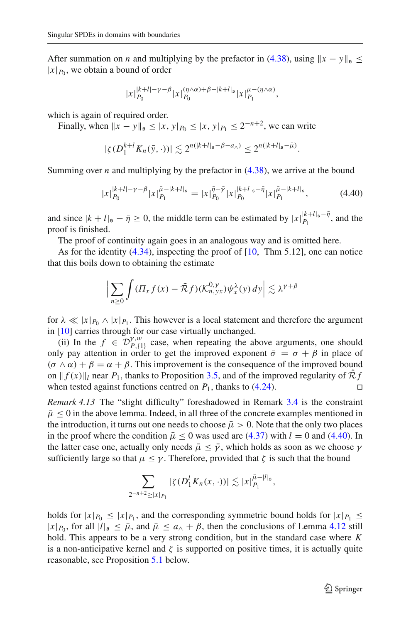After summation on *n* and multiplying by the prefactor in [\(4.38\)](#page-34-0), using  $||x - y||_5 \le$  $|x|_{P_0}$ , we obtain a bound of order

$$
|x|_{P_0}^{|k+l|-\gamma-\beta}|x|_{P_0}^{(\eta\wedge\alpha)+\beta-|k+l|_{\mathfrak{s}}}|x|_{P_1}^{\mu-(\eta\wedge\alpha)},
$$

which is again of required order.

Finally, when  $||x - y||_5 \le |x, y|_{P_0} \le |x, y|_{P_1} \le 2^{-n+2}$ , we can write

$$
|\zeta(D_1^{k+l}K_n(\bar{y},\cdot))| \lesssim 2^{n(|k+l|_5-\beta-a_\wedge)} \leq 2^{n(|k+l|_5-\bar{\mu})}.
$$

Summing over *n* and multiplying by the prefactor in  $(4.38)$ , we arrive at the bound

<span id="page-36-0"></span>
$$
|x|_{P_0}^{|k+l|-\gamma-\beta}|x|_{P_1}^{\bar{\mu}-|k+l|_{\mathfrak{s}}} = |x|_{P_0}^{\bar{\eta}-\bar{\gamma}}|x|_{P_0}^{|k+l|_{\mathfrak{s}}-\bar{\eta}}|x|_{P_1}^{\bar{\mu}-|k+l|_{\mathfrak{s}}},\tag{4.40}
$$

and since  $|k + l|_5 - \bar{\eta} \ge 0$ , the middle term can be estimated by  $|x|_{P_1}^{|k+l|_5 - \bar{\eta}}$ , and the proof is finished.

The proof of continuity again goes in an analogous way and is omitted here.

As for the identity  $(4.34)$ , inspecting the proof of  $[10, Thm 5.12]$  $[10, Thm 5.12]$ , one can notice that this boils down to obtaining the estimate

$$
\Big|\sum_{n\geq 0}\int(\Pi_x f(x)-\tilde{\mathcal{R}}f)(\mathcal{K}_{n,yx}^{0,\gamma})\psi_x^{\lambda}(y)\,dy\Big|\lesssim \lambda^{\gamma+\beta}
$$

for  $\lambda \ll |x|_{P_0} \wedge |x|_{P_1}$ . This however is a local statement and therefore the argument in [\[10](#page-61-0)] carries through for our case virtually unchanged.

(ii) In the  $f \in \mathcal{D}_{P,\{1\}}^{\gamma,w}$  case, when repeating the above arguments, one should only pay attention in order to get the improved exponent  $\bar{\sigma} = \sigma + \beta$  in place of  $(\sigma \wedge \alpha) + \beta = \alpha + \beta$ . This improvement is the consequence of the improved bound on  $|| f(x) ||_l$  near  $P_1$ , thanks to Proposition [3.5,](#page-15-3) and of the improved regularity of  $\mathcal{R}f$  when tested against functions centred on  $P_1$ , thanks to (4.24). when tested against functions centred on  $P_1$ , thanks to  $(4.24)$ .

<span id="page-36-1"></span>*Remark 4.13* The "slight difficulty" foreshadowed in Remark [3.4](#page-15-4) is the constraint  $\bar{\mu} \le 0$  in the above lemma. Indeed, in all three of the concrete examples mentioned in the introduction, it turns out one needs to choose  $\bar{\mu} > 0$ . Note that the only two places in the proof where the condition  $\bar{\mu} \le 0$  was used are [\(4.37\)](#page-33-0) with  $l = 0$  and [\(4.40\)](#page-36-0). In the latter case one, actually only needs  $\bar{\mu} \leq \bar{\gamma}$ , which holds as soon as we choose  $\gamma$ sufficiently large so that  $\mu \leq \gamma$ . Therefore, provided that  $\zeta$  is such that the bound

$$
\sum_{2^{-n+2}\geq |x|_{P_1}} |\zeta(D_1^l K_n(x,\cdot))| \lesssim |x|_{P_1}^{\bar{\mu}-|l|_{\mathfrak{s}}},
$$

holds for  $|x|_{P_0} \le |x|_{P_1}$ , and the corresponding symmetric bound holds for  $|x|_{P_1} \le$  $|x|_{P_0}$ , for all  $|l|_{\mathfrak{s}} \leq \bar{\mu}$ , and  $\bar{\mu} \leq a_{\lambda} + \beta$ , then the conclusions of Lemma [4.12](#page-30-4) still hold. This appears to be a very strong condition, but in the standard case where *K* is a non-anticipative kernel and  $\zeta$  is supported on positive times, it is actually quite reasonable, see Proposition [5.1](#page-41-0) below.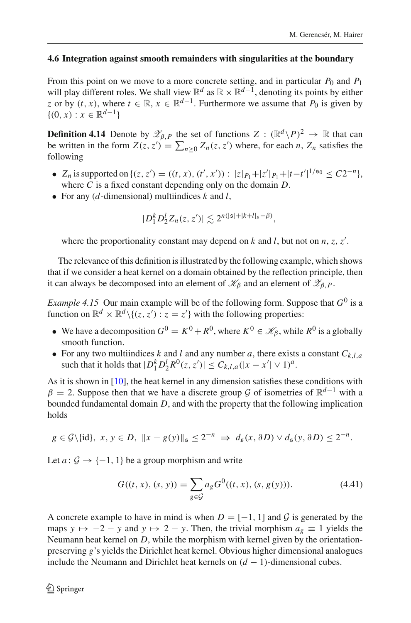## <span id="page-37-0"></span>**4.6 Integration against smooth remainders with singularities at the boundary**

From this point on we move to a more concrete setting, and in particular  $P_0$  and  $P_1$ will play different roles. We shall view  $\mathbb{R}^d$  as  $\mathbb{R} \times \mathbb{R}^{d-1}$ , denoting its points by either *z* or by  $(t, x)$ , where  $t \in \mathbb{R}$ ,  $x \in \mathbb{R}^{d-1}$ . Furthermore we assume that  $P_0$  is given by  $\{(0, x) : x \in \mathbb{R}^{d-1}\}\$ 

**Definition 4.14** Denote by  $\mathscr{Z}_{\beta,P}$  the set of functions  $Z : (\mathbb{R}^d \setminus P)^2 \to \mathbb{R}$  that can be written in the form  $Z(z, z') = \sum_{n \geq 0} Z_n(z, z')$  where, for each *n*,  $Z_n$  satisfies the following

- *Z<sub>n</sub>* is supported on {(*z*, *z'*) = ((*t*, *x*), (*t'*, *x'*)) : |*z*|*P*<sub>1</sub> +|*z'*|*P*<sub>1</sub> +|*t*−*t'*|<sup>1/s<sub>0</sub></sup> ≤ *C*2<sup>−*n*</sup>}, where *C* is a fixed constant depending only on the domain *D*.
- For any (*d*-dimensional) multiindices *k* and *l*,

$$
|D_1^k D_2^l Z_n(z, z')| \lesssim 2^{n(|\mathfrak{s}|+|k+l|_{\mathfrak{s}}-\beta)},
$$

where the proportionality constant may depend on  $k$  and  $l$ , but not on  $n, z, z'$ .

The relevance of this definition is illustrated by the following example, which shows that if we consider a heat kernel on a domain obtained by the reflection principle, then it can always be decomposed into an element of  $\mathcal{K}_{\beta}$  and an element of  $\mathcal{Z}_{\beta,P}$ .

<span id="page-37-1"></span>*Example 4.15* Our main example will be of the following form. Suppose that  $G^0$  is a function on  $\mathbb{R}^d \times \mathbb{R}^d \setminus \{(z, z') : z = z'\}$  with the following properties:

- We have a decomposition  $G^0 = K^0 + R^0$ , where  $K^0 \in \mathcal{K}_{\beta}$ , while  $R^0$  is a globally smooth function.
- For any two multiindices *k* and *l* and any number *a*, there exists a constant  $C_{k,l,a}$ such that it holds that  $|D_1^k D_2^l R^0(z, z')| \le C_{k,l,a} (|x - x'| \vee 1)^a$ .

As it is shown in [\[10\]](#page-61-0), the heat kernel in any dimension satisfies these conditions with  $\beta = 2$ . Suppose then that we have a discrete group *G* of isometries of  $\mathbb{R}^{d-1}$  with a bounded fundamental domain *D*, and with the property that the following implication holds

$$
g \in \mathcal{G} \setminus \{id\}, x, y \in D, ||x - g(y)||_{\mathfrak{s}} \leq 2^{-n} \Rightarrow d_{\mathfrak{s}}(x, \partial D) \vee d_{\mathfrak{s}}(y, \partial D) \leq 2^{-n}.
$$

Let  $a: \mathcal{G} \rightarrow \{-1, 1\}$  be a group morphism and write

$$
G((t, x), (s, y)) = \sum_{g \in \mathcal{G}} a_g G^{0}((t, x), (s, g(y))).
$$
\n(4.41)

A concrete example to have in mind is when  $D = [-1, 1]$  and  $\mathcal G$  is generated by the maps  $y \mapsto -2 - y$  and  $y \mapsto 2 - y$ . Then, the trivial morphism  $a_g \equiv 1$  yields the Neumann heat kernel on *D*, while the morphism with kernel given by the orientationpreserving *g*'s yields the Dirichlet heat kernel. Obvious higher dimensional analogues include the Neumann and Dirichlet heat kernels on  $(d - 1)$ -dimensional cubes.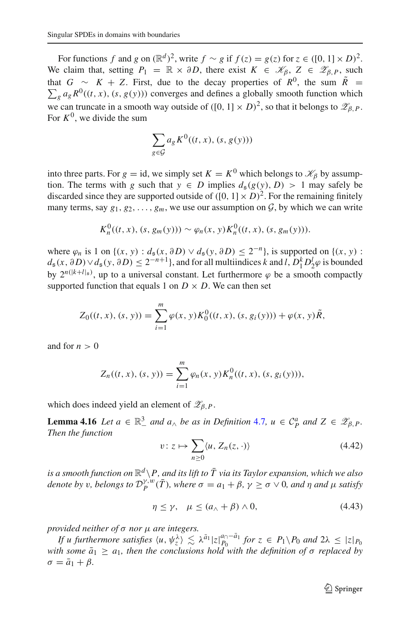For functions *f* and *g* on  $(\mathbb{R}^d)^2$ , write  $f \sim g$  if  $f(z) = g(z)$  for  $z \in (\{0, 1\} \times D)^2$ . We claim that, setting  $P_1 = \mathbb{R} \times \partial D$ , there exist  $K \in \mathcal{K}_{\beta}, Z \in \mathcal{Z}_{\beta,P}$ , such that *G* ∼ *K* + *Z*. First, due to the decay properties of  $R^0$ , the sum  $\tilde{R}$  =  $\sum_{g} a_g R^{0}((t, x), (s, g(y)))$  converges and defines a globally smooth function which we can truncate in a smooth way outside of  $([0, 1] \times D)^2$ , so that it belongs to  $\mathcal{Z}_{\beta, P}$ . For  $K^0$ , we divide the sum

$$
\sum_{g \in \mathcal{G}} a_g K^0((t, x), (s, g(y)))
$$

into three parts. For  $g = id$ , we simply set  $K = K^0$  which belongs to  $\mathcal{K}_{\beta}$  by assumption. The terms with *g* such that  $y \in D$  implies  $d_g(g(y), D) > 1$  may safely be discarded since they are supported outside of  $([0, 1] \times D)^2$ . For the remaining finitely many terms, say  $g_1, g_2, \ldots, g_m$ , we use our assumption on  $G$ , by which we can write

$$
K_n^0((t, x), (s, g_m(y))) \sim \varphi_n(x, y) K_n^0((t, x), (s, g_m(y))).
$$

where  $\varphi_n$  is 1 on {(*x*, *y*) :  $d_s(x, \partial D) \vee d_s(y, \partial D) \leq 2^{-n}$ }, is supported on {(*x*, *y*) :  $d_5(x, \partial D) \vee d_5(y, \partial D) \leq 2^{-n+1}$ , and for all multiindices *k* and *l*,  $D_1^k D_2^l \varphi$  is bounded by  $2^{n(|k+1|_s)}$ , up to a universal constant. Let furthermore  $\varphi$  be a smooth compactly supported function that equals 1 on  $D \times D$ . We can then set

$$
Z_0((t, x), (s, y)) = \sum_{i=1}^m \varphi(x, y) K_0^0((t, x), (s, g_i(y))) + \varphi(x, y) \tilde{R},
$$

and for  $n > 0$ 

$$
Z_n((t, x), (s, y)) = \sum_{i=1}^m \varphi_n(x, y) K_n^0((t, x), (s, g_i(y))),
$$

which does indeed yield an element of  $\mathscr{Z}_{\beta,P}$ .

<span id="page-38-1"></span>**Lemma 4.16** *Let*  $a \in \mathbb{R}^3_-$  *and*  $a_\wedge$  *be as in Definition* [4.7](#page-25-3)*,*  $u \in C_P^a$  *and*  $Z \in \mathscr{Z}_{\beta,P}$ *. Then the function*

<span id="page-38-0"></span>
$$
v: z \mapsto \sum_{n \ge 0} \langle u, Z_n(z, \cdot) \rangle \tag{4.42}
$$

*is a smooth function on*  $\mathbb{R}^d \setminus P$ , and its lift to  $\overline{T}$  via its Taylor expansion, which we also *denote by v*, *belongs to*  $\mathcal{D}_P^{\gamma, w}(\overline{T})$ *, where*  $\sigma = a_1 + \beta$ *,*  $\gamma \ge \sigma \vee 0$ *, and*  $\eta$  *and*  $\mu$  *satisfy* 

<span id="page-38-2"></span>
$$
\eta \le \gamma, \quad \mu \le (a_{\wedge} + \beta) \wedge 0, \tag{4.43}
$$

*provided neither of* σ *nor* μ *are integers.*

*If u furthermore satisfies*  $\langle u, \psi_z^{\lambda} \rangle \leq \lambda^{\bar{a}_1} |z|_{P_0}^{a_0 - \bar{a}_1}$  *for*  $z \in P_1 \setminus P_0$  *and*  $2\lambda \leq |z|_{P_0}$ *with some*  $\bar{a}_1 \geq a_1$ , then the conclusions hold with the definition of  $\sigma$  replaced by  $\sigma = \bar{a}_1 + \beta$ .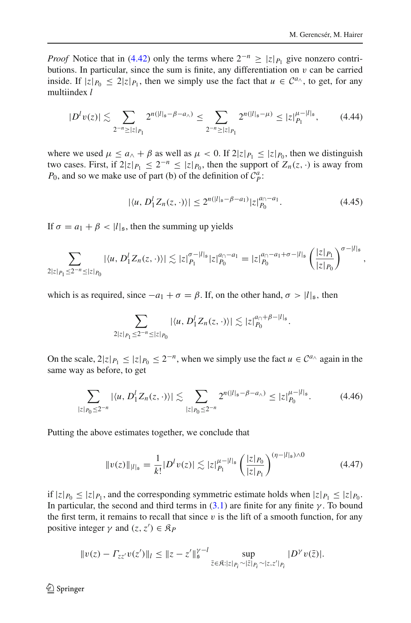<span id="page-39-1"></span>,

*Proof* Notice that in [\(4.42\)](#page-38-0) only the terms where  $2^{-n} \ge |z|_{P_1}$  give nonzero contributions. In particular, since the sum is finite, any differentiation on  $v$  can be carried inside. If  $|z|_{P_0} \le 2|z|_{P_1}$ , then we simply use the fact that  $u \in C^{a_{\wedge}}$ , to get, for any multiindex *l*

<span id="page-39-2"></span>
$$
|D^{l}v(z)| \lesssim \sum_{2^{-n}\geq |z|\cdot p_1} 2^{n(|l|_{\mathfrak{s}} - \beta - a_{\wedge})} \leq \sum_{2^{-n}\geq |z|\cdot p_1} 2^{n(|l|_{\mathfrak{s}} - \mu)} \leq |z|_{P_1}^{\mu - |l|_{\mathfrak{s}}},\tag{4.44}
$$

where we used  $\mu \le a_{\wedge} + \beta$  as well as  $\mu < 0$ . If  $2|z|_{P_1} \le |z|_{P_0}$ , then we distinguish two cases. First, if  $2|z|_{P_1} \leq 2^{-n} \leq |z|_{P_0}$ , then the support of  $Z_n(z, \cdot)$  is away from *P*<sub>0</sub>, and so we make use of part (b) of the definition of  $C_p^a$ .

$$
|\langle u, D_1^l Z_n(z, \cdot) \rangle| \le 2^{n(|l|_{\mathfrak{s}} - \beta - a_1)} |z|_{P_0}^{a_0 - a_1}.
$$
 (4.45)

If  $\sigma = a_1 + \beta < |l|_{\mathfrak{s}}$ , then the summing up yields

$$
\sum_{2|z|_{P_1}\leq 2^{-n}\leq |z|_{P_0}} |\langle u, D_1^l Z_n(z,\cdot)\rangle| \lesssim |z|_{P_1}^{\sigma-|l|_{\mathfrak{s}}}|z|_{P_0}^{a_{\cap}-a_1} = |z|_{P_0}^{a_{\cap}-a_1+\sigma-|l|_{\mathfrak{s}}}\left(\frac{|z|_{P_1}}{|z|_{P_0}}\right)^{\sigma-|l|_{\mathfrak{s}}}
$$

which is as required, since  $-a_1 + \sigma = \beta$ . If, on the other hand,  $\sigma > |l|_{\mathfrak{s}}$ , then

$$
\sum_{2|z|_{P_1}\leq 2^{-n}\leq |z|_{P_0}} |\langle u, D_1^l Z_n(z, \cdot)\rangle| \lesssim |z|_{P_0}^{a_0+\beta-|l|_s}.
$$

On the scale,  $2|z|_{P_1} \leq |z|_{P_0} \leq 2^{-n}$ , when we simply use the fact  $u \in C^{a_{\wedge}}$  again in the same way as before, to get

<span id="page-39-3"></span>
$$
\sum_{|z|_{P_0}\leq 2^{-n}} |\langle u, D_1^l Z_n(z, \cdot) \rangle| \lesssim \sum_{|z|_{P_0}\leq 2^{-n}} 2^{n(|l|_{\mathfrak{s}} - \beta - a_{\wedge})} \leq |z|_{P_0}^{\mu - |l|_{\mathfrak{s}}}.
$$
 (4.46)

Putting the above estimates together, we conclude that

<span id="page-39-0"></span>
$$
||v(z)||_{|l|_{\mathfrak{s}}} = \frac{1}{k!} |D^l v(z)| \lesssim |z|_{P_l}^{\mu - |l|_{\mathfrak{s}}} \left(\frac{|z|_{P_0}}{|z|_{P_1}}\right)^{(\eta - |l|_{\mathfrak{s}}) \wedge 0} \tag{4.47}
$$

if  $|z|_{P_0} \leq |z|_{P_1}$ , and the corresponding symmetric estimate holds when  $|z|_{P_1} \leq |z|_{P_0}$ . In particular, the second and third terms in  $(3.1)$  are finite for any finite  $\gamma$ . To bound the first term, it remains to recall that since  $v$  is the lift of a smooth function, for any positive integer  $\gamma$  and  $(z, z') \in \mathcal{R}_P$ 

$$
||v(z) - \Gamma_{zz'}v(z')||_l \leq ||z - z'||_{{\mathfrak{s}}}^{\gamma - l} \sup_{\bar{z} \in {\mathfrak{K}} : |z|_{P_i} \sim |\bar{z}|_{P_i} \sim |z, z'|_{P_i}} |D^{\gamma}v(\bar{z})|.
$$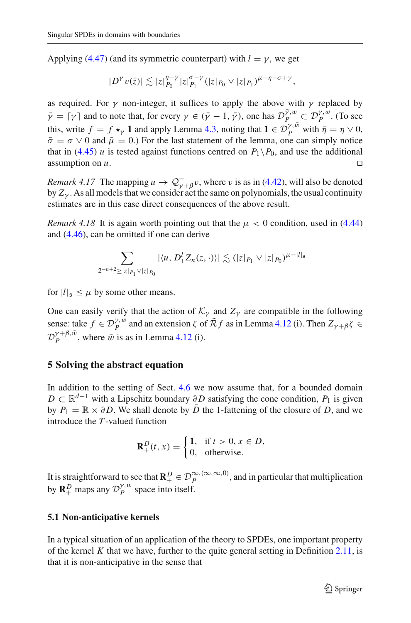Applying [\(4.47\)](#page-39-0) (and its symmetric counterpart) with  $l = \gamma$ , we get

$$
|D^{\gamma}v(\bar{z})| \lesssim |z|_{P_0}^{\eta-\gamma}|z|_{P_1}^{\sigma-\gamma}(|z|_{P_0} \vee |z|_{P_1})^{\mu-\eta-\sigma+\gamma},
$$

as required. For  $\gamma$  non-integer, it suffices to apply the above with  $\gamma$  replaced by  $\bar{\gamma} = [\gamma]$  and to note that, for every  $\gamma \in (\bar{\gamma} - 1, \bar{\gamma})$ , one has  $\mathcal{D}_{P}^{\bar{\gamma},w} \subset \mathcal{D}_{P}^{\gamma,w}$ . (To see this, write  $f = f \star_{\gamma} 1$  and apply Lemma [4.3,](#page-18-2) noting that  $1 \in \mathcal{D}_{P}^{\gamma,\bar{w}}$  with  $\bar{\eta} = \eta \vee 0$ ,  $\bar{\sigma} = \sigma \vee 0$  and  $\bar{\mu} = 0$ .) For the last statement of the lemma, one can simply notice that in [\(4.45\)](#page-39-1) *u* is tested against functions centred on  $P_1 \setminus P_0$ , and use the additional assumption on *u*. assumption on *u*.

*Remark 4.17* The mapping  $u \to Q_{\gamma+\beta}^{-}v$ , where v is as in [\(4.42\)](#page-38-0), will also be denoted by  $Z_{\gamma}$ . As all models that we consider act the same on polynomials, the usual continuity estimates are in this case direct consequences of the above result.

<span id="page-40-2"></span>*Remark 4.18* It is again worth pointing out that the  $\mu < 0$  condition, used in [\(4.44\)](#page-39-2) and [\(4.46\)](#page-39-3), can be omitted if one can derive

$$
\sum_{2^{-n+2} \geq |z|_{P_1} \vee |z|_{P_0}} |\langle u, D_1^l Z_n(z, \cdot) \rangle| \lesssim (|z|_{P_1} \vee |z|_{P_0})^{\mu - |l|_{\mathfrak{s}}}
$$

for  $|l|_{\mathfrak{s}} \leq \mu$  by some other means.

One can easily verify that the action of  $K_\gamma$  and  $Z_\gamma$  are compatible in the following sense: take  $f \in \mathcal{D}_P^{\gamma,w}$  and an extension  $\zeta$  of  $\tilde{\mathcal{R}}f$  as in Lemma [4.12](#page-30-4) (i). Then  $Z_{\gamma+\beta}\zeta \in$  $\mathcal{D}_P^{\gamma+\beta,\bar{w}}$ , where  $\bar{w}$  is as in Lemma [4.12](#page-30-4) (i).

## <span id="page-40-0"></span>**5 Solving the abstract equation**

In addition to the setting of Sect. [4.6](#page-37-0) we now assume that, for a bounded domain *D* ⊂  $\mathbb{R}^{d-1}$  with a Lipschitz boundary ∂*D* satisfying the cone condition, *P*<sub>1</sub> is given by  $P_1 = \mathbb{R} \times \partial D$ . We shall denote by  $\overline{D}$  the 1-fattening of the closure of *D*, and we introduce the *T* -valued function

$$
\mathbf{R}_+^D(t,x) = \begin{cases} 1, & \text{if } t > 0, x \in D, \\ 0, & \text{otherwise.} \end{cases}
$$

It is straightforward to see that  $\mathbb{R}_{+}^{D} \in \mathcal{D}_{P}^{\infty, (\infty, \infty, 0)}$ , and in particular that multiplication by  $\mathbf{R}_{+}^{D}$  maps any  $\mathcal{D}_{P}^{\gamma,w}$  space into itself.

#### <span id="page-40-1"></span>**5.1 Non-anticipative kernels**

In a typical situation of an application of the theory to SPDEs, one important property of the kernel  $K$  that we have, further to the quite general setting in Definition  $2.11$ , is that it is non-anticipative in the sense that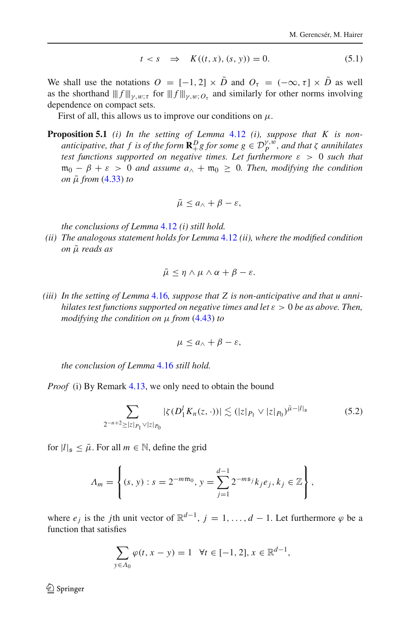$$
t < s \quad \Rightarrow \quad K((t, x), (s, y)) = 0. \tag{5.1}
$$

We shall use the notations  $O = [-1, 2] \times \overline{D}$  and  $O_{\tau} = (-\infty, \tau] \times \overline{D}$  as well as the shorthand  $|||f|||_{\gamma,w;\tau}$  for  $|||f||_{\gamma,w;\mathcal{O}_{\tau}}$  and similarly for other norms involving dependence on compact sets.

First of all, this allows us to improve our conditions on  $\mu$ .

**Proposition 5.1** *(i) In the setting of Lemma* [4.12](#page-30-4) *(i), suppose that K is nonanticipative, that f is of the form*  $\mathbf{R}^D_+ g$  *for some*  $g \in \mathcal{D}^{\gamma,\hat{w}}_P$ *, and that*  $\zeta$  *annihilates test functions supported on negative times. Let furthermore* ε > 0 *such that*  $m_0 - \beta + \varepsilon > 0$  *and assume*  $a_0 + m_0 \geq 0$ *. Then, modifying the condition on* μ¯ *from* [\(4.33\)](#page-30-0) *to*

<span id="page-41-0"></span>
$$
\bar{\mu}\leq a_{\wedge}+\beta-\varepsilon,
$$

*the conclusions of Lemma* [4.12](#page-30-4) *(i) still hold.*

*(ii) The analogous statement holds for Lemma* [4.12](#page-30-4) *(ii), where the modified condition on* μ¯ *reads as*

$$
\bar{\mu} \leq \eta \wedge \mu \wedge \alpha + \beta - \varepsilon.
$$

*(iii) In the setting of Lemma* [4.16](#page-38-1)*, suppose that Z is non-anticipative and that u annihilates test functions supported on negative times and let*  $\varepsilon > 0$  *be as above. Then, modifying the condition on* μ *from* [\(4.43\)](#page-38-2) *to*

$$
\mu \leq a_{\wedge} + \beta - \varepsilon,
$$

*the conclusion of Lemma* [4.16](#page-38-1) *still hold.*

*Proof* (i) By Remark [4.13,](#page-36-1) we only need to obtain the bound

<span id="page-41-1"></span>
$$
\sum_{2^{-n+2} \ge |z|_{P_1} \vee |z|_{P_0}} |\zeta(D_1^l K_n(z, \cdot))| \lesssim (|z|_{P_1} \vee |z|_{P_0})^{\bar{\mu}-|l|_{\mathfrak{s}}} \tag{5.2}
$$

for  $|l|_{\mathfrak{s}} \leq \bar{\mu}$ . For all  $m \in \mathbb{N}$ , define the grid

$$
\Lambda_m = \left\{ (s, y) : s = 2^{-m m_0}, y = \sum_{j=1}^{d-1} 2^{-m s_j} k_j e_j, k_j \in \mathbb{Z} \right\},\,
$$

where  $e_j$  is the *j*th unit vector of  $\mathbb{R}^{d-1}$ ,  $j = 1, ..., d-1$ . Let furthermore  $\varphi$  be a function that satisfies

$$
\sum_{y \in \Lambda_0} \varphi(t, x - y) = 1 \quad \forall t \in [-1, 2], x \in \mathbb{R}^{d-1},
$$

 $\textcircled{2}$  Springer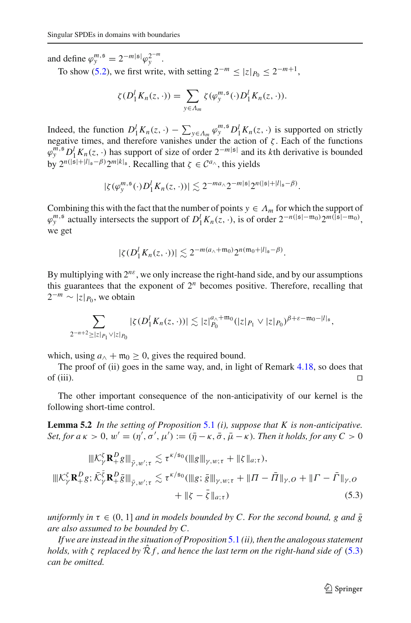and define  $\varphi_{y}^{m,s} = 2^{-m|s|} \varphi_{y}^{2^{-m}}$ .

To show [\(5.2\)](#page-41-1), we first write, with setting  $2^{-m} \le |z|_{P_0} \le 2^{-m+1}$ ,

$$
\zeta(D_1^l K_n(z,\cdot))=\sum_{y\in\Lambda_m}\zeta(\varphi^{m,\mathfrak{s}}_y(\cdot)D_1^l K_n(z,\cdot)).
$$

Indeed, the function  $D_1^l K_n(z, \cdot) - \sum_{y \in \Lambda_m} \varphi_y^{m,s} D_1^l K_n(z, \cdot)$  is supported on strictly negative times, and therefore vanishes under the action of  $\zeta$ . Each of the functions  $\varphi_y^{m,s} D_1^l K_n(z, \cdot)$  has support of size of order  $2^{-m|s|}$  and its *k*th derivative is bounded by  $2^{n(|\mathfrak{s}|+|l|_{\mathfrak{s}}-\beta)}2^{m|k|_{\mathfrak{s}}}$ . Recalling that  $\zeta \in C^{a_{\wedge}}$ , this yields

$$
|\zeta(\varphi_{\mathbf{y}}^{m,\mathfrak{s}}(\cdot)D_{1}^{l}K_{n}(z,\cdot))|\lesssim 2^{-ma_{\wedge}2^{-m|\mathfrak{s}|}2^{n(|\mathfrak{s}|+|l|_{\mathfrak{s}}-\beta)}}.
$$

Combining this with the fact that the number of points  $y \in A_m$  for which the support of  $\varphi_y^{m,5}$  actually intersects the support of  $D_1^l K_n(z, \cdot)$ , is of order  $2^{-n(|s|-m_0)}2^{m(|\tilde{s}|-m_0)}$ , we get

$$
|\zeta(D_1^l K_n(z,\cdot))| \lesssim 2^{-m(a_\wedge + \mathfrak{m}_0)} 2^{n(\mathfrak{m}_0 + |l|_\mathfrak{s} - \beta)}.
$$

By multiplying with 2*n*ε, we only increase the right-hand side, and by our assumptions this guarantees that the exponent of  $2^n$  becomes positive. Therefore, recalling that  $2^{-m} \sim |z|_{P_0}$ , we obtain

$$
\sum_{2^{-n+2}\geq |z|_{P_1}\vee |z|_{P_0}} |\zeta(D_1^l K_n(z,\cdot))| \lesssim |z|_{P_0}^{a_{\wedge}+{\mathfrak m}_0} (|z|_{P_1}\vee |z|_{P_0})^{\beta+\varepsilon-{\mathfrak m}_0-|l|_{\mathfrak s}},
$$

which, using  $a_{\wedge} + \mathfrak{m}_0 \geq 0$ , gives the required bound.

The proof of (ii) goes in the same way, and, in light of Remark [4.18,](#page-40-2) so does that of (iii).  $\Box$ 

<span id="page-42-1"></span>The other important consequence of the non-anticipativity of our kernel is the following short-time control.

**Lemma 5.2** *In the setting of Proposition* [5.1](#page-41-0) *(i), suppose that K is non-anticipative.* Set, for a  $\kappa > 0$ ,  $w' = (\eta', \sigma', \mu') := (\bar{\eta} - \kappa, \bar{\sigma}, \bar{\mu} - \kappa)$ . Then it holds, for any  $C > 0$ 

<span id="page-42-0"></span>
$$
\|K_{\gamma}^{\xi}\mathbf{R}_{+}^{D}g\|_{\bar{\gamma},w';\tau} \lesssim \tau^{\kappa/\mathfrak{s}_{0}}(\|g\|_{\gamma,w;\tau} + \|\xi\|_{a;\tau}),
$$
  

$$
\|K_{\gamma}^{\xi}\mathbf{R}_{+}^{D}g; \bar{\mathcal{K}}_{\gamma}^{\bar{\xi}}\mathbf{R}_{+}^{D}\bar{g}\|_{\bar{\gamma},w';\tau} \lesssim \tau^{\kappa/\mathfrak{s}_{0}}(\|g; \bar{g}\|_{\gamma,w;\tau} + \|\Pi - \bar{\Pi}\|_{\gamma,O} + \|\Gamma - \bar{\Gamma}\|_{\gamma,O} + \|\xi - \bar{\xi}\|_{a;\tau})
$$
(5.3)

*uniformly in*  $\tau \in (0, 1]$  *and in models bounded by C. For the second bound, g and*  $\bar{g}$ *are also assumed to be bounded by C.*

*If we are instead in the situation of Proposition* [5.1](#page-41-0) *(ii), then the analogous statement holds, with ζ replaced by*  $\hat{\mathcal{R}}$  *f*, *and hence the last term on the right-hand side of* [\(5.3\)](#page-42-0) *can be omitted.*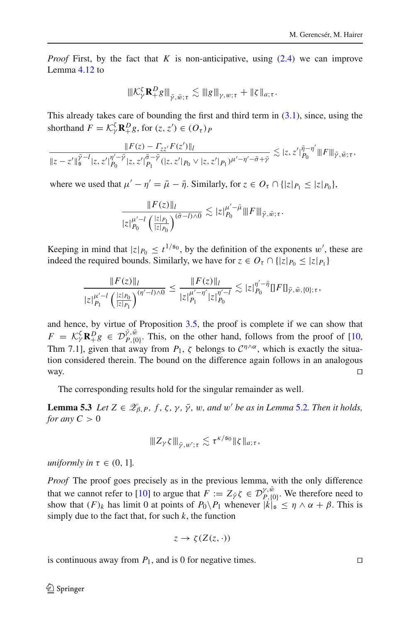*Proof* First, by the fact that *K* is non-anticipative, using [\(2.4\)](#page-8-0) we can improve Lemma [4.12](#page-30-4) to

$$
\|{\mathcal K}_{\gamma}^{\zeta}{\mathbf R}_{+}^{D}g\|_{\bar{\gamma},\bar{w};\tau}\lesssim \|g\|_{\gamma,w;\tau}+\|\zeta\|_{a;\tau}.
$$

This already takes care of bounding the first and third term in  $(3.1)$ , since, using the shorthand  $F = \mathcal{K}_{\gamma}^{\zeta} \mathbf{R}_{+}^{D} g$ , for  $(z, z') \in (O_{\tau})_{P}$ 

$$
\frac{\|F(z) - \Gamma_{zz'}F(z')\|_l}{\|z - z'\|_{\mathfrak{s}}^{\tilde{\gamma}-l}|z, z'\|_{P_0}^{\tilde{\gamma}-\tilde{\gamma}}|z, z'\|_{P_1}^{\tilde{\sigma}-\tilde{\gamma}}(|z, z'|_{P_0} \vee |z, z'|_{P_1})^{\mu'-\eta'-\tilde{\sigma}+\tilde{\gamma}} \lesssim |z, z'\|_{P_0}^{\tilde{\eta}-\eta'} \|F\|_{\tilde{\gamma}, \tilde{w}; \tau},
$$

where we used that  $\mu' - \eta' = \bar{\mu} - \bar{\eta}$ . Similarly, for  $z \in O_{\tau} \cap \{ |z|_{P_1} \le |z|_{P_0} \}$ ,

$$
\frac{\|F(z)\|_{l}}{|z|_{P_0}^{\mu'-l} \left(\frac{|z|_{P_1}}{|z|_{P_0}}\right)^{(\bar{\sigma}-l)\wedge 0}} \lesssim |z|_{P_0}^{\mu'-\bar{\mu}} \|F\|_{\bar{\gamma},\bar{w};\tau}.
$$

Keeping in mind that  $|z|_{P_0} \le t^{1/50}$ , by the definition of the exponents w', these are indeed the required bounds. Similarly, we have for  $z \in O_\tau \cap \{|z|_{P_0} \leq |z|_{P_1}\}$ 

$$
\frac{\|F(z)\|_l}{|z|_{P_1}^{\mu'-l} \left(\frac{|z|_{P_0}}{|z|_{P_1}}\right)^{(\eta'-l)\wedge 0}} \leq \frac{\|F(z)\|_l}{|z|_{P_1}^{\mu'-\eta'}|z|_{P_0}^{\eta'-l}} \lesssim |z|_{P_0}^{\eta'-\bar{\eta}} \mathbb{I} F \mathbb{I}_{\bar{\gamma},\bar{w},\{0\};\tau},
$$

and hence, by virtue of Proposition [3.5,](#page-15-3) the proof is complete if we can show that  $F = \mathcal{K}_{\gamma}^{\zeta} \mathbb{R}_{+}^{D} g \in \mathcal{D}_{P,\{0\}}^{\bar{\gamma},\bar{w}}$ . This, on the other hand, follows from the proof of [\[10,](#page-61-0) Thm 7.1], given that away from  $P_1$ ,  $\zeta$  belongs to  $C^{\eta \wedge \alpha}$ , which is exactly the situation considered therein. The bound on the difference again follows in an analogous way.  $\Box$ 

<span id="page-43-0"></span>The corresponding results hold for the singular remainder as well.

**Lemma 5.3** *Let*  $Z \in \mathscr{Z}_{\beta, P}$ *, f,*  $\zeta$ *,*  $\gamma$ *,*  $\bar{\gamma}$ *, w, and w' be as in Lemma [5.2](#page-42-1). Then it holds, for any*  $C > 0$ 

$$
|||Z_{\gamma}\zeta|||_{\bar{\gamma},w';\tau}\lesssim \tau^{\kappa/50}||\zeta||_{a;\tau},
$$

*uniformly in*  $\tau \in (0, 1]$ *.* 

*Proof* The proof goes precisely as in the previous lemma, with the only difference that we cannot refer to [\[10\]](#page-61-0) to argue that  $F := Z_{\bar{\gamma}} \zeta \in \mathcal{D}_{P,\{0\}}^{\gamma,\bar{w}}$ . We therefore need to show that  $(F)_k$  has limit 0 at points of  $P_0 \setminus P_1$  whenever  $|k| \leq \eta \wedge \alpha + \beta$ . This is simply due to the fact that, for such  $k$ , the function

$$
z \to \zeta(Z(z,\cdot))
$$

is continuous away from  $P_1$ , and is 0 for negative times.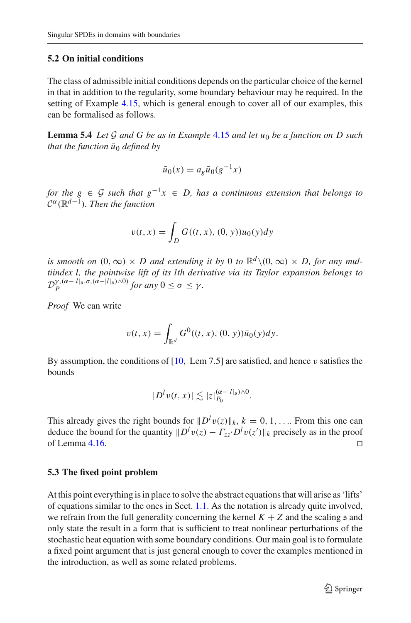## <span id="page-44-0"></span>**5.2 On initial conditions**

The class of admissible initial conditions depends on the particular choice of the kernel in that in addition to the regularity, some boundary behaviour may be required. In the setting of Example [4.15,](#page-37-1) which is general enough to cover all of our examples, this can be formalised as follows.

<span id="page-44-2"></span>**Lemma 5.4** *Let G and G be as in Example* [4.15](#page-37-1) *and let u*<sup>0</sup> *be a function on D such that the function*  $\bar{u}_0$  *defined by* 

$$
\bar{u}_0(x) = a_g \bar{u}_0(g^{-1}x)
$$

*for the g*  $\in$  *G such that*  $g^{-1}x \in D$ *, has a continuous extension that belongs to <sup>C</sup>*α(R*d*−1)*. Then the function*

$$
v(t, x) = \int_D G((t, x), (0, y))u_0(y)dy
$$

*is smooth on*  $(0, \infty) \times D$  *and extending it by* 0 *to*  $\mathbb{R}^d \setminus (0, \infty) \times D$ , for any mul*tiindex l, the pointwise lift of its lth derivative via its Taylor expansion belongs to*  $\mathcal{D}_P^{\gamma,(\alpha-|l|_\mathfrak{s},\sigma,(\alpha-|l|_\mathfrak{s})\wedge 0)}$  *for any*  $0 \leq \sigma \leq \gamma$ *.* 

*Proof* We can write

$$
v(t,x) = \int_{\mathbb{R}^d} G^0((t,x), (0, y)) \bar{u}_0(y) dy.
$$

By assumption, the conditions of  $[10, \text{ Lem } 7.5]$  $[10, \text{ Lem } 7.5]$  are satisfied, and hence v satisfies the bounds

$$
|D^l v(t,x)| \lesssim |z|_{P_0}^{(\alpha-|l|_{\mathfrak{s}})\wedge 0}.
$$

This already gives the right bounds for  $||D^l v(z)||_k$ ,  $k = 0, 1, \ldots$  From this one can deduce the bound for the quantity  $||D^l v(z) - \Gamma_{zz'} D^l v(z')||_k$  precisely as in the proof of Lemma [4.16.](#page-38-1)  $\Box$ 

## <span id="page-44-1"></span>**5.3 The fixed point problem**

At this point everything is in place to solve the abstract equations that will arise as 'lifts' of equations similar to the ones in Sect. [1.1.](#page-2-0) As the notation is already quite involved, we refrain from the full generality concerning the kernel  $K + Z$  and the scaling  $\mathfrak s$  and only state the result in a form that is sufficient to treat nonlinear perturbations of the stochastic heat equation with some boundary conditions. Our main goal is to formulate a fixed point argument that is just general enough to cover the examples mentioned in the introduction, as well as some related problems.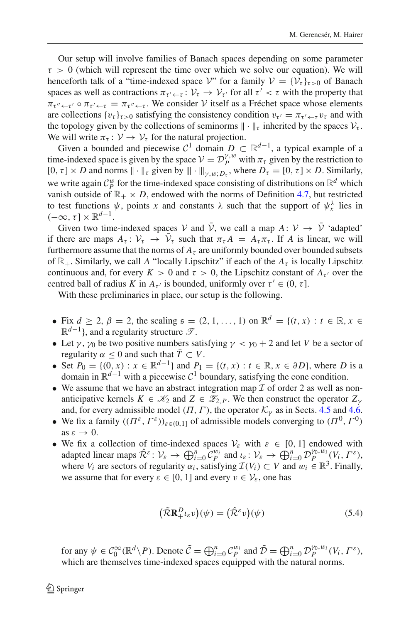Our setup will involve families of Banach spaces depending on some parameter  $\tau > 0$  (which will represent the time over which we solve our equation). We will henceforth talk of a "time-indexed space  $V$ " for a family  $V = \{V_t\}_{t>0}$  of Banach spaces as well as contractions  $\pi_{\tau' \leftarrow \tau} : \mathcal{V}_{\tau} \rightarrow \mathcal{V}_{\tau'}$  for all  $\tau' < \tau$  with the property that  $\pi_{\tau'' \leftarrow \tau'} \circ \pi_{\tau' \leftarrow \tau} = \pi_{\tau'' \leftarrow \tau}$ . We consider *V* itself as a Fréchet space whose elements are collections  $\{v_\tau\}_{\tau>0}$  satisfying the consistency condition  $v_{\tau'} = \pi_{\tau' \leftarrow \tau} v_{\tau}$  and with the topology given by the collections of seminorms  $\|\cdot\|_{\tau}$  inherited by the spaces  $\mathcal{V}_{\tau}$ . We will write  $\pi_{\tau} : \mathcal{V} \to \mathcal{V}_{\tau}$  for the natural projection.

Given a bounded and piecewise  $C^1$  domain  $D \subset \mathbb{R}^{d-1}$ , a typical example of a time-indexed space is given by the space  $V = D_p^{\gamma,w}$  with  $\pi_\tau$  given by the restriction to  $[0, \tau] \times D$  and norms  $\|\cdot\|_{\tau}$  given by  $\|\cdot\|_{\nu, w: D_{\tau}}$ , where  $D_{\tau} = [0, \tau] \times D$ . Similarly, we write again  $C_p^w$  for the time-indexed space consisting of distributions on  $\mathbb{R}^d$  which vanish outside of  $\mathbb{R}_+ \times D$ , endowed with the norms of Definition [4.7,](#page-25-3) but restricted to test functions  $\psi$ , points *x* and constants  $\lambda$  such that the support of  $\psi_x^{\lambda}$  lies in  $(-\infty, \tau] \times \mathbb{R}^{d-1}$ .

Given two time-indexed spaces *V* and  $\bar{V}$ , we call a map  $A: V \rightarrow \bar{V}$  'adapted' if there are maps  $A_{\tau} \colon V_{\tau} \to V_{\tau}$  such that  $\pi_{\tau} A = A_{\tau} \pi_{\tau}$ . If *A* is linear, we will furthermore assume that the norms of  $A<sub>\tau</sub>$  are uniformly bounded over bounded subsets of  $\mathbb{R}_+$ . Similarly, we call A "locally Lipschitz" if each of the  $A_\tau$  is locally Lipschitz continuous and, for every  $K > 0$  and  $\tau > 0$ , the Lipschitz constant of  $A_{\tau'}$  over the centred ball of radius *K* in  $A_{\tau'}$  is bounded, uniformly over  $\tau' \in (0, \tau]$ .

With these preliminaries in place, our setup is the following.

- Fix  $d > 2$ ,  $\beta = 2$ , the scaling  $\mathfrak{s} = (2, 1, \ldots, 1)$  on  $\mathbb{R}^d = \{(t, x) : t \in \mathbb{R}, x \in \mathbb{R}^d\}$ <sup>R</sup>*d*−1}, and a regularity structure *<sup>T</sup>* .
- Let  $\gamma$ ,  $\gamma_0$  be two positive numbers satisfying  $\gamma < \gamma_0 + 2$  and let *V* be a sector of regularity  $\alpha$  < 0 and such that  $\overline{T} \subset V$ .
- Set  $P_0 = \{(0, x) : x \in \mathbb{R}^{d-1}\}\$  and  $P_1 = \{(t, x) : t \in \mathbb{R}, x \in \partial D\}$ , where *D* is a domain in  $\mathbb{R}^{d-1}$  with a piecewise  $\mathcal{C}^1$  boundary, satisfying the cone condition.
- We assume that we have an abstract integration map  $\mathcal I$  of order 2 as well as nonanticipative kernels  $K \in \mathcal{K}_2$  and  $Z \in \mathcal{Z}_{2,P}$ . We then construct the operator  $Z_{\gamma}$ and, for every admissible model  $(\Pi, \Gamma)$ , the operator  $\mathcal{K}_{\gamma}$  as in Sects. [4.5](#page-29-1) and [4.6.](#page-37-0)
- We fix a family  $((\Pi^{\varepsilon}, \Gamma^{\varepsilon}))_{\varepsilon \in (0,1]}$  of admissible models converging to  $(\Pi^0, \Gamma^0)$ as  $\varepsilon \to 0$ .
- We fix a collection of time-indexed spaces  $V_{\varepsilon}$  with  $\varepsilon \in [0, 1]$  endowed with adapted linear maps  $\hat{\mathcal{R}}^{\varepsilon}$ :  $\mathcal{V}_{\varepsilon} \to \bigoplus_{i=0}^{n} \mathcal{C}_{P}^{w_i}$  and  $\iota_{\varepsilon}$ :  $\mathcal{V}_{\varepsilon} \to \bigoplus_{i=0}^{n} \mathcal{D}_{P}^{\gamma_0, w_i}(V_i, \Gamma^{\varepsilon})$ , where  $V_i$  are sectors of regularity  $\alpha_i$ , satisfying  $\mathcal{I}(V_i) \subset V$  and  $w_i \in \mathbb{R}^3$ . Finally, we assume that for every  $\varepsilon \in [0, 1]$  and every  $v \in V_{\varepsilon}$ , one has

<span id="page-45-0"></span>
$$
\left(\tilde{\mathcal{R}}\mathbf{R}_{+}^{D}\iota_{\varepsilon}\mathbf{v}\right)(\psi) = \left(\hat{\mathcal{R}}^{\varepsilon}\mathbf{v}\right)(\psi) \tag{5.4}
$$

for any  $\psi \in C_0^\infty(\mathbb{R}^d \setminus P)$ . Denote  $\tilde{C} = \bigoplus_{i=0}^n C_P^{w_i}$  and  $\tilde{D} = \bigoplus_{i=0}^n \mathcal{D}_P^{\gamma_0, w_i}(V_i, \Gamma^\varepsilon)$ , which are themselves time-indexed spaces equipped with the natural norms.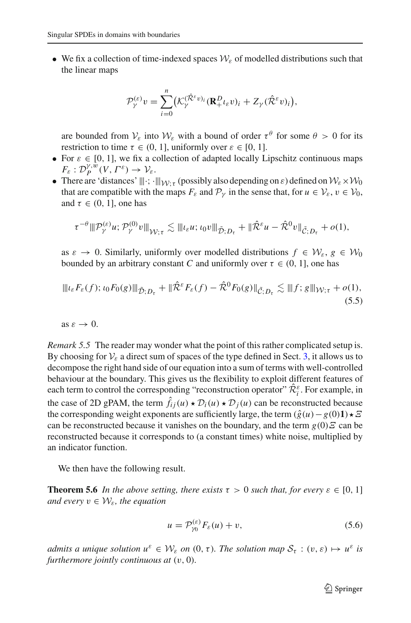• We fix a collection of time-indexed spaces  $W_{\varepsilon}$  of modelled distributions such that the linear maps

$$
\mathcal{P}_{\gamma}^{(\varepsilon)}v = \sum_{i=0}^{n} \left( \mathcal{K}_{\gamma}^{(\hat{\mathcal{R}}^{\varepsilon}v)_{i}} (\mathbf{R}_{+}^{D} \iota_{\varepsilon}v)_{i} + Z_{\gamma} (\hat{\mathcal{R}}^{\varepsilon}v)_{i} \right),
$$

are bounded from  $V_{\varepsilon}$  into  $W_{\varepsilon}$  with a bound of order  $\tau^{\theta}$  for some  $\theta > 0$  for its restriction to time  $\tau \in (0, 1]$ , uniformly over  $\varepsilon \in [0, 1]$ .

- For  $\varepsilon \in [0, 1]$ , we fix a collection of adapted locally Lipschitz continuous maps  $F_{\varepsilon}: \mathcal{D}_{P}^{\gamma, w}(V, \Gamma^{\varepsilon}) \to \mathcal{V}_{\varepsilon}.$
- There are 'distances'  $|||\cdot||_{W\cdot\tau}$  (possibly also depending on  $\varepsilon$ ) defined on  $W_{\varepsilon} \times W_0$ that are compatible with the maps  $F_{\varepsilon}$  and  $\mathcal{P}_{\nu}$  in the sense that, for  $u \in \mathcal{V}_{\varepsilon}, v \in \mathcal{V}_0$ , and  $\tau \in (0, 1]$ , one has

<span id="page-46-1"></span>
$$
\tau^{-\theta} \|\mathcal{P}^{(\varepsilon)}_{\gamma} u; \mathcal{P}^{(0)}_{\gamma} v\|_{\mathcal{W};\tau} \lesssim \|\iota_{\varepsilon} u; \iota_0 v\|_{\tilde{\mathcal{D}};D_{\tau}} + \|\hat{\mathcal{R}}^{\varepsilon} u - \hat{\mathcal{R}}^0 v\|_{\tilde{\mathcal{C}};D_{\tau}} + o(1),
$$

as  $\varepsilon \to 0$ . Similarly, uniformly over modelled distributions  $f \in \mathcal{W}_{\varepsilon}, g \in \mathcal{W}_0$ bounded by an arbitrary constant *C* and uniformly over  $\tau \in (0, 1]$ , one has

$$
\|l_{\varepsilon}F_{\varepsilon}(f); \, \iota_0 F_0(g)\|_{\tilde{\mathcal{D}}; D_{\tau}} + \|\hat{\mathcal{R}}^{\varepsilon}F_{\varepsilon}(f) - \hat{\mathcal{R}}^0 F_0(g)\|_{\tilde{\mathcal{C}}; D_{\tau}} \lesssim \|f; g\|_{\mathcal{W}; \tau} + o(1),\tag{5.5}
$$

as  $\varepsilon \to 0$ .

*Remark 5.5* The reader may wonder what the point of this rather complicated setup is. By choosing for  $V_{\varepsilon}$  a direct sum of spaces of the type defined in Sect. [3,](#page-14-0) it allows us to decompose the right hand side of our equation into a sum of terms with well-controlled behaviour at the boundary. This gives us the flexibility to exploit different features of each term to control the corresponding "reconstruction operator"  $\hat{\mathcal{R}}_i^{\varepsilon}$ . For example, in the case of 2D gPAM, the term  $\hat{f}_{ij}(u) \star \mathcal{D}_i(u) \star \mathcal{D}_i(u)$  can be reconstructed because the corresponding weight exponents are sufficiently large, the term  $(\hat{g}(u) - g(0)1) \star \Xi$ can be reconstructed because it vanishes on the boundary, and the term  $g(0)E$  can be reconstructed because it corresponds to (a constant times) white noise, multiplied by an indicator function.

<span id="page-46-2"></span>We then have the following result.

**Theorem 5.6** *In the above setting, there exists*  $\tau > 0$  *such that, for every*  $\varepsilon \in [0, 1]$ *and every*  $v \in W_{\varepsilon}$ *, the equation* 

<span id="page-46-0"></span>
$$
u = \mathcal{P}_{\gamma_0}^{(\varepsilon)} F_{\varepsilon}(u) + v,\tag{5.6}
$$

*admits a unique solution*  $u^{\varepsilon} \in W_{\varepsilon}$  *on*  $(0, \tau)$ *. The solution map*  $S_{\tau} : (v, \varepsilon) \mapsto u^{\varepsilon}$  *is furthermore jointly continuous at* (v, 0)*.*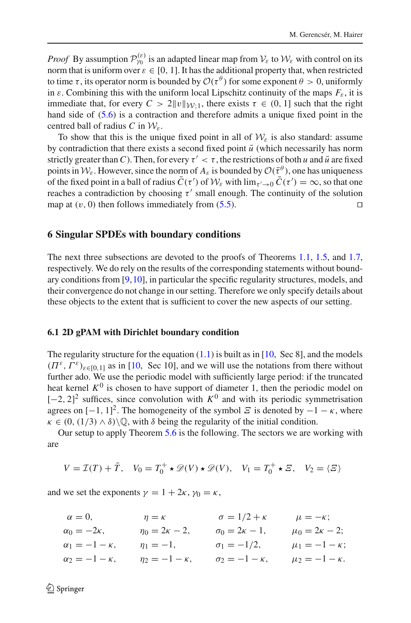*Proof* By assumption  $\mathcal{P}_{\gamma_0}^{(\varepsilon)}$  is an adapted linear map from  $\mathcal{V}_{\varepsilon}$  to  $\mathcal{W}_{\varepsilon}$  with control on its norm that is uniform over  $\varepsilon \in [0, 1]$ . It has the additional property that, when restricted to time  $\tau$ , its operator norm is bounded by  $\mathcal{O}(\tau^{\theta})$  for some exponent  $\theta > 0$ , uniformly in  $\varepsilon$ . Combining this with the uniform local Lipschitz continuity of the maps  $F_{\varepsilon}$ , it is immediate that, for every  $C > 2||v||_{W-1}$ , there exists  $\tau \in (0, 1]$  such that the right hand side of [\(5.6\)](#page-46-0) is a contraction and therefore admits a unique fixed point in the centred ball of radius *C* in *W*ε.

To show that this is the unique fixed point in all of  $W_{\varepsilon}$  is also standard: assume by contradiction that there exists a second fixed point  $\bar{u}$  (which necessarily has norm strictly greater than C). Then, for every  $\tau' < \tau$ , the restrictions of both *u* and  $\bar{u}$  are fixed points in  $W_{\varepsilon}$ . However, since the norm of  $A_{\varepsilon}$  is bounded by  $\mathcal{O}(\bar{\tau}^{\theta})$ , one has uniqueness of the fixed point in a ball of radius  $C(\tau')$  of  $\mathcal{W}_{\varepsilon}$  with  $\lim_{\tau \to 0} C(\tau') = \infty$ , so that one reaches a contradiction by choosing  $\tau'$  small enough. The continuity of the solution map at  $(v, 0)$  then follows immediately from [\(5.5\)](#page-46-1).

## <span id="page-47-0"></span>**6 Singular SPDEs with boundary conditions**

The next three subsections are devoted to the proofs of Theorems [1.1,](#page-3-0) [1.5,](#page-3-3) and [1.7,](#page-4-3) respectively. We do rely on the results of the corresponding statements without boundary conditions from  $[9,10]$  $[9,10]$ , in particular the specific regularity structures, models, and their convergence do not change in our setting. Therefore we only specify details about these objects to the extent that is sufficient to cover the new aspects of our setting.

#### <span id="page-47-1"></span>**6.1 2D gPAM with Dirichlet boundary condition**

The regularity structure for the equation  $(1.1)$  is built as in [\[10](#page-61-0), Sec 8], and the models  $(\Pi^{\varepsilon}, \Gamma^{\varepsilon})_{\varepsilon \in [0,1]}$  as in [\[10](#page-61-0), Sec 10], and we will use the notations from there without further ado. We use the periodic model with sufficiently large period: if the truncated heat kernel  $K^0$  is chosen to have support of diameter 1, then the periodic model on  $[-2, 2]^2$  suffices, since convolution with  $K^0$  and with its periodic symmetrisation agrees on  $[-1, 1]^2$ . The homogeneity of the symbol  $\mathcal E$  is denoted by  $-1 - \kappa$ , where  $\kappa \in (0, (1/3) \wedge \delta) \backslash \mathbb{Q}$ , with  $\delta$  being the regularity of the initial condition.

Our setup to apply Theorem [5.6](#page-46-2) is the following. The sectors we are working with are

$$
V = \mathcal{I}(T) + \bar{T}, \quad V_0 = T_0^+ \star \mathcal{D}(V) \star \mathcal{D}(V), \quad V_1 = T_0^+ \star \mathcal{E}, \quad V_2 = \langle \mathcal{E} \rangle
$$

and we set the exponents  $\gamma = 1 + 2\kappa$ ,  $\gamma_0 = \kappa$ ,

| $\alpha = 0$ ,            | $\eta = \kappa$          | $\sigma = 1/2 + \kappa$   | $\mu = -\kappa;$        |
|---------------------------|--------------------------|---------------------------|-------------------------|
| $\alpha_0 = -2\kappa,$    | $\eta_0 = 2\kappa - 2$ , | $\sigma_0 = 2\kappa - 1,$ | $\mu_0 = 2\kappa - 2;$  |
| $\alpha_1=-1-\kappa,$     | $\eta_1 = -1,$           | $\sigma_1 = -1/2,$        | $\mu_1 = -1 - \kappa;$  |
| $\alpha_2 = -1 - \kappa,$ | $\eta_2 = -1 - \kappa,$  | $\sigma_2 = -1 - \kappa,$ | $\mu_2 = -1 - \kappa$ . |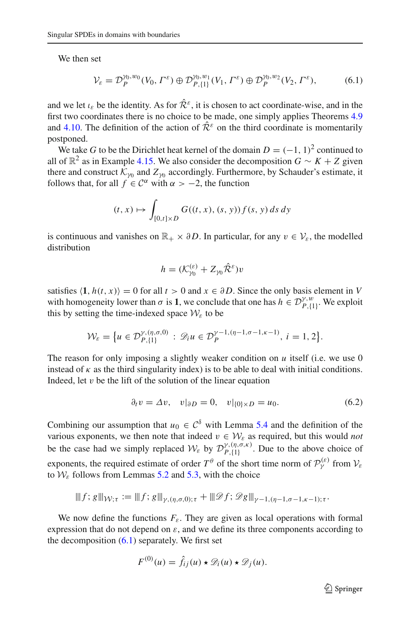We then set

<span id="page-48-0"></span>
$$
\mathcal{V}_{\varepsilon} = \mathcal{D}_{P}^{\gamma_0, w_0}(V_0, \Gamma^{\varepsilon}) \oplus \mathcal{D}_{P,\{1\}}^{\gamma_0, w_1}(V_1, \Gamma^{\varepsilon}) \oplus \mathcal{D}_{P}^{\gamma_0, w_2}(V_2, \Gamma^{\varepsilon}), \tag{6.1}
$$

and we let  $\iota_{\varepsilon}$  be the identity. As for  $\hat{\mathcal{R}}^{\varepsilon}$ , it is chosen to act coordinate-wise, and in the first two coordinates there is no choice to be made, one simply applies Theorems [4.9](#page-26-2) and [4.10.](#page-27-2) The definition of the action of  $\hat{\mathcal{R}}^{\varepsilon}$  on the third coordinate is momentarily postponed.

We take *G* to be the Dirichlet heat kernel of the domain  $D = (-1, 1)^2$  continued to all of  $\mathbb{R}^2$  as in Example [4.15.](#page-37-1) We also consider the decomposition *G* ∼ *K* + *Z* given there and construct  $K_{\gamma_0}$  and  $Z_{\gamma_0}$  accordingly. Furthermore, by Schauder's estimate, it follows that, for all  $f \in C^{\alpha}$  with  $\alpha > -2$ , the function

$$
(t, x) \mapsto \int_{[0,t] \times D} G((t, x), (s, y)) f(s, y) ds dy
$$

is continuous and vanishes on  $\mathbb{R}_+ \times \partial D$ . In particular, for any  $v \in \mathcal{V}_\varepsilon$ , the modelled distribution

$$
h = (\mathcal{K}_{\gamma_0}^{(\varepsilon)} + Z_{\gamma_0} \hat{\mathcal{R}}^{\varepsilon}) v
$$

satisfies  $\langle 1, h(t, x) \rangle = 0$  for all  $t > 0$  and  $x \in \partial D$ . Since the only basis element in *V* with homogeneity lower than  $\sigma$  is **1**, we conclude that one has  $h \in \mathcal{D}_{P,\{1\}}^{y,w}$ . We exploit this by setting the time-indexed space  $W_{\varepsilon}$  to be

$$
\mathcal{W}_{\varepsilon} = \{ u \in \mathcal{D}_{P,\{1\}}^{\gamma,(\eta,\sigma,0)} : \mathscr{D}_i u \in \mathcal{D}_P^{\gamma-1,(\eta-1,\sigma-1,\kappa-1)}, i=1,2 \}.
$$

The reason for only imposing a slightly weaker condition on *u* itself (i.e. we use 0 instead of  $\kappa$  as the third singularity index) is to be able to deal with initial conditions. Indeed, let  $v$  be the lift of the solution of the linear equation

$$
\partial_t v = \Delta v, \quad v|_{\partial D} = 0, \quad v|_{\{0\} \times D} = u_0. \tag{6.2}
$$

Combining our assumption that  $u_0 \in C^{\delta}$  with Lemma [5.4](#page-44-2) and the definition of the various exponents, we then note that indeed  $v \in W_{\varepsilon}$  as required, but this would *not* be the case had we simply replaced  $W_{\varepsilon}$  by  $\mathcal{D}_{P,\{1\}}^{\gamma,(\eta,\sigma,\kappa)}$ . Due to the above choice of exponents, the required estimate of order  $T^{\theta}$  of the short time norm of  $\mathcal{P}_{\gamma}^{(\varepsilon)}$  from  $\mathcal{V}_{\varepsilon}$ to  $W_{\varepsilon}$  follows from Lemmas [5.2](#page-42-1) and [5.3,](#page-43-0) with the choice

$$
\|f; g\|_{\mathcal{W};\tau} := \|f; g\|_{\gamma,(\eta,\sigma,0);\tau} + \|\mathscr{D}f; \mathscr{D}g\|_{\gamma-1,(\eta-1,\sigma-1,\kappa-1);\tau}.
$$

We now define the functions  $F_{\varepsilon}$ . They are given as local operations with formal expression that do not depend on  $\varepsilon$ , and we define its three components according to the decomposition  $(6.1)$  separately. We first set

$$
F^{(0)}(u) = \hat{f}_{ij}(u) \star \mathcal{D}_i(u) \star \mathcal{D}_j(u).
$$

<span id="page-48-1"></span> $\mathcal{D}$  Springer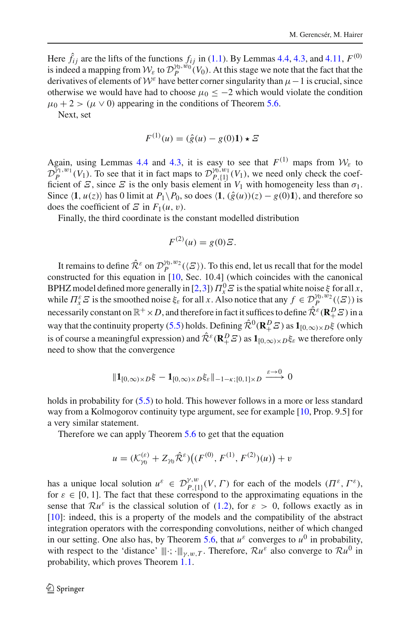Here  $\hat{f}_{ij}$  are the lifts of the functions  $f_{ij}$  in [\(1.1\)](#page-2-2). By Lemmas [4.4,](#page-22-1) [4.3,](#page-18-2) and [4.11,](#page-29-2)  $F^{(0)}$ is indeed a mapping from  $W_{\varepsilon}$  to  $\mathcal{D}_{P}^{\gamma_0,w_0}(V_0)$ . At this stage we note that the fact that the derivatives of elements of  $W^{\varepsilon}$  have better corner singularity than  $\mu-1$  is crucial, since otherwise we would have had to choose  $\mu_0 < -2$  which would violate the condition  $\mu_0 + 2 > (\mu \vee 0)$  appearing in the conditions of Theorem [5.6.](#page-46-2)

Next, set

$$
F^{(1)}(u) = (\hat{g}(u) - g(0)1) \star \Xi
$$

Again, using Lemmas [4.4](#page-22-1) and [4.3,](#page-18-2) it is easy to see that  $F^{(1)}$  maps from  $W_{\varepsilon}$  to  $\mathcal{D}_{P}^{\gamma_1,w_1}(V_1)$ . To see that it in fact maps to  $\mathcal{D}_{P,\{1\}}^{\gamma_0,w_1}(V_1)$ , we need only check the coef-<br> $\mathcal{D}_{P,\{1\}}^{\gamma_1,w_1}(V_1)$ ficient of  $\mathcal{Z}$ , since  $\mathcal{Z}$  is the only basis element in  $V_1$  with homogeneity less than  $\sigma_1$ . Since  $\langle 1, u(z) \rangle$  has 0 limit at  $P_1 \setminus P_0$ , so does  $\langle 1, (\hat{g}(u))(z) - g(0)1 \rangle$ , and therefore so does the coefficient of  $\mathcal E$  in  $F_1(u, v)$ .

Finally, the third coordinate is the constant modelled distribution

$$
F^{(2)}(u) = g(0)\mathcal{Z}.
$$

It remains to define  $\hat{\mathcal{R}}^{\varepsilon}$  on  $\mathcal{D}_{P}^{\gamma_0,w_2}(\langle E \rangle)$ . To this end, let us recall that for the model constructed for this equation in [\[10](#page-61-0), Sec. 10.4] (which coincides with the canonical BPHZ model defined more generally in [\[2](#page-60-4)[,3](#page-60-5)])  $\Pi_x^0 \mathcal{E}$  is the spatial white noise  $\xi$  for all *x*, while  $\Pi^{\varepsilon}_{x} \mathcal{E}$  is the smoothed noise  $\xi_{\varepsilon}$  for all *x*. Also notice that any  $f \in \mathcal{D}_P^{\gamma_0, w_2}(\langle \mathcal{E} \rangle)$  is necessarily constant on  $\mathbb{R}^+ \times D$ , and therefore in fact it suffices to define  $\hat{\mathcal{R}}^{\varepsilon}(\mathbf{R}^D_+ \mathcal{Z})$  in a way that the continuity property [\(5.5\)](#page-46-1) holds. Defining  $\hat{\mathcal{R}}^0(\mathbf{R}^D_+ \mathbf{\Sigma})$  as  $\mathbf{1}_{[0,\infty)\times D}$ ξ (which is of course a meaningful expression) and  $\hat{\mathcal{R}}^{\varepsilon}(\mathbf{R}^D_{+}\mathcal{Z})$  as  $\mathbf{1}_{[0,\infty)\times D}\xi_{\varepsilon}$  we therefore only need to show that the convergence

$$
\|\mathbf{1}_{[0,\infty)\times D}\xi-\mathbf{1}_{[0,\infty)\times D}\xi_{\varepsilon}\|_{-1-\kappa;[0,1]\times D}\xrightarrow{\varepsilon\to 0}0
$$

holds in probability for  $(5.5)$  to hold. This however follows in a more or less standard way from a Kolmogorov continuity type argument, see for example [\[10,](#page-61-0) Prop. 9.5] for a very similar statement.

Therefore we can apply Theorem [5.6](#page-46-2) to get that the equation

$$
u = (\mathcal{K}_{\gamma_0}^{(\varepsilon)} + Z_{\gamma_0} \hat{\mathcal{R}}^{\varepsilon}) ((F^{(0)}, F^{(1)}, F^{(2)})(u)) + v
$$

has a unique local solution  $u^{\varepsilon} \in \mathcal{D}_{P,\{1\}}^{\gamma,w}(V,\Gamma)$  for each of the models  $(\Pi^{\varepsilon},\Gamma^{\varepsilon})$ , for  $\varepsilon \in [0, 1]$ . The fact that these correspond to the approximating equations in the sense that  $\mathcal{R}u^{\varepsilon}$  is the classical solution of [\(1.2\)](#page-2-1), for  $\varepsilon > 0$ , follows exactly as in [\[10](#page-61-0)]: indeed, this is a property of the models and the compatibility of the abstract integration operators with the corresponding convolutions, neither of which changed in our setting. One also has, by Theorem [5.6,](#page-46-2) that  $u^{\varepsilon}$  converges to  $u^0$  in probability, with respect to the 'distance'  $|||\cdot||_{\gamma,w,T}$ . Therefore,  $\mathcal{R}u^{\varepsilon}$  also converge to  $\mathcal{R}u^0$  in probability, which proves Theorem [1.1.](#page-3-0)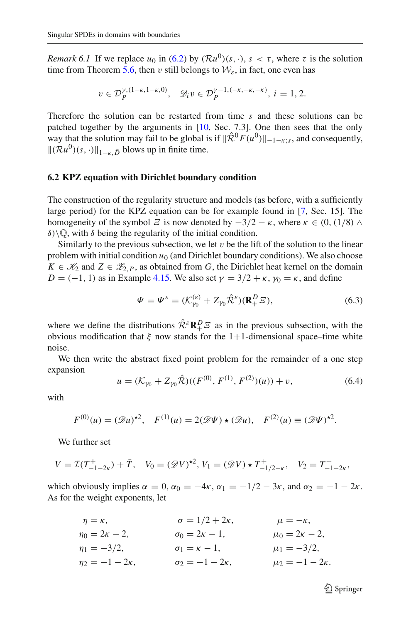*Remark 6.1* If we replace  $u_0$  in [\(6.2\)](#page-48-1) by  $(\mathcal{R}u^0)(s, \cdot)$ ,  $s < \tau$ , where  $\tau$  is the solution time from Theorem [5.6,](#page-46-2) then v still belongs to  $W<sub>s</sub>$ , in fact, one even has

$$
v \in \mathcal{D}_P^{\gamma, (1-\kappa, 1-\kappa, 0)}, \quad \mathcal{D}_i v \in \mathcal{D}_P^{\gamma-1, (-\kappa, -\kappa, -\kappa)}, \ i = 1, 2.
$$

Therefore the solution can be restarted from time *s* and these solutions can be patched together by the arguments in [\[10](#page-61-0), Sec. 7.3]. One then sees that the only way that the solution may fail to be global is if  $\|\hat{\mathcal{R}}^{0}F(u^{0})\|_{-1-\kappa;s}$ , and consequently,  $\|(\mathcal{R}u^{0})(s,\cdot)\|_{1-\kappa,\bar{D}}$  blows up in finite time.

#### <span id="page-50-0"></span>**6.2 KPZ equation with Dirichlet boundary condition**

The construction of the regularity structure and models (as before, with a sufficiently large period) for the KPZ equation can be for example found in [\[7,](#page-61-11) Sec. 15]. The homogeneity of the symbol  $\Xi$  is now denoted by  $-3/2 - \kappa$ , where  $\kappa \in (0, (1/8) \wedge$ δ)  $\mathbb{Q}$ , with δ being the regularity of the initial condition.

Similarly to the previous subsection, we let  $v$  be the lift of the solution to the linear problem with initial condition  $u_0$  (and Dirichlet boundary conditions). We also choose *K* ∈  $\mathcal{K}_2$  and *Z* ∈  $\mathcal{Z}_{2,P}$ , as obtained from *G*, the Dirichlet heat kernel on the domain  $D = (-1, 1)$  as in Example [4.15.](#page-37-1) We also set  $\gamma = 3/2 + \kappa$ ,  $\gamma_0 = \kappa$ , and define

$$
\Psi = \Psi^{\varepsilon} = (\mathcal{K}_{\gamma_0}^{(\varepsilon)} + Z_{\gamma_0} \hat{\mathcal{R}}^{\varepsilon}) (\mathbf{R}_+^D \mathcal{Z}), \tag{6.3}
$$

where we define the distributions  $\hat{\mathcal{R}}^{\varepsilon} \mathbb{R}^D_+ \mathcal{Z}$  as in the previous subsection, with the obvious modification that  $\xi$  now stands for the 1+1-dimensional space–time white noise.

We then write the abstract fixed point problem for the remainder of a one step expansion

<span id="page-50-1"></span>
$$
u = (\mathcal{K}_{\gamma_0} + Z_{\gamma_0} \hat{\mathcal{R}})((F^{(0)}, F^{(1)}, F^{(2)})(u)) + v,
$$
\n(6.4)

with

$$
F^{(0)}(u) = (\mathscr{D}u)^{\star 2}, \quad F^{(1)}(u) = 2(\mathscr{D}\Psi) \star (\mathscr{D}u), \quad F^{(2)}(u) \equiv (\mathscr{D}\Psi)^{\star 2}.
$$

We further set

$$
V = \mathcal{I}(T_{-1-2\kappa}^+) + \bar{T}, \quad V_0 = (\mathscr{D}V)^{\star 2}, \quad V_1 = (\mathscr{D}V) \star T_{-1/2-\kappa}^+, \quad V_2 = T_{-1-2\kappa}^+,
$$

which obviously implies  $\alpha = 0$ ,  $\alpha_0 = -4\kappa$ ,  $\alpha_1 = -1/2 - 3\kappa$ , and  $\alpha_2 = -1 - 2\kappa$ . As for the weight exponents, let

| $\eta = \kappa$ ,        | $\sigma = 1/2 + 2\kappa,$  | $\mu=-\kappa,$           |
|--------------------------|----------------------------|--------------------------|
| $\eta_0 = 2\kappa - 2,$  | $\sigma_0 = 2\kappa - 1,$  | $\mu_0 = 2\kappa - 2,$   |
| $\eta_1 = -3/2,$         | $\sigma_1 = \kappa - 1,$   | $\mu_1 = -3/2,$          |
| $\eta_2 = -1 - 2\kappa,$ | $\sigma_2 = -1 - 2\kappa,$ | $\mu_2 = -1 - 2\kappa$ . |

 $\mathcal{D}$  Springer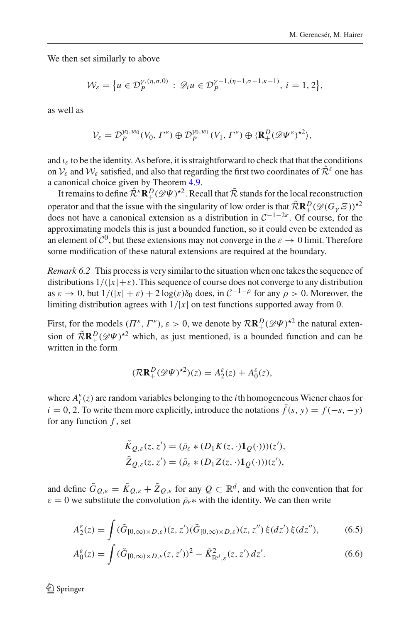We then set similarly to above

$$
\mathcal{W}_{\varepsilon} = \big\{ u \in \mathcal{D}_P^{\gamma,(\eta,\sigma,0)} : \mathscr{D}_i u \in \mathcal{D}_P^{\gamma-1,(\eta-1,\sigma-1,\kappa-1)}, i=1,2 \big\},
$$

as well as

$$
\mathcal{V}_{\varepsilon}=\mathcal{D}_{P}^{\gamma_{0},w_{0}}(V_{0},\Gamma^{\varepsilon})\oplus \mathcal{D}_{P}^{\gamma_{0},w_{1}}(V_{1},\Gamma^{\varepsilon})\oplus \langle \mathbf{R}^{D}_{+}(\mathscr{D}\Psi^{\varepsilon})^{\star 2} \rangle,
$$

and  $\iota_{\varepsilon}$  to be the identity. As before, it is straightforward to check that that the conditions on  $V_{\varepsilon}$  and  $W_{\varepsilon}$  satisfied, and also that regarding the first two coordinates of  $\hat{\mathcal{R}}^{\varepsilon}$  one has a canonical choice given by Theorem [4.9.](#page-26-2)

It remains to define  $\hat{\mathcal{R}}^{\varepsilon} \mathbf{R}_{+}^{D} (\mathscr{D}\Psi)^{\star 2}$ . Recall that  $\tilde{\mathcal{R}}$  stands for the local reconstruction operator and that the issue with the singularity of low order is that  $\widehat{R}R^D_+(\mathscr{D}(G_\gamma S))^{*2}$ does not have a canonical extension as a distribution in  $C^{-1-2\kappa}$ . Of course, for the approximating models this is just a bounded function, so it could even be extended as an element of  $\mathcal{C}^0$ , but these extensions may not converge in the  $\varepsilon \to 0$  limit. Therefore some modification of these natural extensions are required at the boundary.

*Remark 6.2* This process is very similar to the situation when one takes the sequence of distributions  $1/(|x|+\varepsilon)$ . This sequence of course does not converge to any distribution as  $\varepsilon \to 0$ , but  $1/(|x| + \varepsilon) + 2\log(\varepsilon)\delta_0$  does, in  $C^{-1-\rho}$  for any  $\rho > 0$ . Moreover, the limiting distribution agrees with  $1/|x|$  on test functions supported away from 0.

First, for the models  $(\Pi^{\varepsilon}, \Gamma^{\varepsilon})$ ,  $\varepsilon > 0$ , we denote by  $\mathcal{R} \mathbb{R}^D_+ (\mathscr{D} \Psi)^{\star 2}$  the natural extension of  $\widetilde{R}R^D(\mathscr{D}\Psi)^{\star 2}$  which, as just mentioned, is a bounded function and can be written in the form

$$
(\mathcal{R}\mathbf{R}^D_+(\mathscr{D}\Psi)^{\star 2})(z) = A_2^{\varepsilon}(z) + A_0^{\varepsilon}(z),
$$

where  $A_i^{\varepsilon}(z)$  are random variables belonging to the *i*th homogeneous Wiener chaos for  $i = 0, 2$ . To write them more explicitly, introduce the notations  $\bar{f}(s, y) = f(-s, -y)$ for any function *f* , set

<span id="page-51-1"></span><span id="page-51-0"></span>
$$
\tilde{K}_{Q,\varepsilon}(z,z') = (\bar{\rho}_{\varepsilon} * (D_1 K(z,\cdot) \mathbf{1}_Q(\cdot)))(z'),
$$
  
\n
$$
\tilde{Z}_{Q,\varepsilon}(z,z') = (\bar{\rho}_{\varepsilon} * (D_1 Z(z,\cdot) \mathbf{1}_Q(\cdot)))(z'),
$$

and define  $\tilde{G}_{Q,\varepsilon} = \tilde{K}_{Q,\varepsilon} + \tilde{Z}_{Q,\varepsilon}$  for any  $Q \subset \mathbb{R}^d$ , and with the convention that for  $\varepsilon = 0$  we substitute the convolution  $\bar{\rho}_{\varepsilon} *$  with the identity. We can then write

$$
A_2^{\varepsilon}(z) = \int (\tilde{G}_{[0,\infty)\times D,\varepsilon})(z,z')(\tilde{G}_{[0,\infty)\times D,\varepsilon})(z,z'')\,\xi(dz')\,\xi(dz''),\tag{6.5}
$$

$$
A_0^{\varepsilon}(z) = \int (\tilde{G}_{[0,\infty)\times D,\varepsilon}(z,z'))^2 - \tilde{K}_{\mathbb{R}^d,\varepsilon}^2(z,z') dz'. \tag{6.6}
$$

 $\textcircled{2}$  Springer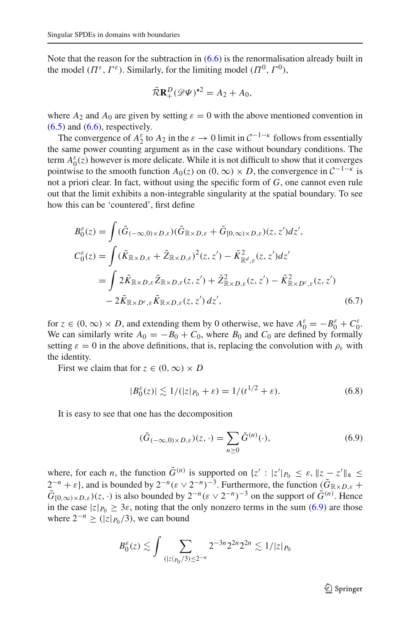Note that the reason for the subtraction in  $(6.6)$  is the renormalisation already built in the model  $(\Pi^{\varepsilon}, \Gamma^{\varepsilon})$ . Similarly, for the limiting model  $(\Pi^0, \Gamma^0)$ ,

$$
\widetilde{\mathcal{R}}\mathbf{R}^D_+(\mathscr{D}\Psi)^{\star 2}=A_2+A_0,
$$

where  $A_2$  and  $A_0$  are given by setting  $\varepsilon = 0$  with the above mentioned convention in  $(6.5)$  and  $(6.6)$ , respectively.

The convergence of  $A_2^{\varepsilon}$  to  $A_2$  in the  $\varepsilon \to 0$  limit in  $C^{-1-\kappa}$  follows from essentially the same power counting argument as in the case without boundary conditions. The term  $A_0^{\varepsilon}(z)$  however is more delicate. While it is not difficult to show that it converges pointwise to the smooth function  $A_0(z)$  on  $(0, \infty) \times D$ , the convergence in  $C^{-1-\kappa}$  is not a priori clear. In fact, without using the specific form of *G*, one cannot even rule out that the limit exhibits a non-integrable singularity at the spatial boundary. To see how this can be 'countered', first define

$$
B_0^{\varepsilon}(z) = \int (\tilde{G}_{(-\infty,0)\times D,\varepsilon})(\tilde{G}_{\mathbb{R}\times D,\varepsilon} + \tilde{G}_{[0,\infty)\times D,\varepsilon})(z,z')dz',
$$
  
\n
$$
C_0^{\varepsilon}(z) = \int (\tilde{K}_{\mathbb{R}\times D,\varepsilon} + \tilde{Z}_{\mathbb{R}\times D,\varepsilon})^2(z,z') - \tilde{K}_{\mathbb{R}^d,\varepsilon}^2(z,z')dz'
$$
  
\n
$$
= \int 2\tilde{K}_{\mathbb{R}\times D,\varepsilon}\tilde{Z}_{\mathbb{R}\times D,\varepsilon}(z,z') + \tilde{Z}_{\mathbb{R}\times D,\varepsilon}^2(z,z') - \tilde{K}_{\mathbb{R}\times D^c,\varepsilon}^2(z,z')
$$
  
\n
$$
-2\tilde{K}_{\mathbb{R}\times D^c,\varepsilon}\tilde{K}_{\mathbb{R}\times D,\varepsilon}(z,z')dz',
$$
\n(6.7)

for  $z \in (0, \infty) \times D$ , and extending them by 0 otherwise, we have  $A_0^{\varepsilon} = -B_0^{\varepsilon} + C_0^{\varepsilon}$ . We can similarly write  $A_0 = -B_0 + C_0$ , where  $B_0$  and  $C_0$  are defined by formally setting  $\varepsilon = 0$  in the above definitions, that is, replacing the convolution with  $\rho_{\varepsilon}$  with the identity.

First we claim that for  $z \in (0, \infty) \times D$ 

<span id="page-52-2"></span><span id="page-52-1"></span>
$$
|B_0^{\varepsilon}(z)| \lesssim 1/(|z|_{P_0} + \varepsilon) = 1/(t^{1/2} + \varepsilon).
$$
 (6.8)

It is easy to see that one has the decomposition

<span id="page-52-0"></span>
$$
(\tilde{G}_{(-\infty,0)\times D,\varepsilon})(z,\cdot) = \sum_{n\geq 0} \tilde{G}^{(n)}(\cdot),\tag{6.9}
$$

where, for each *n*, the function  $\tilde{G}^{(n)}$  is supported on  $\{z' : |z'|_{P_0} \leq \varepsilon, \|z - z'\|_{\mathfrak{s}} \leq \varepsilon\}$  $2^{-n} + \varepsilon$ , and is bounded by  $2^{-n}(\varepsilon \vee 2^{-n})^{-3}$ . Furthermore, the function  $(\tilde{G}_{\mathbb{R}\times D,\varepsilon} +$  $\tilde{G}_{[0,\infty)\times D,\varepsilon}(z,\cdot)$  is also bounded by  $2^{-n}(\varepsilon \vee 2^{-n})^{-3}$  on the support of  $\tilde{G}^{(n)}$ . Hence in the case  $|z|_{P_0} \ge 3\varepsilon$ , noting that the only nonzero terms in the sum [\(6.9\)](#page-52-0) are those where  $2^{-n} \geq (|z|_{P_0}/3)$ , we can bound

$$
B_0^{\varepsilon}(z) \lesssim \int \sum_{(|z|_{P_0}/3) \le 2^{-n}} 2^{-3n} 2^{2n} 2^{2n} \lesssim 1/|z|_{P_0}
$$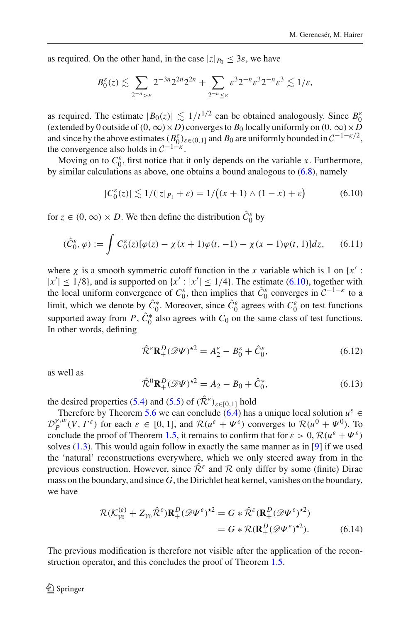as required. On the other hand, in the case  $|z|_{P_0} \leq 3\varepsilon$ , we have

$$
B_0^{\varepsilon}(z) \lesssim \sum_{2^{-n} > \varepsilon} 2^{-3n} 2^{2n} 2^{2n} + \sum_{2^{-n} \leq \varepsilon} \varepsilon^3 2^{-n} \varepsilon^3 2^{-n} \varepsilon^3 \lesssim 1/\varepsilon,
$$

as required. The estimate  $|B_0(z)| \lesssim 1/t^{1/2}$  can be obtained analogously. Since  $B_0^{\varepsilon}$ (extended by 0 outside of  $(0, \infty) \times D$ ) converges to  $B_0$  locally uniformly on  $(0, \infty) \times D$ and since by the above estimates  $(B_0^{\varepsilon})_{\varepsilon \in (0,1]}$  and  $B_0$  are uniformly bounded in  $C^{-1-\kappa/2}$ , the convergence also holds in  $C^{-1-\kappa}$ .

Moving on to  $C_0^{\varepsilon}$ , first notice that it only depends on the variable *x*. Furthermore, by similar calculations as above, one obtains a bound analogous to  $(6.8)$ , namely

<span id="page-53-0"></span>
$$
|C_0^{\varepsilon}(z)| \lesssim 1/(|z|_{P_1} + \varepsilon) = 1/((x+1) \wedge (1-x) + \varepsilon)
$$
 (6.10)

for  $z \in (0, \infty) \times D$ . We then define the distribution  $\hat{C}_0^{\varepsilon}$  by

$$
(\hat{C}_0^{\varepsilon}, \varphi) := \int C_0^{\varepsilon}(z) [\varphi(z) - \chi(x+1)\varphi(t, -1) - \chi(x-1)\varphi(t, 1)] dz, \qquad (6.11)
$$

where  $\chi$  is a smooth symmetric cutoff function in the *x* variable which is 1 on  $\{x' :$  $|x'| \leq 1/8$ , and is supported on  $\{x' : |x'| \leq 1/4\}$ . The estimate [\(6.10\)](#page-53-0), together with the local uniform convergence of  $C_0^{\varepsilon}$ , then implies that  $\hat{C}_0^{\varepsilon}$  converges in  $C^{-1-\kappa}$  to a limit, which we denote by  $\hat{C}_0^*$ . Moreover, since  $\hat{C}_0^{\varepsilon}$  agrees with  $C_0^{\varepsilon}$  on test functions supported away from *P*,  $C_0^*$  also agrees with  $C_0$  on the same class of test functions. In other words, defining

<span id="page-53-2"></span>
$$
\hat{\mathcal{R}}^{\varepsilon} \mathbf{R}^D_+(\mathscr{D}\Psi)^{\star 2} = A_2^{\varepsilon} - B_0^{\varepsilon} + \hat{C}_0^{\varepsilon},\tag{6.12}
$$

as well as

$$
\hat{\mathcal{R}}^0 \mathbf{R}_+^D (\mathscr{D}\Psi)^{\star 2} = A_2 - B_0 + \hat{C}_0^*,
$$
\n(6.13)

the desired properties [\(5.4\)](#page-45-0) and [\(5.5\)](#page-46-1) of  $(\hat{\mathcal{R}}^{\varepsilon})_{\varepsilon \in [0,1]}$  hold

Therefore by Theorem [5.6](#page-46-2) we can conclude [\(6.4\)](#page-50-1) has a unique local solution  $u^{\varepsilon} \in$  $\mathcal{D}_P^{\gamma,w}(V,\Gamma^{\varepsilon})$  for each  $\varepsilon \in [0,1]$ , and  $\mathcal{R}(u^{\varepsilon} + \Psi^{\varepsilon})$  converges to  $\mathcal{R}(u^0 + \Psi^0)$ . To conclude the proof of Theorem [1.5,](#page-3-3) it remains to confirm that for  $\varepsilon > 0$ ,  $\mathcal{R}(u^{\varepsilon} + \Psi^{\varepsilon})$ solves  $(1.3)$ . This would again follow in exactly the same manner as in [\[9\]](#page-61-1) if we used the 'natural' reconstructions everywhere, which we only steered away from in the previous construction. However, since  $\hat{\mathcal{R}}^{\varepsilon}$  and  $\mathcal{R}$  only differ by some (finite) Dirac mass on the boundary, and since *G*, the Dirichlet heat kernel, vanishes on the boundary, we have

<span id="page-53-1"></span>
$$
\mathcal{R}(K_{\gamma_0}^{(\varepsilon)} + Z_{\gamma_0} \hat{\mathcal{R}}^{\varepsilon}) \mathbf{R}_+^D (\mathscr{D}\Psi^{\varepsilon})^{\star 2} = G * \hat{\mathcal{R}}^{\varepsilon} (\mathbf{R}_+^D (\mathscr{D}\Psi^{\varepsilon})^{\star 2})
$$
  
=  $G * \mathcal{R} (\mathbf{R}_+^D (\mathscr{D}\Psi^{\varepsilon})^{\star 2}).$  (6.14)

The previous modification is therefore not visible after the application of the reconstruction operator, and this concludes the proof of Theorem [1.5.](#page-3-3)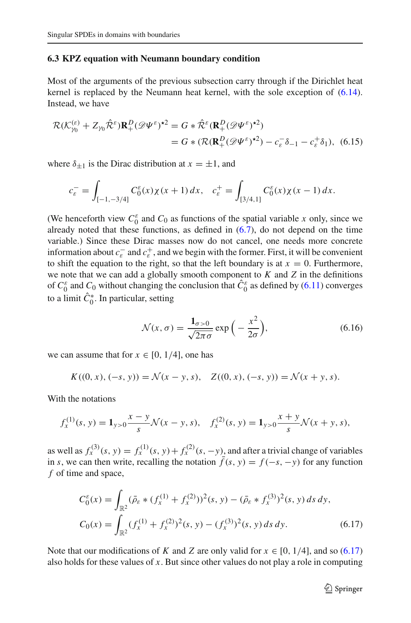#### <span id="page-54-0"></span>**6.3 KPZ equation with Neumann boundary condition**

Most of the arguments of the previous subsection carry through if the Dirichlet heat kernel is replaced by the Neumann heat kernel, with the sole exception of [\(6.14\)](#page-53-1). Instead, we have

$$
\mathcal{R}(\mathcal{K}_{\gamma_0}^{(\varepsilon)} + Z_{\gamma_0} \hat{\mathcal{R}}^{\varepsilon}) \mathbf{R}_+^D (\mathscr{D}\Psi^{\varepsilon})^{\star 2} = G * \hat{\mathcal{R}}^{\varepsilon} (\mathbf{R}_+^D (\mathscr{D}\Psi^{\varepsilon})^{\star 2})
$$
  
=  $G * (\mathcal{R}(\mathbf{R}_+^D (\mathscr{D}\Psi^{\varepsilon})^{\star 2}) - c_{\varepsilon}^- \delta_{-1} - c_{\varepsilon}^+ \delta_1),$  (6.15)

where  $\delta_{\pm 1}$  is the Dirac distribution at  $x = \pm 1$ , and

$$
c_{\varepsilon}^- = \int_{[-1, -3/4]} C_0^{\varepsilon}(x) \chi(x+1) \, dx, \quad c_{\varepsilon}^+ = \int_{[3/4, 1]} C_0^{\varepsilon}(x) \chi(x-1) \, dx.
$$

(We henceforth view  $C_0^{\varepsilon}$  and  $C_0$  as functions of the spatial variable *x* only, since we already noted that these functions, as defined in [\(6.7\)](#page-52-2), do not depend on the time variable.) Since these Dirac masses now do not cancel, one needs more concrete information about  $c_{\varepsilon}^-$  and  $c_{\varepsilon}^+$ , and we begin with the former. First, it will be convenient to shift the equation to the right, so that the left boundary is at  $x = 0$ . Furthermore, we note that we can add a globally smooth component to *K* and *Z* in the definitions of  $C_0^{\varepsilon}$  and  $C_0$  without changing the conclusion that  $\hat{C}_0^{\varepsilon}$  as defined by [\(6.11\)](#page-53-2) converges to a limit  $C_0^*$ . In particular, setting

<span id="page-54-2"></span>
$$
\mathcal{N}(x,\sigma) = \frac{\mathbf{1}_{\sigma>0}}{\sqrt{2\pi\sigma}} \exp\left(-\frac{x^2}{2\sigma}\right),\tag{6.16}
$$

we can assume that for  $x \in [0, 1/4]$ , one has

$$
K((0, x), (-s, y)) = \mathcal{N}(x - y, s), \quad Z((0, x), (-s, y)) = \mathcal{N}(x + y, s).
$$

With the notations

$$
f_x^{(1)}(s, y) = \mathbf{1}_{y>0} \frac{x-y}{s} \mathcal{N}(x-y, s), \quad f_x^{(2)}(s, y) = \mathbf{1}_{y>0} \frac{x+y}{s} \mathcal{N}(x+y, s),
$$

as well as  $f_x^{(3)}(s, y) = f_x^{(1)}(s, y) + f_x^{(2)}(s, -y)$ , and after a trivial change of variables in *s*, we can then write, recalling the notation  $\bar{f}(s, y) = f(-s, -y)$  for any function *f* of time and space,

<span id="page-54-1"></span>
$$
C_0^{\varepsilon}(x) = \int_{\mathbb{R}^2} (\bar{\rho}_{\varepsilon} * (f_x^{(1)} + f_x^{(2)}))^2(s, y) - (\bar{\rho}_{\varepsilon} * f_x^{(3)})^2(s, y) ds dy,
$$
  
\n
$$
C_0(x) = \int_{\mathbb{R}^2} (f_x^{(1)} + f_x^{(2)})^2(s, y) - (f_x^{(3)})^2(s, y) ds dy.
$$
\n(6.17)

Note that our modifications of *K* and *Z* are only valid for  $x \in [0, 1/4]$ , and so [\(6.17\)](#page-54-1) also holds for these values of *x*. But since other values do not play a role in computing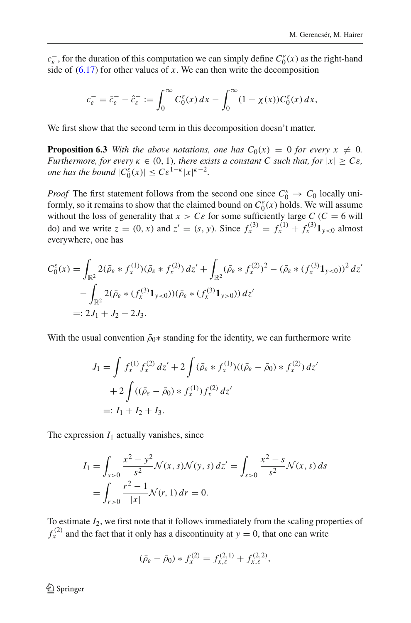$c_{\varepsilon}^-$ , for the duration of this computation we can simply define  $C_0^{\varepsilon}(x)$  as the right-hand side of  $(6.17)$  for other values of x. We can then write the decomposition

$$
c_{\varepsilon}^- = \bar{c}_{\varepsilon}^- - \hat{c}_{\varepsilon}^- := \int_0^\infty C_0^{\varepsilon}(x) \, dx - \int_0^\infty (1 - \chi(x)) C_0^{\varepsilon}(x) \, dx,
$$

We first show that the second term in this decomposition doesn't matter.

**Proposition 6.3** With the above notations, one has  $C_0(x) = 0$  for every  $x \neq 0$ . *Furthermore, for every*  $\kappa \in (0, 1)$ *, there exists a constant C such that, for*  $|x| \geq C\varepsilon$ *, one has the bound*  $|C_0^{\varepsilon}(x)| \leq C \varepsilon^{1-\kappa} |x|^{\kappa-2}$ .

*Proof* The first statement follows from the second one since  $C_0^{\varepsilon} \to C_0$  locally uniformly, so it remains to show that the claimed bound on  $C_0^{\varepsilon}(x)$  holds. We will assume without the loss of generality that  $x > C \varepsilon$  for some sufficiently large  $C$  ( $C = 6$  will do) and we write  $z = (0, x)$  and  $z' = (s, y)$ . Since  $f_x^{(3)} = f_x^{(1)} + f_x^{(3)} \mathbf{1}_{y < 0}$  almost everywhere, one has

$$
C_0^{\varepsilon}(x) = \int_{\mathbb{R}^2} 2(\bar{\rho}_{\varepsilon} * f_x^{(1)})(\bar{\rho}_{\varepsilon} * f_x^{(2)}) dz' + \int_{\mathbb{R}^2} (\bar{\rho}_{\varepsilon} * f_x^{(2)})^2 - (\bar{\rho}_{\varepsilon} * (f_x^{(3)} \mathbf{1}_{y<0}))^2 dz'
$$
  

$$
- \int_{\mathbb{R}^2} 2(\bar{\rho}_{\varepsilon} * (f_x^{(3)} \mathbf{1}_{y<0}))(\bar{\rho}_{\varepsilon} * (f_x^{(3)} \mathbf{1}_{y>0})) dz'
$$
  

$$
=: 2J_1 + J_2 - 2J_3.
$$

With the usual convention  $\bar{\rho}_0$ <sup>\*</sup> standing for the identity, we can furthermore write

$$
J_1 = \int f_x^{(1)} f_x^{(2)} dz' + 2 \int (\bar{\rho}_{\varepsilon} * f_x^{(1)}) ((\bar{\rho}_{\varepsilon} - \bar{\rho}_0) * f_x^{(2)}) dz'
$$
  
+ 
$$
2 \int ((\bar{\rho}_{\varepsilon} - \bar{\rho}_0) * f_x^{(1)}) f_x^{(2)} dz'
$$
  
=:  $I_1 + I_2 + I_3$ .

The expression  $I_1$  actually vanishes, since

$$
I_1 = \int_{s>0} \frac{x^2 - y^2}{s^2} \mathcal{N}(x, s) \mathcal{N}(y, s) dz' = \int_{s>0} \frac{x^2 - s}{s^2} \mathcal{N}(x, s) ds
$$
  
= 
$$
\int_{r>0} \frac{r^2 - 1}{|x|} \mathcal{N}(r, 1) dr = 0.
$$

To estimate *I*2, we first note that it follows immediately from the scaling properties of  $f_x^{(2)}$  and the fact that it only has a discontinuity at  $y = 0$ , that one can write

$$
(\bar{\rho}_{\varepsilon} - \bar{\rho}_0) * f_x^{(2)} = f_{x,\varepsilon}^{(2,1)} + f_{x,\varepsilon}^{(2,2)},
$$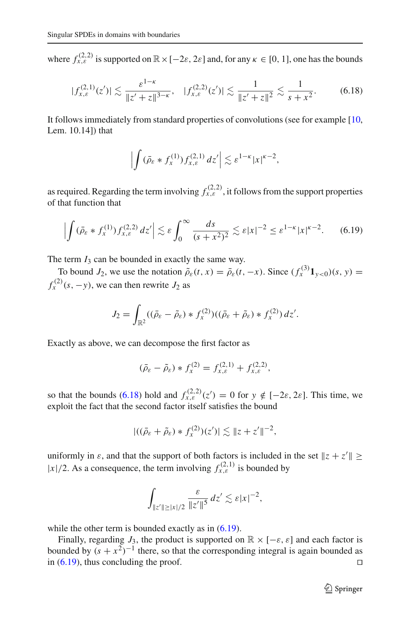where  $f_{x,\varepsilon}^{(2,2)}$  is supported on  $\mathbb{R}\times[-2\varepsilon,2\varepsilon]$  and, for any  $\kappa \in [0, 1]$ , one has the bounds

$$
|f_{x,\varepsilon}^{(2,1)}(z')| \lesssim \frac{\varepsilon^{1-\kappa}}{\|z'+z\|^{3-\kappa}}, \quad |f_{x,\varepsilon}^{(2,2)}(z')| \lesssim \frac{1}{\|z'+z\|^2} \lesssim \frac{1}{s+x^2}.
$$
 (6.18)

It follows immediately from standard properties of convolutions (see for example [\[10,](#page-61-0) Lem. 10.14]) that

<span id="page-56-1"></span><span id="page-56-0"></span>
$$
\left| \int (\bar{\rho}_{\varepsilon} * f_x^{(1)}) f_{x,\varepsilon}^{(2,1)} \, dz' \right| \lesssim \varepsilon^{1-\kappa} |x|^{\kappa-2},
$$

as required. Regarding the term involving  $f_{x,\varepsilon}^{(2,2)}$ , it follows from the support properties of that function that

$$
\left| \int (\bar{\rho}_{\varepsilon} * f_x^{(1)}) f_{x,\varepsilon}^{(2,2)} \, dz' \right| \lesssim \varepsilon \int_0^\infty \frac{ds}{(s+x^2)^2} \lesssim \varepsilon |x|^{-2} \le \varepsilon^{1-\kappa} |x|^{\kappa-2}.\tag{6.19}
$$

The term  $I_3$  can be bounded in exactly the same way.

To bound *J*<sub>2</sub>, we use the notation  $\tilde{\rho}_{\varepsilon}(t, x) = \bar{\rho}_{\varepsilon}(t, -x)$ . Since  $(f_x^{(3)} \mathbf{1}_{y < 0})(s, y) =$  $f_x^{(2)}(s, -y)$ , we can then rewrite  $J_2$  as

$$
J_2 = \int_{\mathbb{R}^2} ((\bar{\rho}_{\varepsilon} - \tilde{\rho}_{\varepsilon}) * f_x^{(2)}) ((\bar{\rho}_{\varepsilon} + \tilde{\rho}_{\varepsilon}) * f_x^{(2)}) dz'.
$$

Exactly as above, we can decompose the first factor as

$$
(\bar{\rho}_{\varepsilon} - \tilde{\rho}_{\varepsilon}) * f_{x}^{(2)} = f_{x,\varepsilon}^{(2,1)} + f_{x,\varepsilon}^{(2,2)},
$$

so that the bounds [\(6.18\)](#page-56-0) hold and  $f_{x,\varepsilon}^{(2,2)}(z') = 0$  for  $y \notin [-2\varepsilon, 2\varepsilon]$ . This time, we exploit the fact that the second factor itself satisfies the bound

$$
|((\bar{\rho}_{\varepsilon}+\tilde{\rho}_{\varepsilon})*f_x^{(2)})(z')|\lesssim ||z+z'||^{-2},
$$

uniformly in  $\varepsilon$ , and that the support of both factors is included in the set  $||z + z'|| \ge$  $|x|/2$ . As a consequence, the term involving  $f_{x,\varepsilon}^{(2,1)}$  is bounded by

$$
\int_{\|z'\| \geq |x|/2} \frac{\varepsilon}{\|z'\|^5} \, dz' \lesssim \varepsilon |x|^{-2},
$$

while the other term is bounded exactly as in  $(6.19)$ .

Finally, regarding  $J_3$ , the product is supported on  $\mathbb{R} \times [-\varepsilon, \varepsilon]$  and each factor is bounded by  $(s + x^2)^{-1}$  there, so that the corresponding integral is again bounded as in (6.19), thus concluding the proof. in [\(6.19\)](#page-56-1), thus concluding the proof.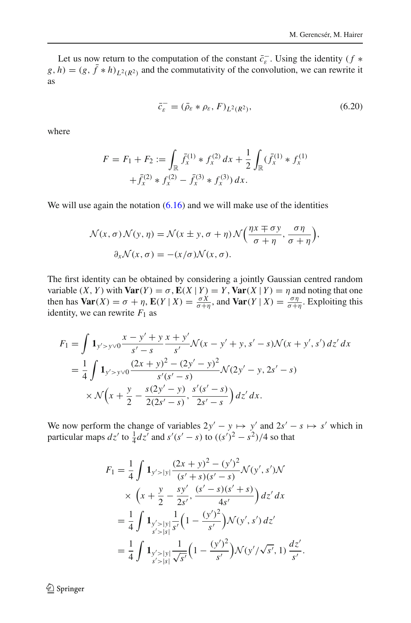Let us now return to the computation of the constant  $\overline{c}_{\varepsilon}$ . Using the identity (*f*  $*$  $g, h) = (g, \bar{f} * h)_{L^2(R^2)}$  and the commutativity of the convolution, we can rewrite it as

<span id="page-57-0"></span>
$$
\bar{c}_{\varepsilon}^{-} = (\bar{\rho}_{\varepsilon} * \rho_{\varepsilon}, F)_{L^{2}(R^{2})},\tag{6.20}
$$

where

$$
F = F_1 + F_2 := \int_{\mathbb{R}} \bar{f}_x^{(1)} * f_x^{(2)} dx + \frac{1}{2} \int_{\mathbb{R}} (\bar{f}_x^{(1)} * f_x^{(1)} + \bar{f}_x^{(2)} * f_x^{(2)} - \bar{f}_x^{(3)} * f_x^{(3)}) dx.
$$

We will use again the notation  $(6.16)$  and we will make use of the identities

$$
\mathcal{N}(x, \sigma) \mathcal{N}(y, \eta) = \mathcal{N}(x \pm y, \sigma + \eta) \mathcal{N}\left(\frac{\eta x \mp \sigma y}{\sigma + \eta}, \frac{\sigma \eta}{\sigma + \eta}\right),
$$

$$
\partial_x \mathcal{N}(x, \sigma) = -(x/\sigma) \mathcal{N}(x, \sigma).
$$

The first identity can be obtained by considering a jointly Gaussian centred random variable  $(X, Y)$  with  $\text{Var}(Y) = \sigma$ ,  $\mathbf{E}(X | Y) = Y$ ,  $\text{Var}(X | Y) = \eta$  and noting that one then has  $\text{Var}(X) = \sigma + \eta$ ,  $\mathbf{E}(Y | X) = \frac{\sigma X}{\sigma + \eta}$ , and  $\text{Var}(Y | X) = \frac{\sigma \eta}{\sigma + \eta}$ . Exploiting this identity, we can rewrite  $F_1$  as

$$
F_1 = \int 1_{y' > y} \frac{x - y' + y}{s' - s} \frac{x + y'}{s'} \mathcal{N}(x - y' + y, s' - s) \mathcal{N}(x + y', s') \, dz' \, dx
$$
  
=  $\frac{1}{4} \int 1_{y' > y} \frac{(2x + y)^2 - (2y' - y)^2}{s'(s' - s)} \mathcal{N}(2y' - y, 2s' - s)$   
 $\times \mathcal{N}(x + \frac{y}{2} - \frac{s(2y' - y)}{2(2s' - s)}, \frac{s'(s' - s)}{2s' - s}) \, dz' \, dx.$ 

We now perform the change of variables  $2y' - y \mapsto y'$  and  $2s' - s \mapsto s'$  which in particular maps  $dz'$  to  $\frac{1}{4}dz'$  and  $s'(s'-s)$  to  $((s')^2 - s^2)/4$  so that

$$
F_1 = \frac{1}{4} \int \mathbf{1}_{y' > |y|} \frac{(2x + y)^2 - (y')^2}{(s' + s)(s' - s)} \mathcal{N}(y', s') \mathcal{N}
$$
  
 
$$
\times \left(x + \frac{y}{2} - \frac{sy'}{2s'}, \frac{(s' - s)(s' + s)}{4s'}\right) dz' dx
$$
  
 
$$
= \frac{1}{4} \int \mathbf{1}_{y' > |y|} \frac{1}{s'} \left(1 - \frac{(y')^2}{s'}\right) \mathcal{N}(y', s') dz'
$$
  
 
$$
= \frac{1}{4} \int \mathbf{1}_{y' > |y|} \frac{1}{\sqrt{s'}} \left(1 - \frac{(y')^2}{s'}\right) \mathcal{N}(y'/\sqrt{s'}, 1) \frac{dz'}{s'}.
$$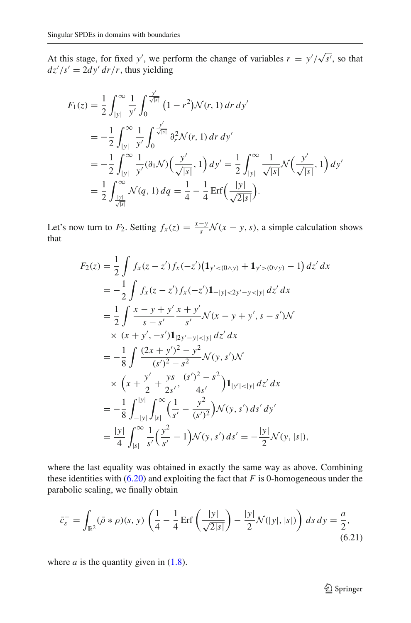At this stage, for fixed *y'*, we perform the change of variables  $r = y'/\sqrt{s'}$ , so that  $dz'/s' = 2dy' dr/r$ , thus yielding

$$
F_1(z) = \frac{1}{2} \int_{|y|}^{\infty} \frac{1}{y'} \int_0^{\frac{y'}{\sqrt{|s|}}} (1 - r^2) \mathcal{N}(r, 1) dr dy'
$$
  
\n
$$
= -\frac{1}{2} \int_{|y|}^{\infty} \frac{1}{y'} \int_0^{\frac{y'}{\sqrt{|s|}}} \partial_r^2 \mathcal{N}(r, 1) dr dy'
$$
  
\n
$$
= -\frac{1}{2} \int_{|y|}^{\infty} \frac{1}{y'} (\partial_1 \mathcal{N}) \Big( \frac{y'}{\sqrt{|s|}}, 1 \Big) dy' = \frac{1}{2} \int_{|y|}^{\infty} \frac{1}{\sqrt{|s|}} \mathcal{N} \Big( \frac{y'}{\sqrt{|s|}}, 1 \Big) dy'
$$
  
\n
$$
= \frac{1}{2} \int_{\frac{|y|}{\sqrt{|s|}}}^{\infty} \mathcal{N}(q, 1) dq = \frac{1}{4} - \frac{1}{4} \text{Erf} \Big( \frac{|y|}{\sqrt{2|s|}} \Big).
$$

Let's now turn to  $F_2$ . Setting  $f_x(z) = \frac{x-y}{s} \mathcal{N}(x-y, s)$ , a simple calculation shows that

$$
F_2(z) = \frac{1}{2} \int f_x(z - z') f_x(-z') (1_{y' < (0 \wedge y)} + 1_{y' > (0 \vee y)} - 1) dz' dx
$$
  
\n
$$
= -\frac{1}{2} \int f_x(z - z') f_x(-z') 1_{-|y| < 2y' - y < |y|} dz' dx
$$
  
\n
$$
= \frac{1}{2} \int \frac{x - y + y'}{s - s'} \frac{x + y'}{s'} \mathcal{N}(x - y + y', s - s') \mathcal{N}
$$
  
\n
$$
\times (x + y', -s') 1_{|2y' - y| < |y|} dz' dx
$$
  
\n
$$
= -\frac{1}{8} \int \frac{(2x + y')^2 - y^2}{(s')^2 - s^2} \mathcal{N}(y, s') \mathcal{N}
$$
  
\n
$$
\times \left(x + \frac{y'}{2} + \frac{ys}{2s'}, \frac{(s')^2 - s^2}{4s'}\right) 1_{|y'| < |y|} dz' dx
$$
  
\n
$$
= -\frac{1}{8} \int_{-|y|}^{|y|} \int_{|s|}^{\infty} \left(\frac{1}{s'} - \frac{y^2}{(s')^2}\right) \mathcal{N}(y, s') ds' dy'
$$
  
\n
$$
= \frac{|y|}{4} \int_{|s|}^{\infty} \frac{1}{s'} \left(\frac{y^2}{s'} - 1\right) \mathcal{N}(y, s') ds' = -\frac{|y|}{2} \mathcal{N}(y, |s|),
$$

where the last equality was obtained in exactly the same way as above. Combining these identities with  $(6.20)$  and exploiting the fact that *F* is 0-homogeneous under the parabolic scaling, we finally obtain

<span id="page-58-0"></span>
$$
\bar{c}_{\varepsilon}^- = \int_{\mathbb{R}^2} (\bar{\rho} * \rho)(s, y) \left( \frac{1}{4} - \frac{1}{4} \operatorname{Erf} \left( \frac{|y|}{\sqrt{2|s|}} \right) - \frac{|y|}{2} \mathcal{N}(|y|, |s|) \right) ds \, dy = \frac{a}{2},\tag{6.21}
$$

where  $a$  is the quantity given in  $(1.8)$ .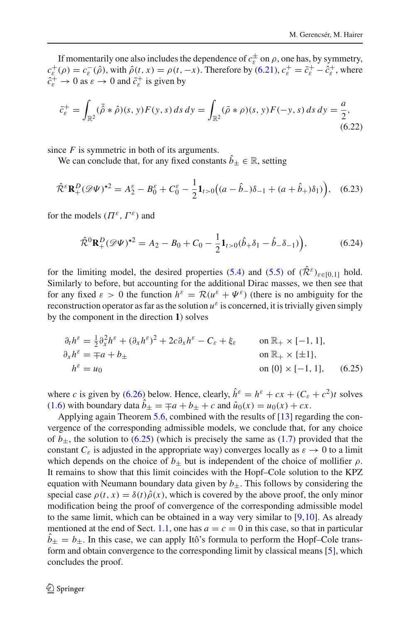If momentarily one also includes the dependence of  $c_{\varepsilon}^{\pm}$  on  $\rho$ , one has, by symmetry,  $c_{\varepsilon}^{+}(\rho) = c_{\varepsilon}^{-}(\hat{\rho})$ , with  $\hat{\rho}(t, x) = \rho(t, -x)$ . Therefore by [\(6.21\)](#page-58-0),  $c_{\varepsilon}^{+} = \bar{c}_{\varepsilon}^{+} - \hat{c}_{\varepsilon}^{+}$ , where  $\hat{c}_{\varepsilon}^+ \to 0$  as  $\varepsilon \to 0$  and  $\bar{c}_{\varepsilon}^+$  is given by

$$
\bar{c}_{\varepsilon}^{+} = \int_{\mathbb{R}^{2}} (\bar{\hat{\rho}} * \hat{\rho})(s, y) F(y, s) ds dy = \int_{\mathbb{R}^{2}} (\bar{\rho} * \rho)(s, y) F(-y, s) ds dy = \frac{a}{2},
$$
\n(6.22)

since *F* is symmetric in both of its arguments.

We can conclude that, for any fixed constants  $\hat{b}_\pm \in \mathbb{R}$ , setting

$$
\hat{\mathcal{R}}^{\varepsilon} \mathbf{R}_+^D (\mathscr{D}\Psi)^{\star 2} = A_2^{\varepsilon} - B_0^{\varepsilon} + C_0^{\varepsilon} - \frac{1}{2} \mathbf{1}_{t>0} \big( (a - \hat{b}_-) \delta_{-1} + (a + \hat{b}_+) \delta_1 \big) \big), \quad (6.23)
$$

for the models  $(\Pi^{\varepsilon}, \Gamma^{\varepsilon})$  and

$$
\hat{\mathcal{R}}^0 \mathbf{R}_+^D (\mathscr{D}\Psi)^{\star 2} = A_2 - B_0 + C_0 - \frac{1}{2} \mathbf{1}_{t>0} (\hat{b}_+ \delta_1 - \hat{b}_- \delta_{-1}) \Big), \tag{6.24}
$$

for the limiting model, the desired properties [\(5.4\)](#page-45-0) and [\(5.5\)](#page-46-1) of  $(\hat{\mathcal{R}}^{\varepsilon})_{\varepsilon \in [0,1]}$  hold. Similarly to before, but accounting for the additional Dirac masses, we then see that for any fixed  $\varepsilon > 0$  the function  $h^{\varepsilon} = \mathcal{R}(u^{\varepsilon} + \Psi^{\varepsilon})$  (there is no ambiguity for the reconstruction operator as far as the solution  $u^{\varepsilon}$  is concerned, it is trivially given simply by the component in the direction **1**) solves

<span id="page-59-0"></span>
$$
\partial_t h^{\varepsilon} = \frac{1}{2} \partial_x^2 h^{\varepsilon} + (\partial_x h^{\varepsilon})^2 + 2c \partial_x h^{\varepsilon} - C_{\varepsilon} + \xi_{\varepsilon} \quad \text{on } \mathbb{R}_+ \times [-1, 1],
$$
  
\n
$$
\partial_x h^{\varepsilon} = \mp a + b_{\pm} \quad \text{on } \mathbb{R}_+ \times \{\pm 1\},
$$
  
\n
$$
h^{\varepsilon} = u_0 \quad \text{on } \{0\} \times [-1, 1], \quad (6.25)
$$

where *c* is given by [\(6.26\)](#page-60-6) below. Hence, clearly,  $\hat{h}^{\varepsilon} = h^{\varepsilon} + cx + (C_{\varepsilon} + c^2)t$  solves  $(1.6)$  with boundary data  $b_{\pm} = \mp a + b_{\pm} + c$  and  $\hat{u}_0(x) = u_0(x) + cx$ .

Applying again Theorem [5.6,](#page-46-2) combined with the results of [\[13\]](#page-61-5) regarding the convergence of the corresponding admissible models, we conclude that, for any choice of  $b_{\pm}$ , the solution to [\(6.25\)](#page-59-0) (which is precisely the same as [\(1.7\)](#page-4-1) provided that the constant  $C_{\varepsilon}$  is adjusted in the appropriate way) converges locally as  $\varepsilon \to 0$  to a limit which depends on the choice of  $b_{\pm}$  but is independent of the choice of mollifier  $\rho$ . It remains to show that this limit coincides with the Hopf–Cole solution to the KPZ equation with Neumann boundary data given by  $b_{+}$ . This follows by considering the special case  $\rho(t, x) = \delta(t)\hat{\rho}(x)$ , which is covered by the above proof, the only minor modification being the proof of convergence of the corresponding admissible model to the same limit, which can be obtained in a way very similar to [\[9](#page-61-1)[,10](#page-61-0)]. As already mentioned at the end of Sect. [1.1,](#page-2-0) one has  $a = c = 0$  in this case, so that in particular  $b_{\pm} = b_{\pm}$ . In this case, we can apply Itô's formula to perform the Hopf–Cole transform and obtain convergence to the corresponding limit by classical means [\[5\]](#page-61-6), which concludes the proof.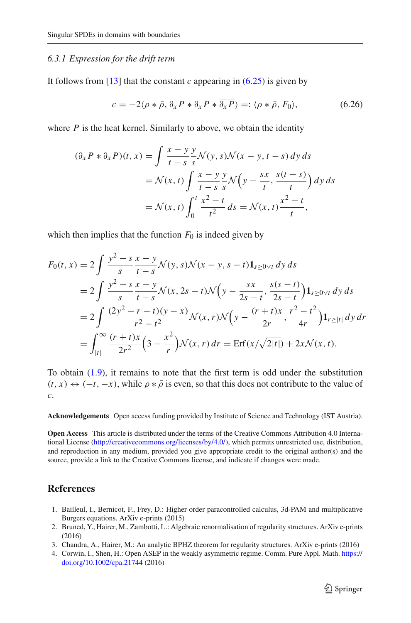#### <span id="page-60-0"></span>*6.3.1 Expression for the drift term*

It follows from [\[13\]](#page-61-5) that the constant *c* appearing in  $(6.25)$  is given by

<span id="page-60-6"></span>
$$
c = -2\langle \rho * \bar{\rho}, \partial_x P * \partial_x P * \overline{\partial_x P} \rangle =: \langle \rho * \bar{\rho}, F_0 \rangle,
$$
(6.26)

where  $P$  is the heat kernel. Similarly to above, we obtain the identity

$$
(\partial_x P * \partial_x P)(t, x) = \int \frac{x - y}{t - s} \frac{y}{s} \mathcal{N}(y, s) \mathcal{N}(x - y, t - s) dy ds
$$
  
=  $\mathcal{N}(x, t) \int \frac{x - y}{t - s} \frac{y}{s} \mathcal{N}\left(y - \frac{sx}{t}, \frac{s(t - s)}{t}\right) dy ds$   
=  $\mathcal{N}(x, t) \int_0^t \frac{x^2 - t}{t^2} ds = \mathcal{N}(x, t) \frac{x^2 - t}{t},$ 

which then implies that the function  $F_0$  is indeed given by

$$
F_0(t, x) = 2 \int \frac{y^2 - s}{s} \frac{x - y}{t - s} \mathcal{N}(y, s) \mathcal{N}(x - y, s - t) \mathbf{1}_{s \ge 0 \vee t} dy ds
$$
  
= 
$$
2 \int \frac{y^2 - s}{s} \frac{x - y}{t - s} \mathcal{N}(x, 2s - t) \mathcal{N}(y - \frac{sx}{2s - t}, \frac{s(s - t)}{2s - t}) \mathbf{1}_{s \ge 0 \vee t} dy ds
$$
  
= 
$$
2 \int \frac{(2y^2 - r - t)(y - x)}{r^2 - t^2} \mathcal{N}(x, r) \mathcal{N}(y - \frac{(r + t)x}{2r}, \frac{r^2 - t^2}{4r}) \mathbf{1}_{r \ge |t|} dy dr
$$
  
= 
$$
\int_{|t|}^{\infty} \frac{(r + t)x}{2r^2} (3 - \frac{x^2}{r}) \mathcal{N}(x, r) dr = \text{Erf}(x/\sqrt{2|t|}) + 2x \mathcal{N}(x, t).
$$

To obtain [\(1.9\)](#page-5-1), it remains to note that the first term is odd under the substitution  $(t, x) \leftrightarrow (-t, -x)$ , while  $\rho * \overline{\rho}$  is even, so that this does not contribute to the value of *c*.

**Acknowledgements** Open access funding provided by Institute of Science and Technology (IST Austria).

**Open Access** This article is distributed under the terms of the Creative Commons Attribution 4.0 International License [\(http://creativecommons.org/licenses/by/4.0/\)](http://creativecommons.org/licenses/by/4.0/), which permits unrestricted use, distribution, and reproduction in any medium, provided you give appropriate credit to the original author(s) and the source, provide a link to the Creative Commons license, and indicate if changes were made.

## <span id="page-60-1"></span>**References**

- <span id="page-60-3"></span>1. Bailleul, I., Bernicot, F., Frey, D.: Higher order paracontrolled calculus, 3d-PAM and multiplicative Burgers equations. ArXiv e-prints (2015)
- <span id="page-60-4"></span>2. Bruned, Y., Hairer, M., Zambotti, L.: Algebraic renormalisation of regularity structures. ArXiv e-prints (2016)
- <span id="page-60-5"></span>3. Chandra, A., Hairer, M.: An analytic BPHZ theorem for regularity structures. ArXiv e-prints (2016)
- <span id="page-60-2"></span>4. Corwin, I., Shen, H.: Open ASEP in the weakly asymmetric regime. Comm. Pure Appl. Math. [https://](https://doi.org/10.1002/cpa.21744) [doi.org/10.1002/cpa.21744](https://doi.org/10.1002/cpa.21744) (2016)